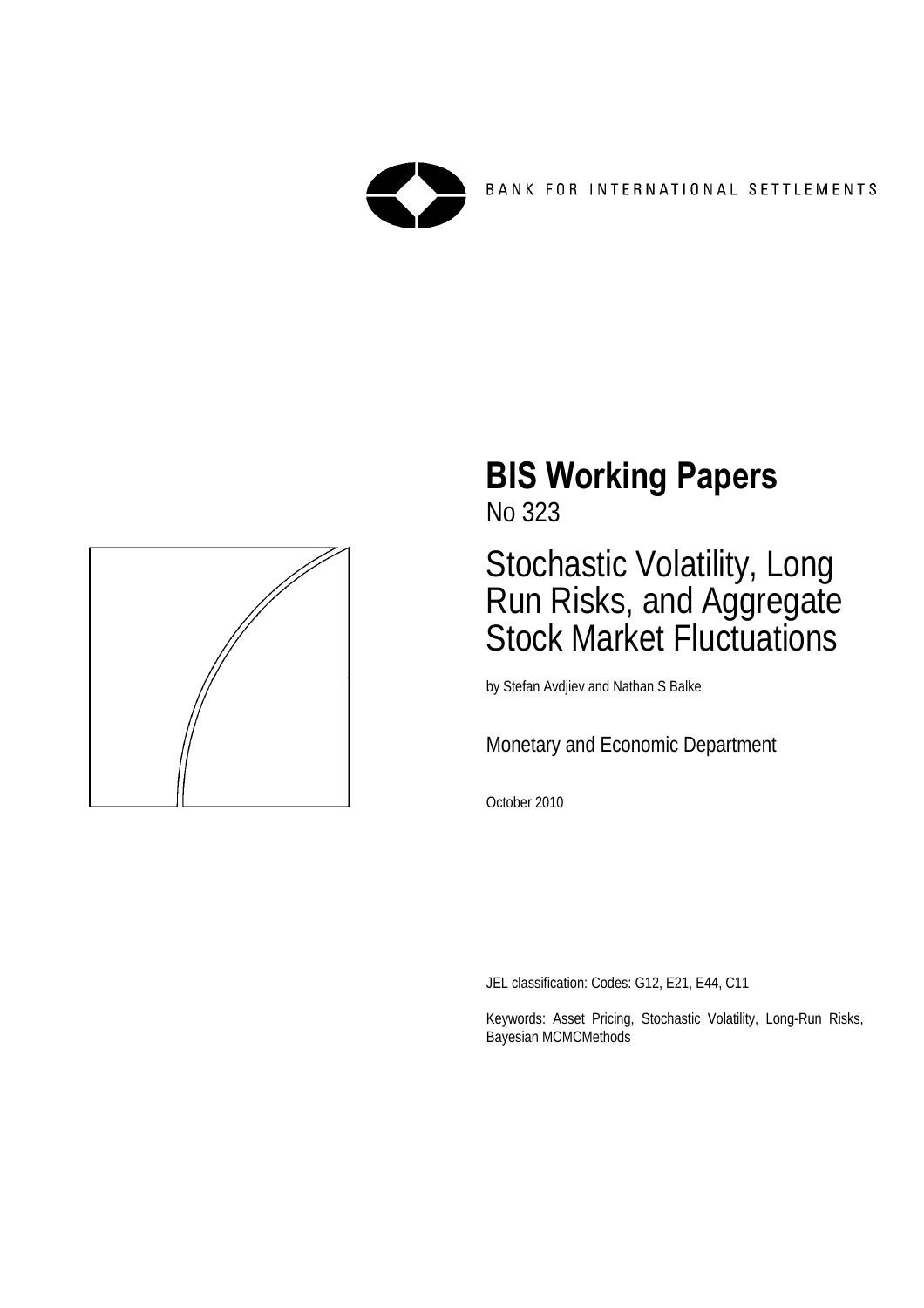



# **BIS Working Papers**

No 323

## Stochastic Volatility, Long Run Risks, and Aggregate Stock Market Fluctuations

by Stefan Avdjiev and Nathan S Balke

Monetary and Economic Department

October 2010

JEL classification: Codes: G12, E21, E44, C11

Keywords: Asset Pricing, Stochastic Volatility, Long-Run Risks, Bayesian MCMCMethods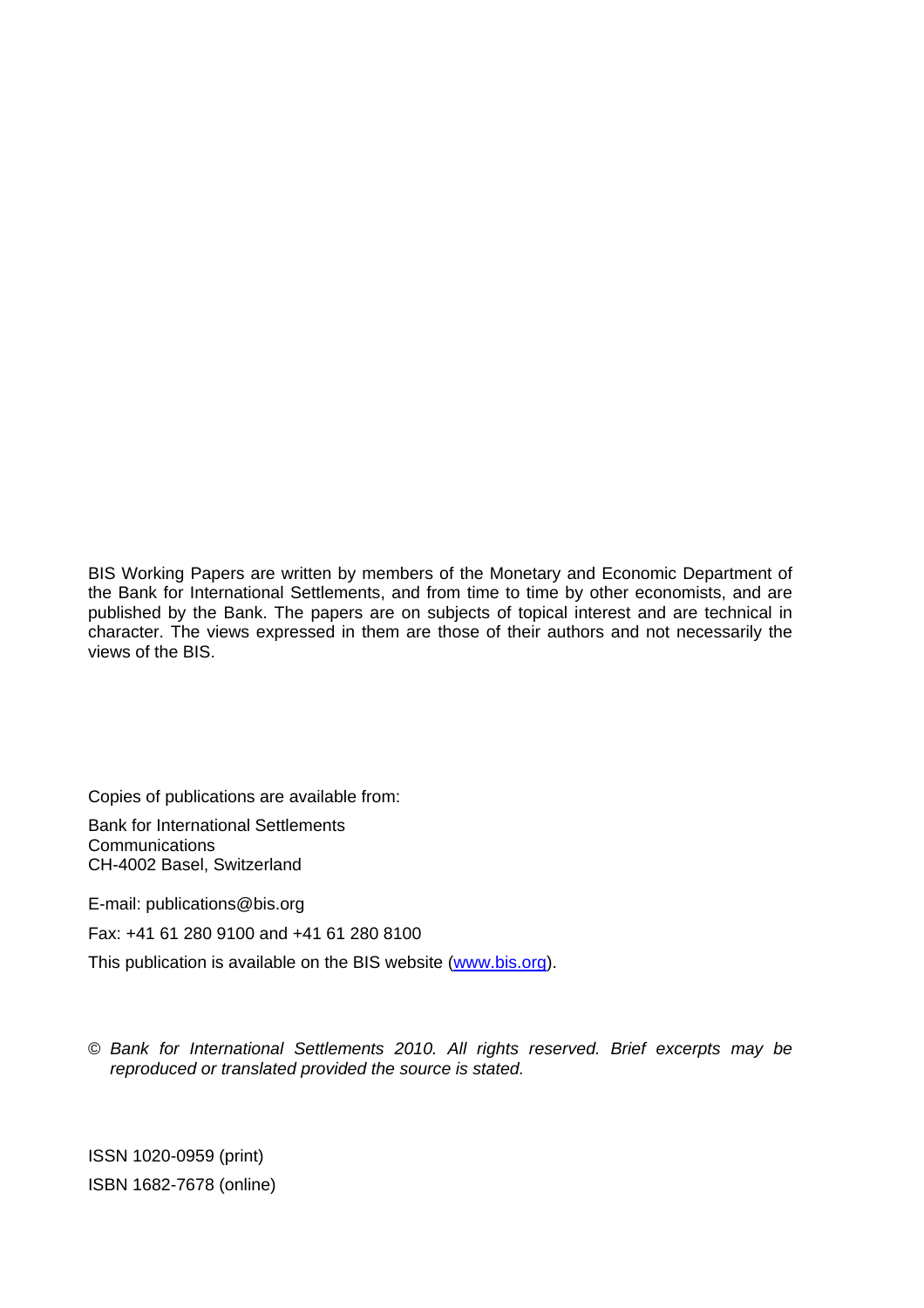BIS Working Papers are written by members of the Monetary and Economic Department of the Bank for International Settlements, and from time to time by other economists, and are published by the Bank. The papers are on subjects of topical interest and are technical in character. The views expressed in them are those of their authors and not necessarily the views of the BIS.

Copies of publications are available from:

Bank for International Settlements **Communications** CH-4002 Basel, Switzerland

E-mail: publications@bis.org

Fax: +41 61 280 9100 and +41 61 280 8100

This publication is available on the BIS website [\(www.bis.org\)](http://www.bis.org/).

© *Bank for International Settlements 2010. All rights reserved. Brief excerpts may be reproduced or translated provided the source is stated.*

ISSN 1020-0959 (print) ISBN 1682-7678 (online)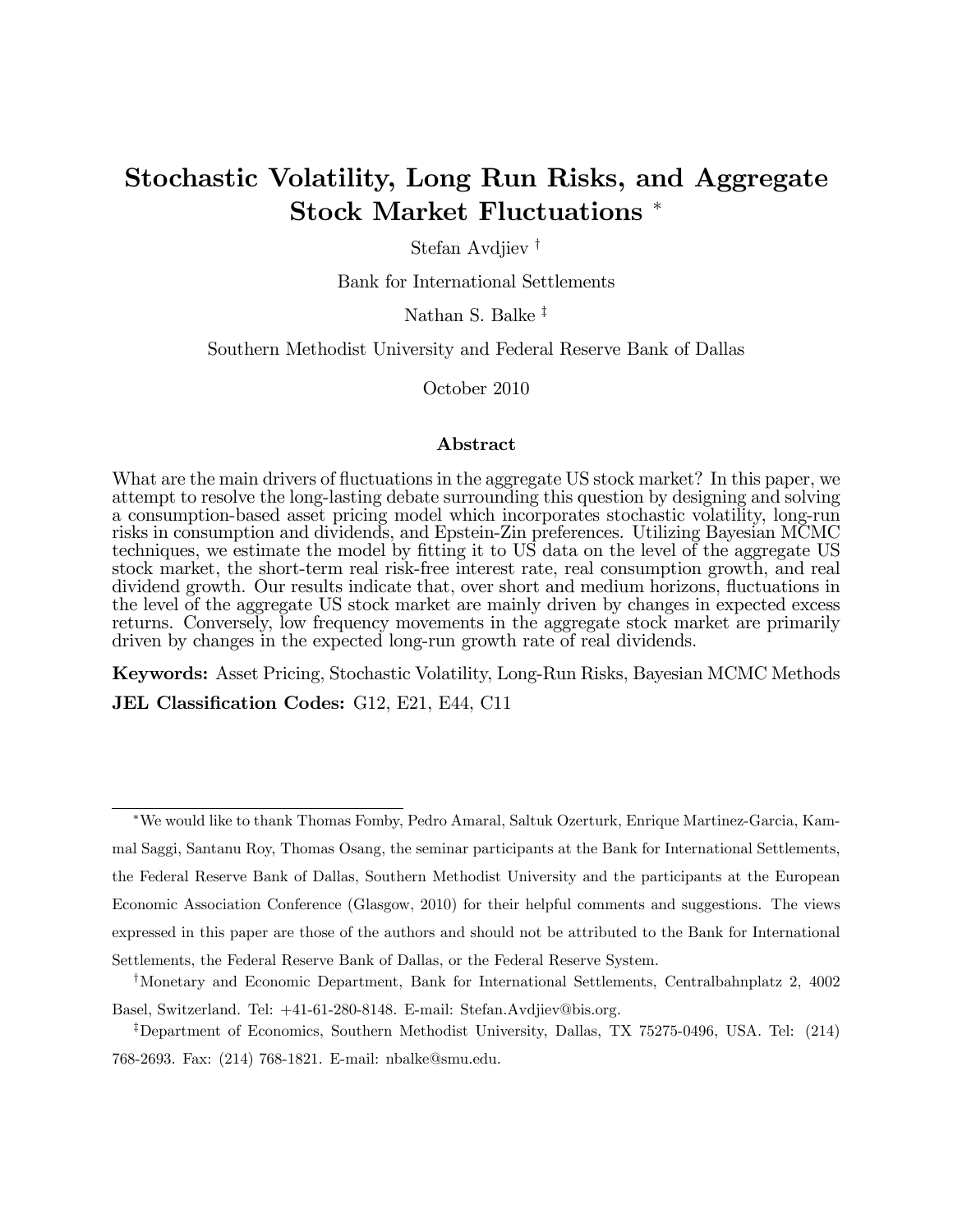## Stochastic Volatility, Long Run Risks, and Aggregate Stock Market Fluctuations

Stefan Avdjiev<sup>†</sup>

Bank for International Settlements

Nathan S. Balke<sup> $\ddagger$ </sup>

Southern Methodist University and Federal Reserve Bank of Dallas

October 2010

#### Abstract

What are the main drivers of fluctuations in the aggregate US stock market? In this paper, we attempt to resolve the long-lasting debate surrounding this question by designing and solving a consumption-based asset pricing model which incorporates stochastic volatility, long-run risks in consumption and dividends, and Epstein-Zin preferences. Utilizing Bayesian MCMC techniques, we estimate the model by fitting it to US data on the level of the aggregate US stock market, the short-term real risk-free interest rate, real consumption growth, and real dividend growth. Our results indicate that, over short and medium horizons, fluctuations in the level of the aggregate US stock market are mainly driven by changes in expected excess returns. Conversely, low frequency movements in the aggregate stock market are primarily driven by changes in the expected long-run growth rate of real dividends.

Keywords: Asset Pricing, Stochastic Volatility, Long-Run Risks, Bayesian MCMC Methods JEL Classification Codes: G12, E21, E44, C11

We would like to thank Thomas Fomby, Pedro Amaral, Saltuk Ozerturk, Enrique Martinez-Garcia, Kammal Saggi, Santanu Roy, Thomas Osang, the seminar participants at the Bank for International Settlements, the Federal Reserve Bank of Dallas, Southern Methodist University and the participants at the European Economic Association Conference (Glasgow, 2010) for their helpful comments and suggestions. The views expressed in this paper are those of the authors and should not be attributed to the Bank for International Settlements, the Federal Reserve Bank of Dallas, or the Federal Reserve System.

<sup>&</sup>lt;sup>†</sup>Monetary and Economic Department, Bank for International Settlements, Centralbahnplatz 2, 4002 Basel, Switzerland. Tel: +41-61-280-8148. E-mail: Stefan.Avdjiev@bis.org.

<sup>&</sup>lt;sup>‡</sup>Department of Economics, Southern Methodist University, Dallas, TX 75275-0496, USA. Tel: (214) 768-2693. Fax: (214) 768-1821. E-mail: nbalke@smu.edu.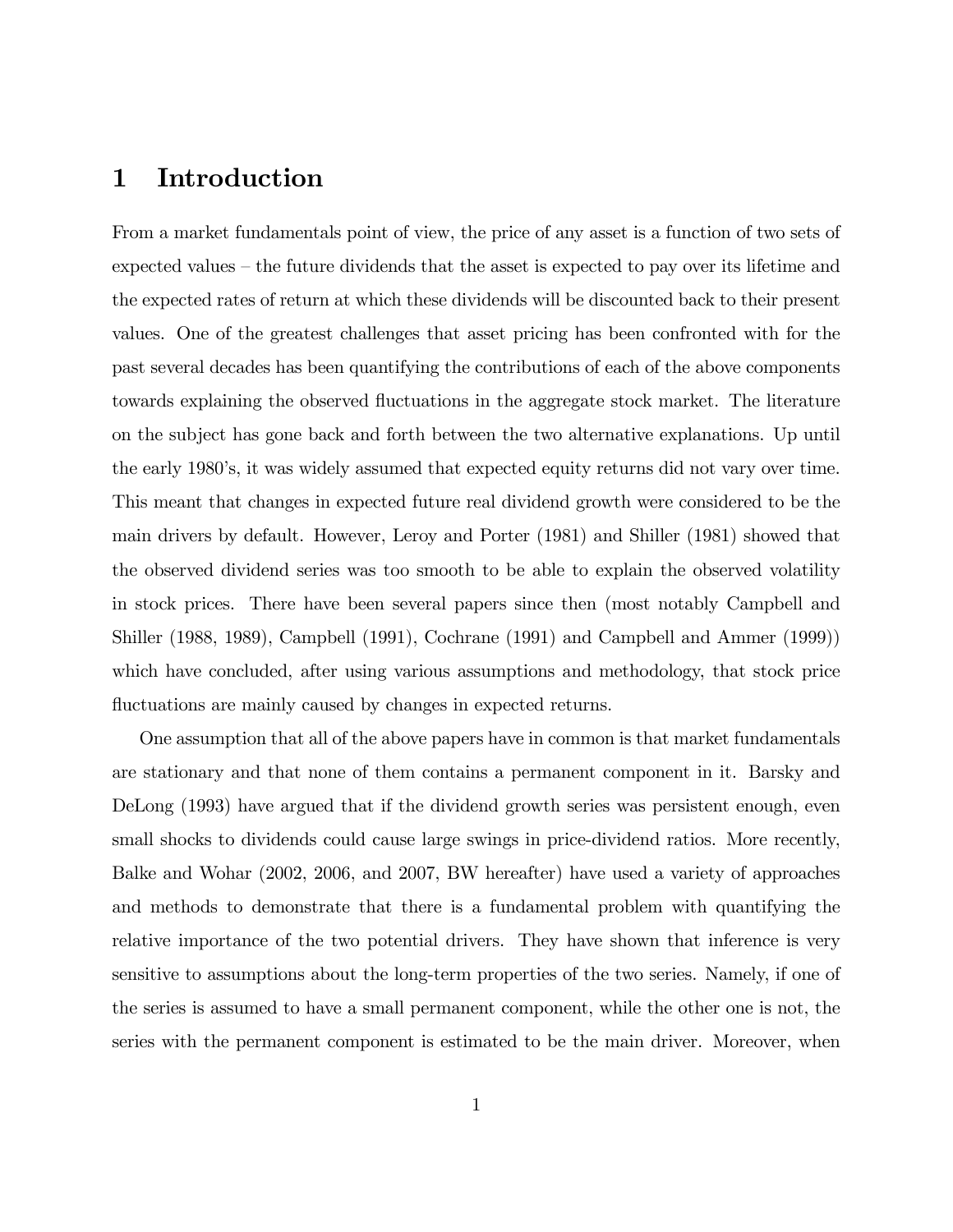## 1 Introduction

From a market fundamentals point of view, the price of any asset is a function of two sets of expected values  $-$  the future dividends that the asset is expected to pay over its lifetime and the expected rates of return at which these dividends will be discounted back to their present values. One of the greatest challenges that asset pricing has been confronted with for the past several decades has been quantifying the contributions of each of the above components towards explaining the observed fluctuations in the aggregate stock market. The literature on the subject has gone back and forth between the two alternative explanations. Up until the early 1980ís, it was widely assumed that expected equity returns did not vary over time. This meant that changes in expected future real dividend growth were considered to be the main drivers by default. However, Leroy and Porter (1981) and Shiller (1981) showed that the observed dividend series was too smooth to be able to explain the observed volatility in stock prices. There have been several papers since then (most notably Campbell and Shiller (1988, 1989), Campbell (1991), Cochrane (1991) and Campbell and Ammer (1999)) which have concluded, after using various assumptions and methodology, that stock price fluctuations are mainly caused by changes in expected returns.

One assumption that all of the above papers have in common is that market fundamentals are stationary and that none of them contains a permanent component in it. Barsky and DeLong (1993) have argued that if the dividend growth series was persistent enough, even small shocks to dividends could cause large swings in price-dividend ratios. More recently, Balke and Wohar (2002, 2006, and 2007, BW hereafter) have used a variety of approaches and methods to demonstrate that there is a fundamental problem with quantifying the relative importance of the two potential drivers. They have shown that inference is very sensitive to assumptions about the long-term properties of the two series. Namely, if one of the series is assumed to have a small permanent component, while the other one is not, the series with the permanent component is estimated to be the main driver. Moreover, when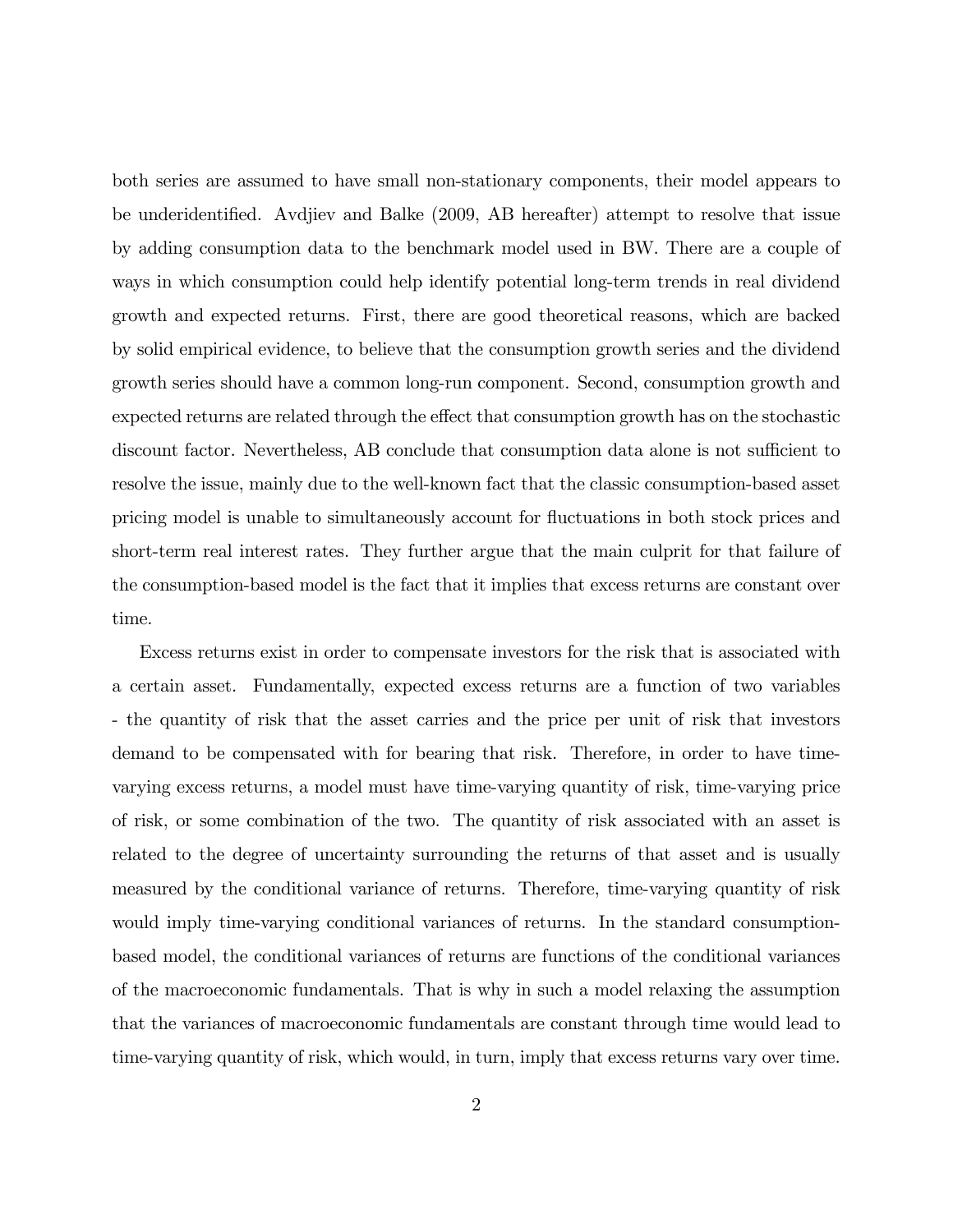both series are assumed to have small non-stationary components, their model appears to be underidentified. Avdjiev and Balke (2009, AB hereafter) attempt to resolve that issue by adding consumption data to the benchmark model used in BW. There are a couple of ways in which consumption could help identify potential long-term trends in real dividend growth and expected returns. First, there are good theoretical reasons, which are backed by solid empirical evidence, to believe that the consumption growth series and the dividend growth series should have a common long-run component. Second, consumption growth and expected returns are related through the effect that consumption growth has on the stochastic discount factor. Nevertheless, AB conclude that consumption data alone is not sufficient to resolve the issue, mainly due to the well-known fact that the classic consumption-based asset pricing model is unable to simultaneously account for áuctuations in both stock prices and short-term real interest rates. They further argue that the main culprit for that failure of the consumption-based model is the fact that it implies that excess returns are constant over time.

Excess returns exist in order to compensate investors for the risk that is associated with a certain asset. Fundamentally, expected excess returns are a function of two variables - the quantity of risk that the asset carries and the price per unit of risk that investors demand to be compensated with for bearing that risk. Therefore, in order to have timevarying excess returns, a model must have time-varying quantity of risk, time-varying price of risk, or some combination of the two. The quantity of risk associated with an asset is related to the degree of uncertainty surrounding the returns of that asset and is usually measured by the conditional variance of returns. Therefore, time-varying quantity of risk would imply time-varying conditional variances of returns. In the standard consumptionbased model, the conditional variances of returns are functions of the conditional variances of the macroeconomic fundamentals. That is why in such a model relaxing the assumption that the variances of macroeconomic fundamentals are constant through time would lead to time-varying quantity of risk, which would, in turn, imply that excess returns vary over time.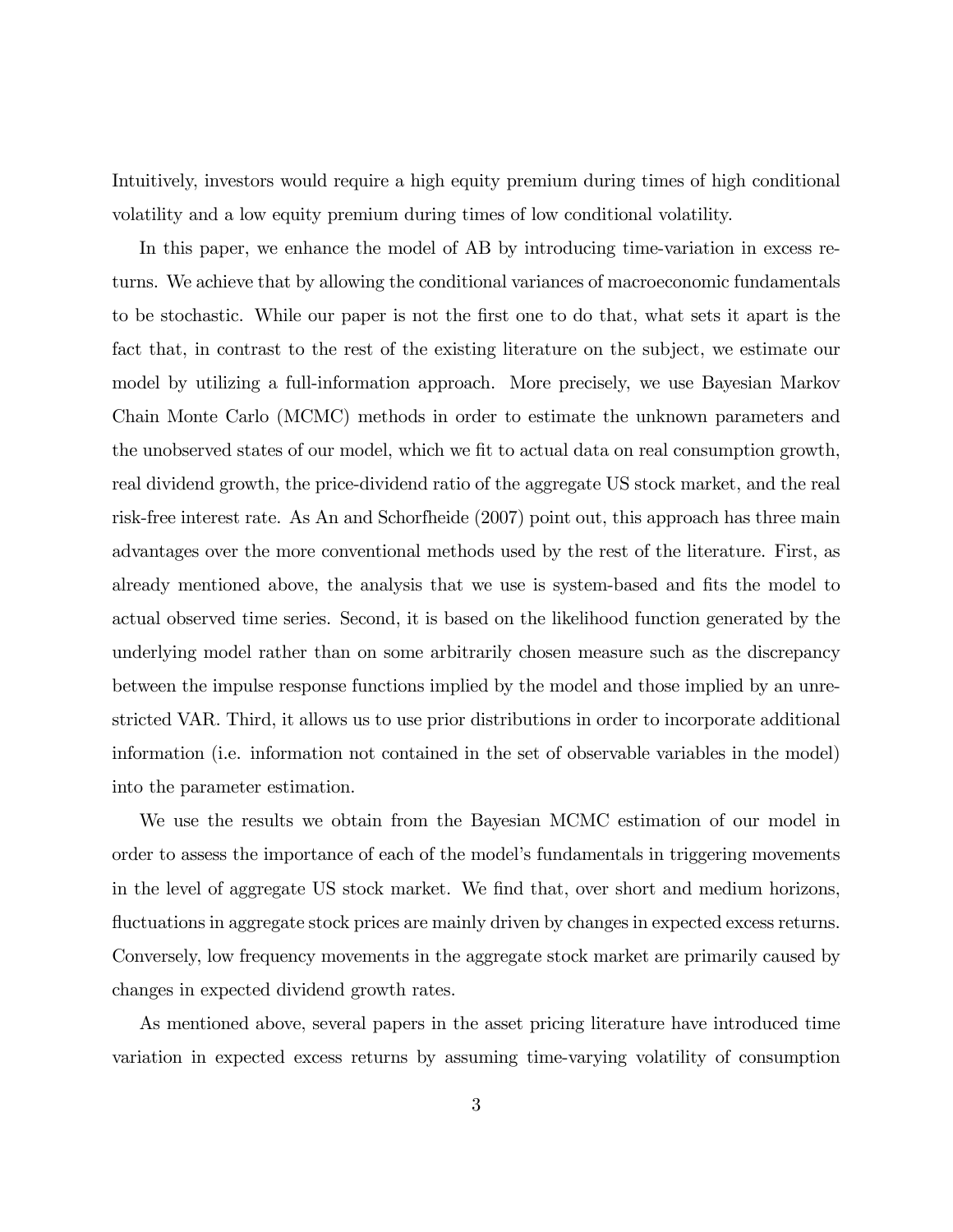Intuitively, investors would require a high equity premium during times of high conditional volatility and a low equity premium during times of low conditional volatility.

In this paper, we enhance the model of AB by introducing time-variation in excess returns. We achieve that by allowing the conditional variances of macroeconomic fundamentals to be stochastic. While our paper is not the Örst one to do that, what sets it apart is the fact that, in contrast to the rest of the existing literature on the subject, we estimate our model by utilizing a full-information approach. More precisely, we use Bayesian Markov Chain Monte Carlo (MCMC) methods in order to estimate the unknown parameters and the unobserved states of our model, which we fit to actual data on real consumption growth, real dividend growth, the price-dividend ratio of the aggregate US stock market, and the real risk-free interest rate. As An and Schorfheide (2007) point out, this approach has three main advantages over the more conventional methods used by the rest of the literature. First, as already mentioned above, the analysis that we use is system-based and fits the model to actual observed time series. Second, it is based on the likelihood function generated by the underlying model rather than on some arbitrarily chosen measure such as the discrepancy between the impulse response functions implied by the model and those implied by an unrestricted VAR. Third, it allows us to use prior distributions in order to incorporate additional information (i.e. information not contained in the set of observable variables in the model) into the parameter estimation.

We use the results we obtain from the Bayesian MCMC estimation of our model in order to assess the importance of each of the modelís fundamentals in triggering movements in the level of aggregate US stock market. We Önd that, over short and medium horizons, fluctuations in aggregate stock prices are mainly driven by changes in expected excess returns. Conversely, low frequency movements in the aggregate stock market are primarily caused by changes in expected dividend growth rates.

As mentioned above, several papers in the asset pricing literature have introduced time variation in expected excess returns by assuming time-varying volatility of consumption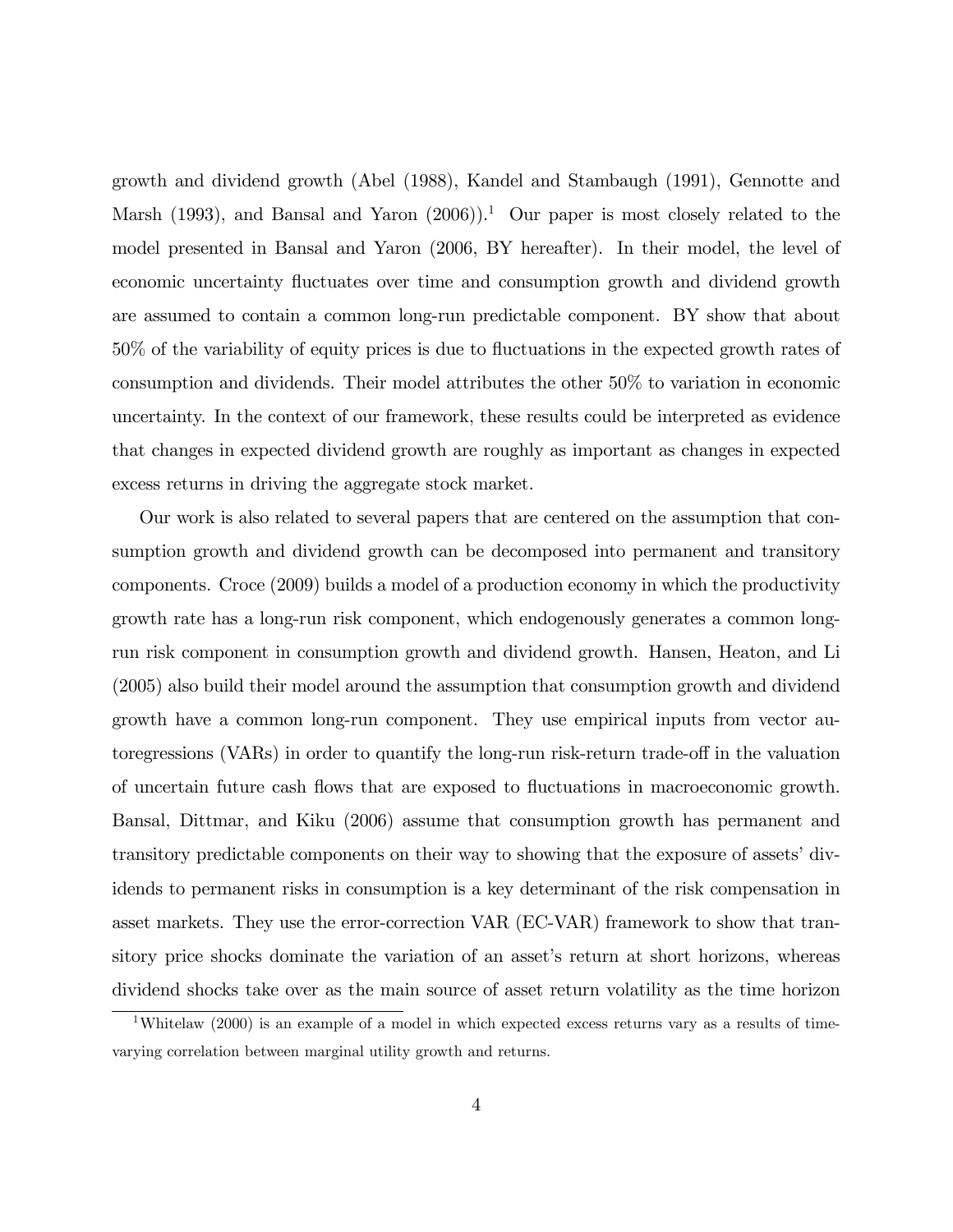growth and dividend growth (Abel (1988), Kandel and Stambaugh (1991), Gennotte and Marsh (1993), and Bansal and Yaron  $(2006)$ ).<sup>1</sup> Our paper is most closely related to the model presented in Bansal and Yaron (2006, BY hereafter). In their model, the level of economic uncertainty fluctuates over time and consumption growth and dividend growth are assumed to contain a common long-run predictable component. BY show that about  $50\%$  of the variability of equity prices is due to fluctuations in the expected growth rates of consumption and dividends. Their model attributes the other 50% to variation in economic uncertainty. In the context of our framework, these results could be interpreted as evidence that changes in expected dividend growth are roughly as important as changes in expected excess returns in driving the aggregate stock market.

Our work is also related to several papers that are centered on the assumption that consumption growth and dividend growth can be decomposed into permanent and transitory components. Croce (2009) builds a model of a production economy in which the productivity growth rate has a long-run risk component, which endogenously generates a common longrun risk component in consumption growth and dividend growth. Hansen, Heaton, and Li (2005) also build their model around the assumption that consumption growth and dividend growth have a common long-run component. They use empirical inputs from vector autoregressions (VARs) in order to quantify the long-run risk-return trade-off in the valuation of uncertain future cash áows that are exposed to áuctuations in macroeconomic growth. Bansal, Dittmar, and Kiku (2006) assume that consumption growth has permanent and transitory predictable components on their way to showing that the exposure of assets' dividends to permanent risks in consumption is a key determinant of the risk compensation in asset markets. They use the error-correction VAR (EC-VAR) framework to show that transitory price shocks dominate the variation of an asset's return at short horizons, whereas dividend shocks take over as the main source of asset return volatility as the time horizon

<sup>&</sup>lt;sup>1</sup>Whitelaw (2000) is an example of a model in which expected excess returns vary as a results of timevarying correlation between marginal utility growth and returns.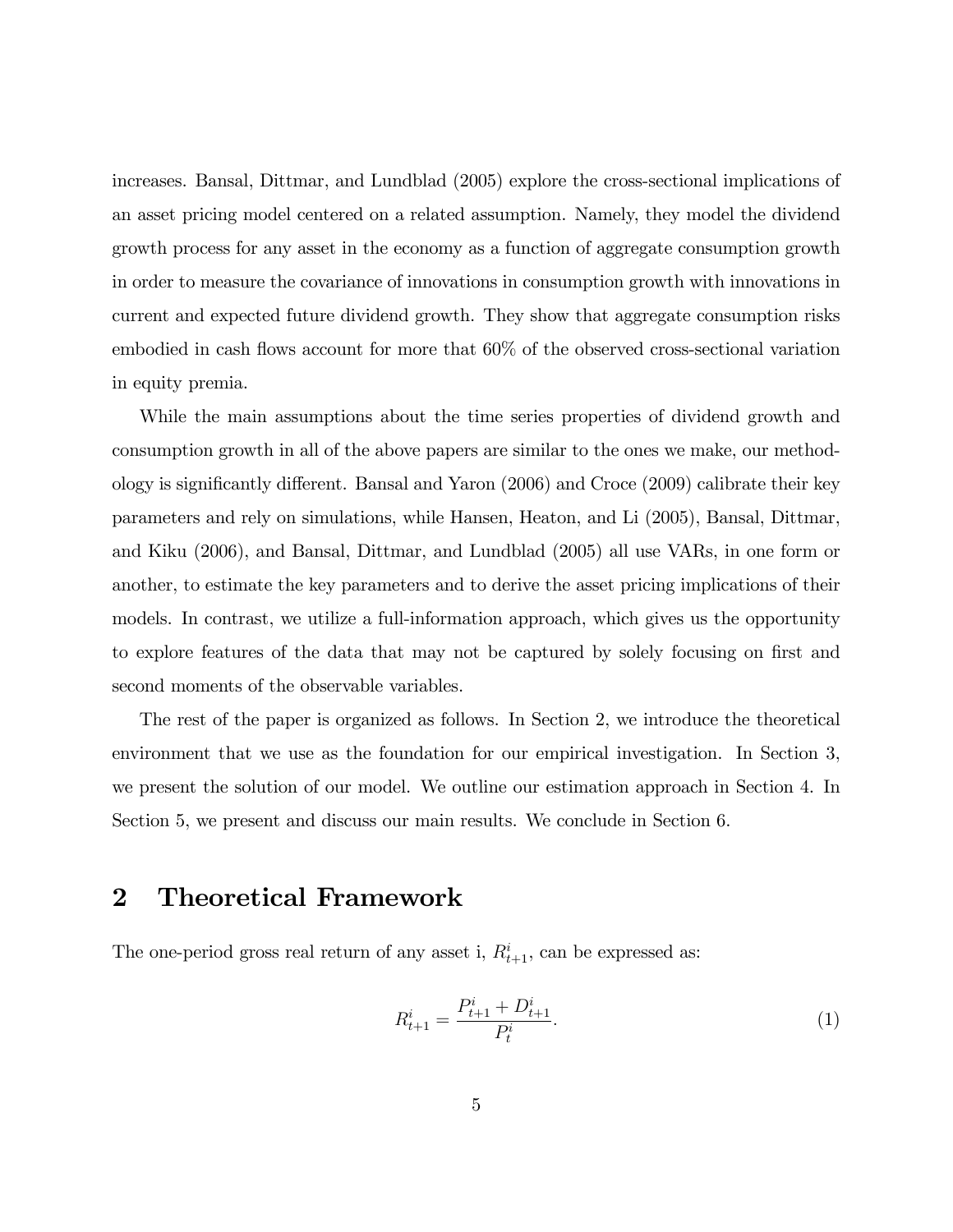increases. Bansal, Dittmar, and Lundblad (2005) explore the cross-sectional implications of an asset pricing model centered on a related assumption. Namely, they model the dividend growth process for any asset in the economy as a function of aggregate consumption growth in order to measure the covariance of innovations in consumption growth with innovations in current and expected future dividend growth. They show that aggregate consumption risks embodied in cash flows account for more that  $60\%$  of the observed cross-sectional variation in equity premia.

While the main assumptions about the time series properties of dividend growth and consumption growth in all of the above papers are similar to the ones we make, our methodology is significantly different. Bansal and Yaron  $(2006)$  and Croce  $(2009)$  calibrate their key parameters and rely on simulations, while Hansen, Heaton, and Li (2005), Bansal, Dittmar, and Kiku (2006), and Bansal, Dittmar, and Lundblad (2005) all use VARs, in one form or another, to estimate the key parameters and to derive the asset pricing implications of their models. In contrast, we utilize a full-information approach, which gives us the opportunity to explore features of the data that may not be captured by solely focusing on first and second moments of the observable variables.

The rest of the paper is organized as follows. In Section 2, we introduce the theoretical environment that we use as the foundation for our empirical investigation. In Section 3, we present the solution of our model. We outline our estimation approach in Section 4. In Section 5, we present and discuss our main results. We conclude in Section 6.

## 2 Theoretical Framework

The one-period gross real return of any asset i,  $R_{t+1}^i$ , can be expressed as:

$$
R_{t+1}^i = \frac{P_{t+1}^i + D_{t+1}^i}{P_t^i}.
$$
\n<sup>(1)</sup>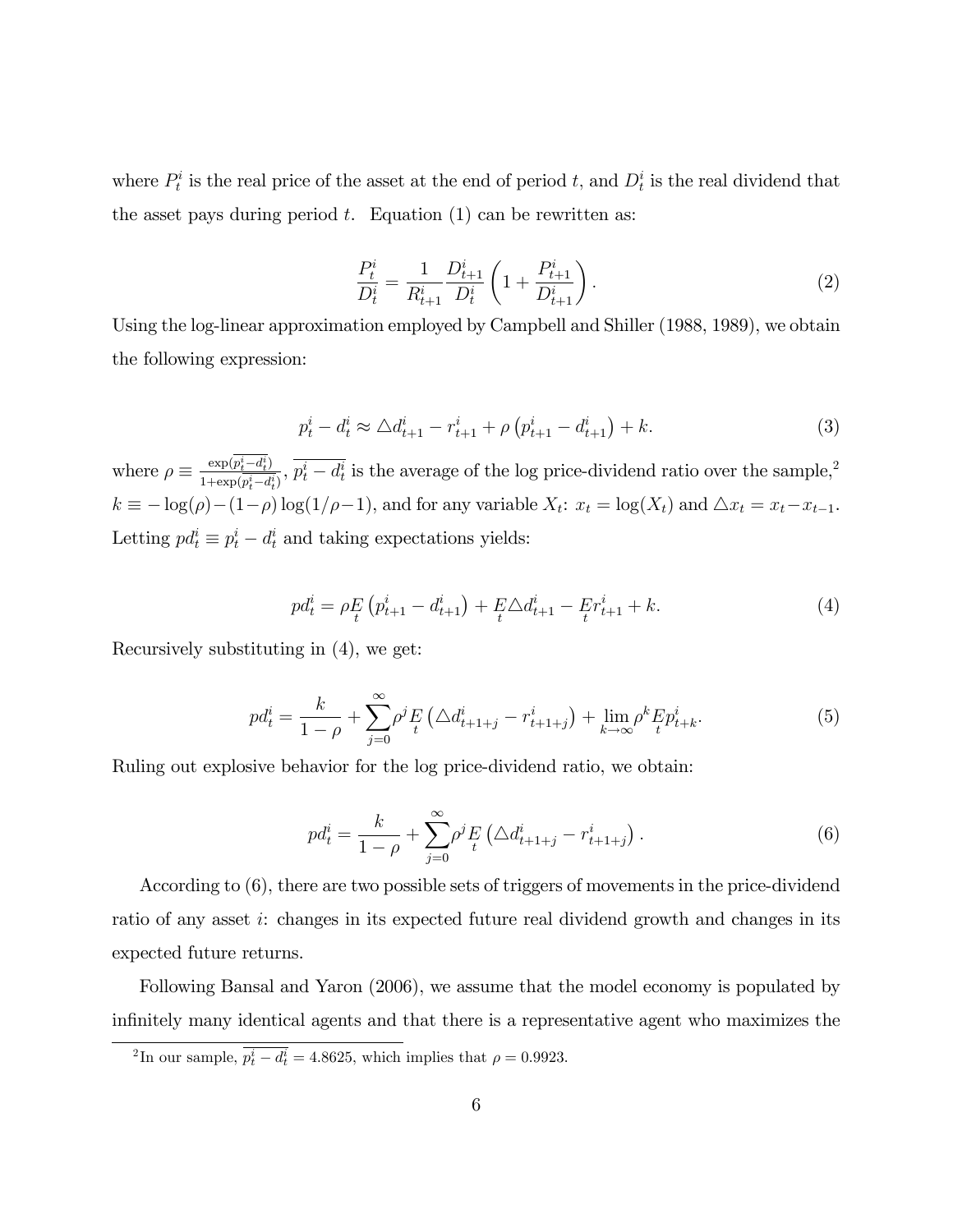where  $P_t^i$  is the real price of the asset at the end of period t, and  $D_t^i$  is the real dividend that the asset pays during period  $t$ . Equation (1) can be rewritten as:

$$
\frac{P_t^i}{D_t^i} = \frac{1}{R_{t+1}^i} \frac{D_{t+1}^i}{D_t^i} \left( 1 + \frac{P_{t+1}^i}{D_{t+1}^i} \right). \tag{2}
$$

Using the log-linear approximation employed by Campbell and Shiller (1988, 1989), we obtain the following expression:

$$
p_t^i - d_t^i \approx \Delta d_{t+1}^i - r_{t+1}^i + \rho \left( p_{t+1}^i - d_{t+1}^i \right) + k. \tag{3}
$$

where  $\rho \equiv \frac{\exp(p_t^i - d_t^i)}{1 + \exp(\overline{p_t^i} - d_t^i)}$  $\frac{\exp(p_t^i - d_t^i)}{1 + \exp(p_t^i - d_t^i)}$ ,  $p_t^i - d_t^i$  is the average of the log price-dividend ratio over the sample,<sup>2</sup>  $k \equiv -\log(\rho) - (1-\rho)\log(1/\rho-1)$ , and for any variable  $X_t$ :  $x_t = \log(X_t)$  and  $\Delta x_t = x_t - x_{t-1}$ . Letting  $pd_t^i \equiv p_t^i - d_t^i$  and taking expectations yields:

$$
pd_t^i = \rho E_t \left( p_{t+1}^i - d_{t+1}^i \right) + E \Delta d_{t+1}^i - E r_{t+1}^i + k. \tag{4}
$$

Recursively substituting in (4), we get:

$$
pd_t^i = \frac{k}{1-\rho} + \sum_{j=0}^{\infty} \rho^j E(t) \Delta d_{t+1+j}^i - r_{t+1+j}^i) + \lim_{k \to \infty} \rho^k E p_{t+k}^i.
$$
 (5)

Ruling out explosive behavior for the log price-dividend ratio, we obtain:

$$
pd_t^i = \frac{k}{1-\rho} + \sum_{j=0}^{\infty} \rho^j \frac{F}{t} \left( \Delta d_{t+1+j}^i - r_{t+1+j}^i \right).
$$
 (6)

According to (6), there are two possible sets of triggers of movements in the price-dividend ratio of any asset i: changes in its expected future real dividend growth and changes in its expected future returns.

Following Bansal and Yaron (2006), we assume that the model economy is populated by infinitely many identical agents and that there is a representative agent who maximizes the

<sup>&</sup>lt;sup>2</sup>In our sample,  $p_t^i - d_t^i = 4.8625$ , which implies that  $\rho = 0.9923$ .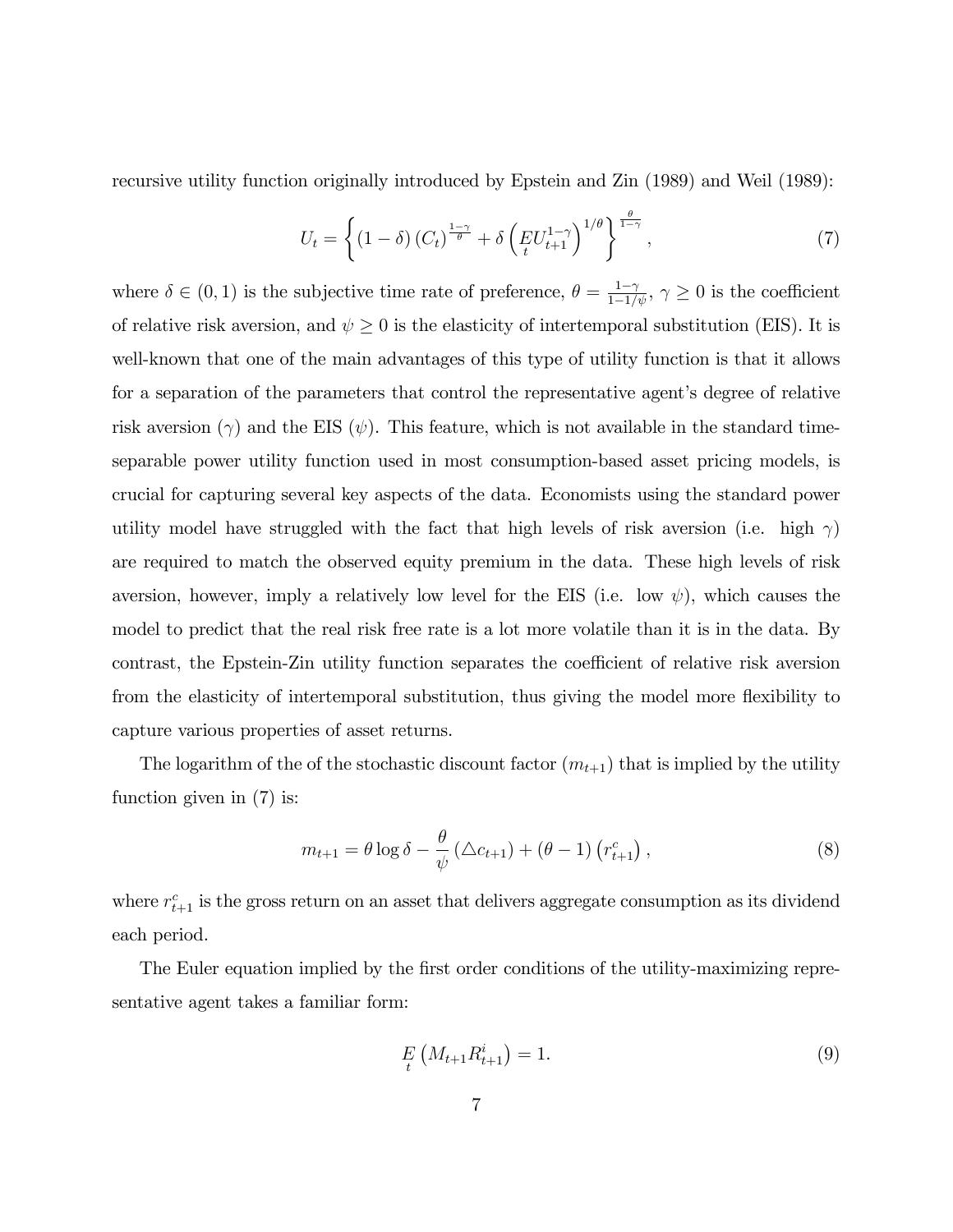recursive utility function originally introduced by Epstein and Zin (1989) and Weil (1989):

$$
U_t = \left\{ \left(1 - \delta\right) \left(C_t\right)^{\frac{1-\gamma}{\theta}} + \delta \left(E U_{t+1}^{1-\gamma}\right)^{1/\theta} \right\}^{\frac{\theta}{1-\gamma}},\tag{7}
$$

where  $\delta \in (0,1)$  is the subjective time rate of preference,  $\theta = \frac{1-\gamma}{1-1/\psi}, \gamma \ge 0$  is the coefficient of relative risk aversion, and  $\psi \geq 0$  is the elasticity of intertemporal substitution (EIS). It is well-known that one of the main advantages of this type of utility function is that it allows for a separation of the parameters that control the representative agent's degree of relative risk aversion  $(\gamma)$  and the EIS  $(\psi)$ . This feature, which is not available in the standard timeseparable power utility function used in most consumption-based asset pricing models, is crucial for capturing several key aspects of the data. Economists using the standard power utility model have struggled with the fact that high levels of risk aversion (i.e. high  $\gamma$ ) are required to match the observed equity premium in the data. These high levels of risk aversion, however, imply a relatively low level for the EIS (i.e. low  $\psi$ ), which causes the model to predict that the real risk free rate is a lot more volatile than it is in the data. By contrast, the Epstein-Zin utility function separates the coefficient of relative risk aversion from the elasticity of intertemporal substitution, thus giving the model more flexibility to capture various properties of asset returns.

The logarithm of the of the stochastic discount factor  $(m_{t+1})$  that is implied by the utility function given in (7) is:

$$
m_{t+1} = \theta \log \delta - \frac{\theta}{\psi} \left( \Delta c_{t+1} \right) + \left( \theta - 1 \right) \left( r_{t+1}^c \right), \tag{8}
$$

where  $r_{t+1}^c$  is the gross return on an asset that delivers aggregate consumption as its dividend each period.

The Euler equation implied by the first order conditions of the utility-maximizing representative agent takes a familiar form:

$$
E_t\left(M_{t+1}R_{t+1}^i\right) = 1.\t\t(9)
$$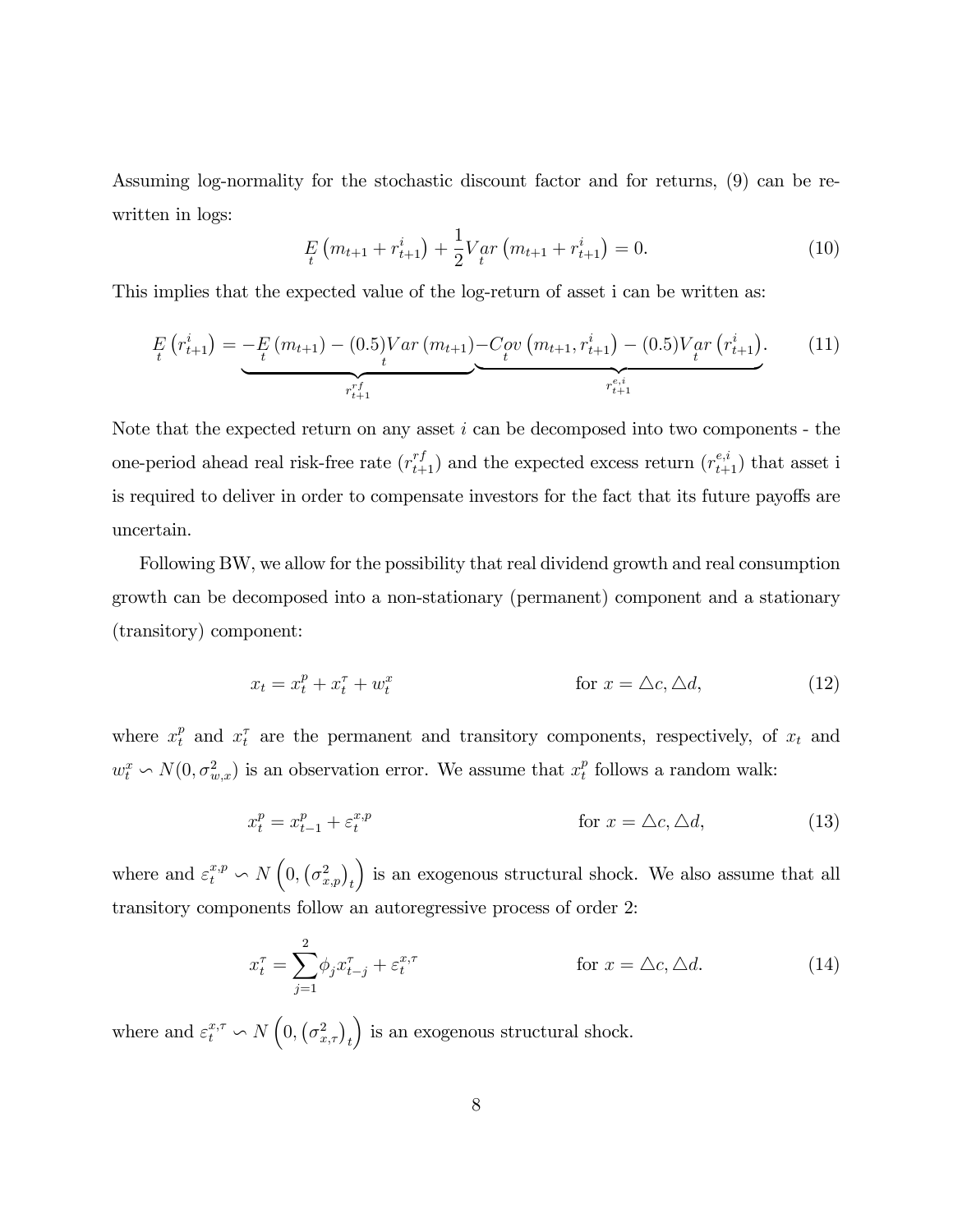Assuming log-normality for the stochastic discount factor and for returns, (9) can be rewritten in logs:

$$
E_t\left(m_{t+1} + r_{t+1}^i\right) + \frac{1}{2}V_{t}ar\left(m_{t+1} + r_{t+1}^i\right) = 0.
$$
\n(10)

This implies that the expected value of the log-return of asset i can be written as:

$$
E_{t}\left(r_{t+1}^{i}\right) = -E_{t}\left(m_{t+1}\right) - (0.5)Var\left(m_{t+1}\right) - Cov\left(m_{t+1}, r_{t+1}^{i}\right) - (0.5)Var\left(r_{t+1}^{i}\right).
$$
\n(11)

Note that the expected return on any asset  $i$  can be decomposed into two components - the one-period ahead real risk-free rate  $(r_{t+1}^{rf})$  and the expected excess return  $(r_{t+1}^{e,i})$  that asset i is required to deliver in order to compensate investors for the fact that its future payoffs are uncertain.

Following BW, we allow for the possibility that real dividend growth and real consumption growth can be decomposed into a non-stationary (permanent) component and a stationary (transitory) component:

$$
x_t = x_t^p + x_t^\tau + w_t^x \qquad \qquad \text{for } x = \Delta c, \Delta d,\tag{12}
$$

where  $x_t^p$  and  $x_t^{\tau}$  are the permanent and transitory components, respectively, of  $x_t$  and  $w_t^x \backsim N(0, \sigma_{w,x}^2)$  is an observation error. We assume that  $x_t^p$  $t<sub>t</sub><sup>p</sup>$  follows a random walk:

$$
x_t^p = x_{t-1}^p + \varepsilon_t^{x,p} \qquad \qquad \text{for } x = \Delta c, \Delta d,\tag{13}
$$

where and  $\varepsilon_t^{x,p} \backsim N\left(0, \left(\sigma_{x,p}^2\right)_t\right)$ ) is an exogenous structural shock. We also assume that all transitory components follow an autoregressive process of order 2:

$$
x_t^{\tau} = \sum_{j=1}^2 \phi_j x_{t-j}^{\tau} + \varepsilon_t^{x,\tau} \qquad \text{for } x = \Delta c, \Delta d. \qquad (14)
$$

where and  $\varepsilon_t^{x,\tau} \backsim N\left(0, \left(\sigma_{x,\tau}^2\right)_t\right)$ ) is an exogenous structural shock.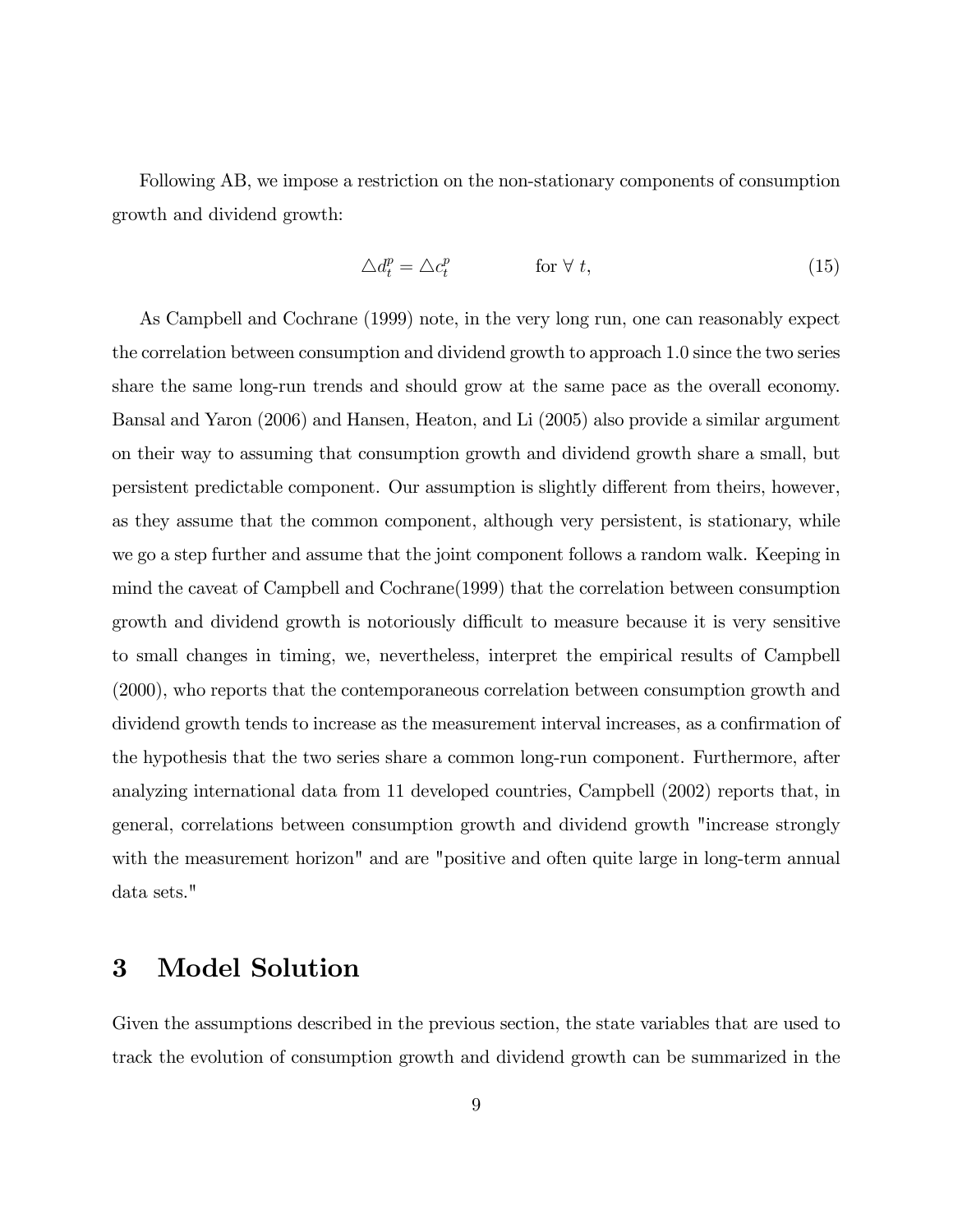Following AB, we impose a restriction on the non-stationary components of consumption growth and dividend growth:

$$
\triangle d_t^p = \triangle c_t^p \qquad \qquad \text{for } \forall \ t,\tag{15}
$$

As Campbell and Cochrane (1999) note, in the very long run, one can reasonably expect the correlation between consumption and dividend growth to approach 1:0 since the two series share the same long-run trends and should grow at the same pace as the overall economy. Bansal and Yaron (2006) and Hansen, Heaton, and Li (2005) also provide a similar argument on their way to assuming that consumption growth and dividend growth share a small, but persistent predictable component. Our assumption is slightly different from theirs, however, as they assume that the common component, although very persistent, is stationary, while we go a step further and assume that the joint component follows a random walk. Keeping in mind the caveat of Campbell and Cochrane(1999) that the correlation between consumption growth and dividend growth is notoriously difficult to measure because it is very sensitive to small changes in timing, we, nevertheless, interpret the empirical results of Campbell (2000), who reports that the contemporaneous correlation between consumption growth and dividend growth tends to increase as the measurement interval increases, as a confirmation of the hypothesis that the two series share a common long-run component. Furthermore, after analyzing international data from 11 developed countries, Campbell (2002) reports that, in general, correlations between consumption growth and dividend growth "increase strongly with the measurement horizon" and are "positive and often quite large in long-term annual data sets."

## 3 Model Solution

Given the assumptions described in the previous section, the state variables that are used to track the evolution of consumption growth and dividend growth can be summarized in the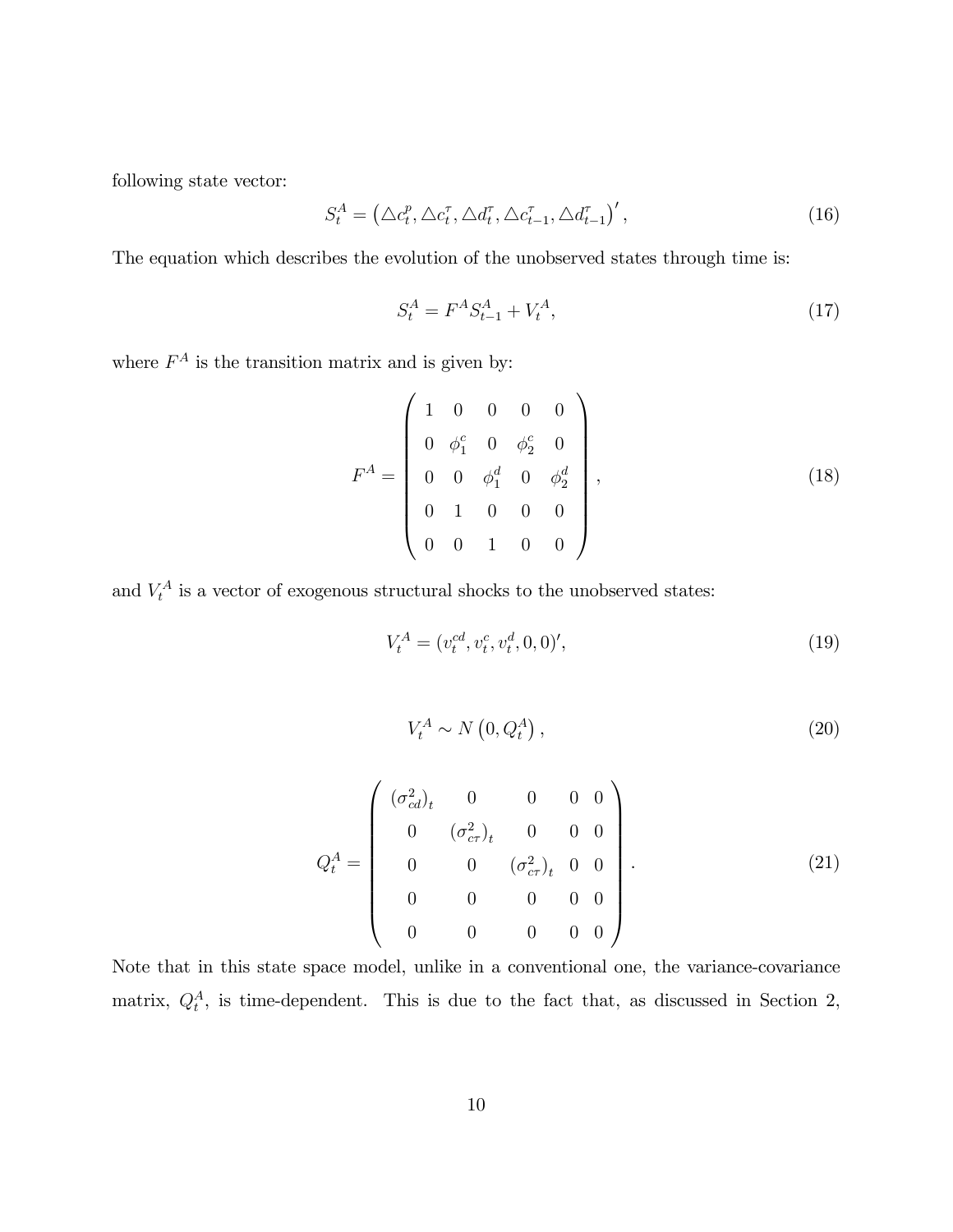following state vector:

$$
S_t^A = \left(\Delta c_t^p, \Delta c_t^{\tau}, \Delta d_t^{\tau}, \Delta c_{t-1}^{\tau}, \Delta d_{t-1}^{\tau}\right)',\tag{16}
$$

The equation which describes the evolution of the unobserved states through time is:

$$
S_t^A = F^A S_{t-1}^A + V_t^A, \tag{17}
$$

where  $F^A$  is the transition matrix and is given by:

$$
F^{A} = \begin{pmatrix} 1 & 0 & 0 & 0 & 0 \\ 0 & \phi_{1}^{c} & 0 & \phi_{2}^{c} & 0 \\ 0 & 0 & \phi_{1}^{d} & 0 & \phi_{2}^{d} \\ 0 & 1 & 0 & 0 & 0 \\ 0 & 0 & 1 & 0 & 0 \end{pmatrix},
$$
(18)

and  $V_t^A$  is a vector of exogenous structural shocks to the unobserved states:

$$
V_t^A = (v_t^{cd}, v_t^c, v_t^d, 0, 0)', \tag{19}
$$

$$
V_t^A \sim N\left(0, Q_t^A\right),\tag{20}
$$

$$
Q_t^A = \begin{pmatrix} (\sigma_{cd}^2)_t & 0 & 0 & 0 & 0 \\ 0 & (\sigma_{cr}^2)_t & 0 & 0 & 0 \\ 0 & 0 & (\sigma_{cr}^2)_t & 0 & 0 \\ 0 & 0 & 0 & 0 & 0 \\ 0 & 0 & 0 & 0 & 0 \end{pmatrix}.
$$
 (21)

Note that in this state space model, unlike in a conventional one, the variance-covariance matrix,  $Q_t^A$ , is time-dependent. This is due to the fact that, as discussed in Section 2,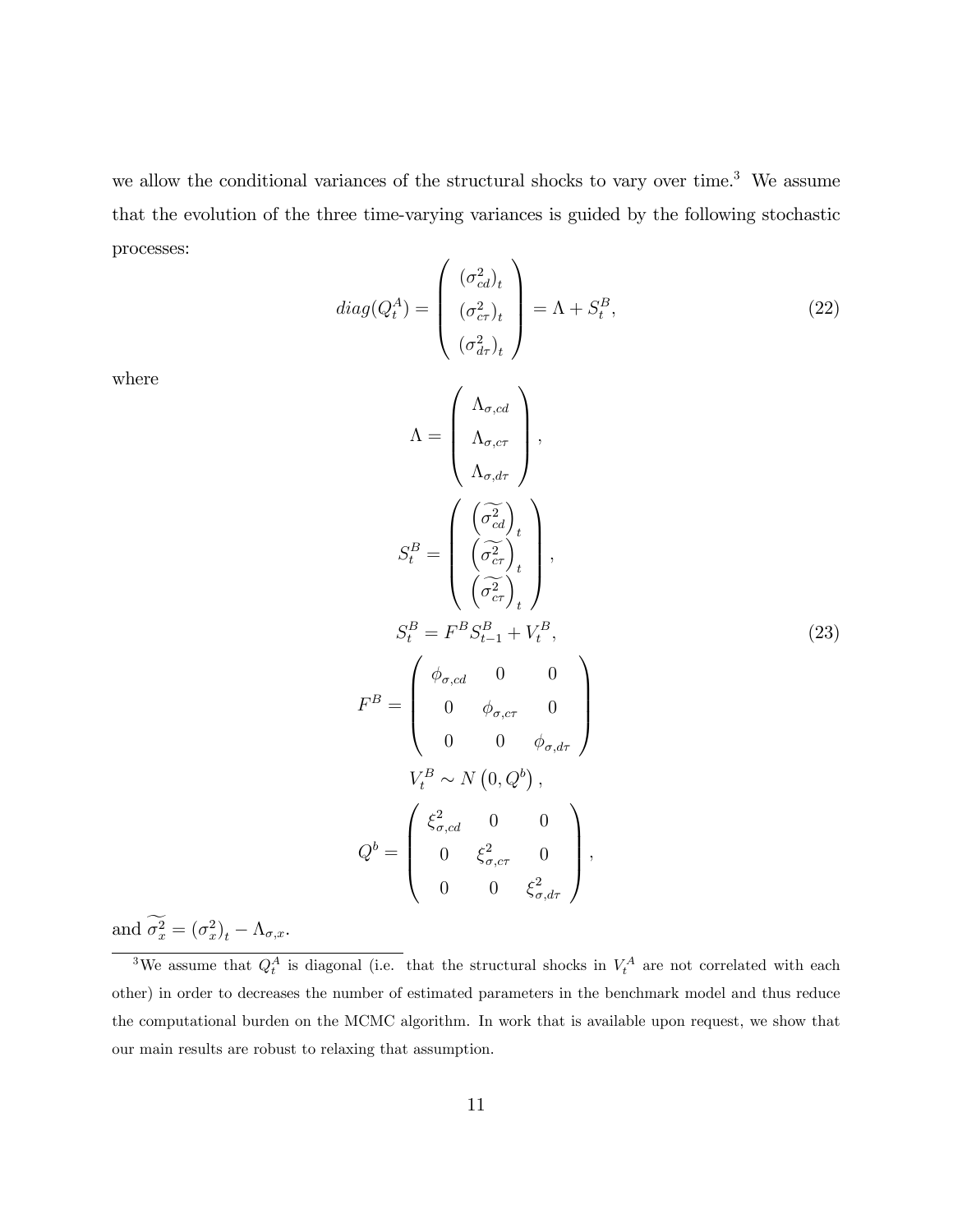we allow the conditional variances of the structural shocks to vary over time.<sup>3</sup> We assume that the evolution of the three time-varying variances is guided by the following stochastic processes:

 $d$ 

where

$$
iag(Q_t^A) = \begin{pmatrix} (\sigma_{cd}^2)_t \\ (\sigma_{cr}^2)_t \\ (\sigma_{d\tau}^2)_t \end{pmatrix} = \Lambda + S_t^B,
$$
\n
$$
\Lambda = \begin{pmatrix} \Lambda_{\sigma,cd} \\ \Lambda_{\sigma,cr} \\ \Lambda_{\sigma,d\tau} \end{pmatrix},
$$
\n
$$
(22)
$$

$$
S_t^B = \begin{pmatrix} \left(\frac{\widetilde{\sigma}_c^2}{\sigma_{cd}^2}\right)_t \\ \left(\frac{\widetilde{\sigma}_c^2}{\sigma_{cr}^2}\right)_t \\ \left(\frac{\widetilde{\sigma}_c^2}{\sigma_{cr}^2}\right)_t \end{pmatrix},
$$
  
\n
$$
S_t^B = F^B S_{t-1}^B + V_t^B,
$$
  
\n
$$
F^B = \begin{pmatrix} \phi_{\sigma, cd} & 0 & 0 \\ 0 & \phi_{\sigma, cr} & 0 \\ 0 & 0 & \phi_{\sigma, d\tau} \end{pmatrix}
$$
  
\n
$$
V_t^B \sim N(0, Q^b),
$$
  
\n
$$
Q^b = \begin{pmatrix} \xi_{\sigma, cd}^2 & 0 & 0 \\ 0 & \xi_{\sigma, cr}^2 & 0 \\ 0 & 0 & \xi_{\sigma, d\tau}^2 \end{pmatrix},
$$

 $(23)$ 

and  $\sigma_x^2 = (\sigma_x^2)_t - \Lambda_{\sigma,x}$ .

<sup>&</sup>lt;sup>3</sup>We assume that  $Q_t^A$  is diagonal (i.e. that the structural shocks in  $V_t^A$  are not correlated with each other) in order to decreases the number of estimated parameters in the benchmark model and thus reduce the computational burden on the MCMC algorithm. In work that is available upon request, we show that our main results are robust to relaxing that assumption.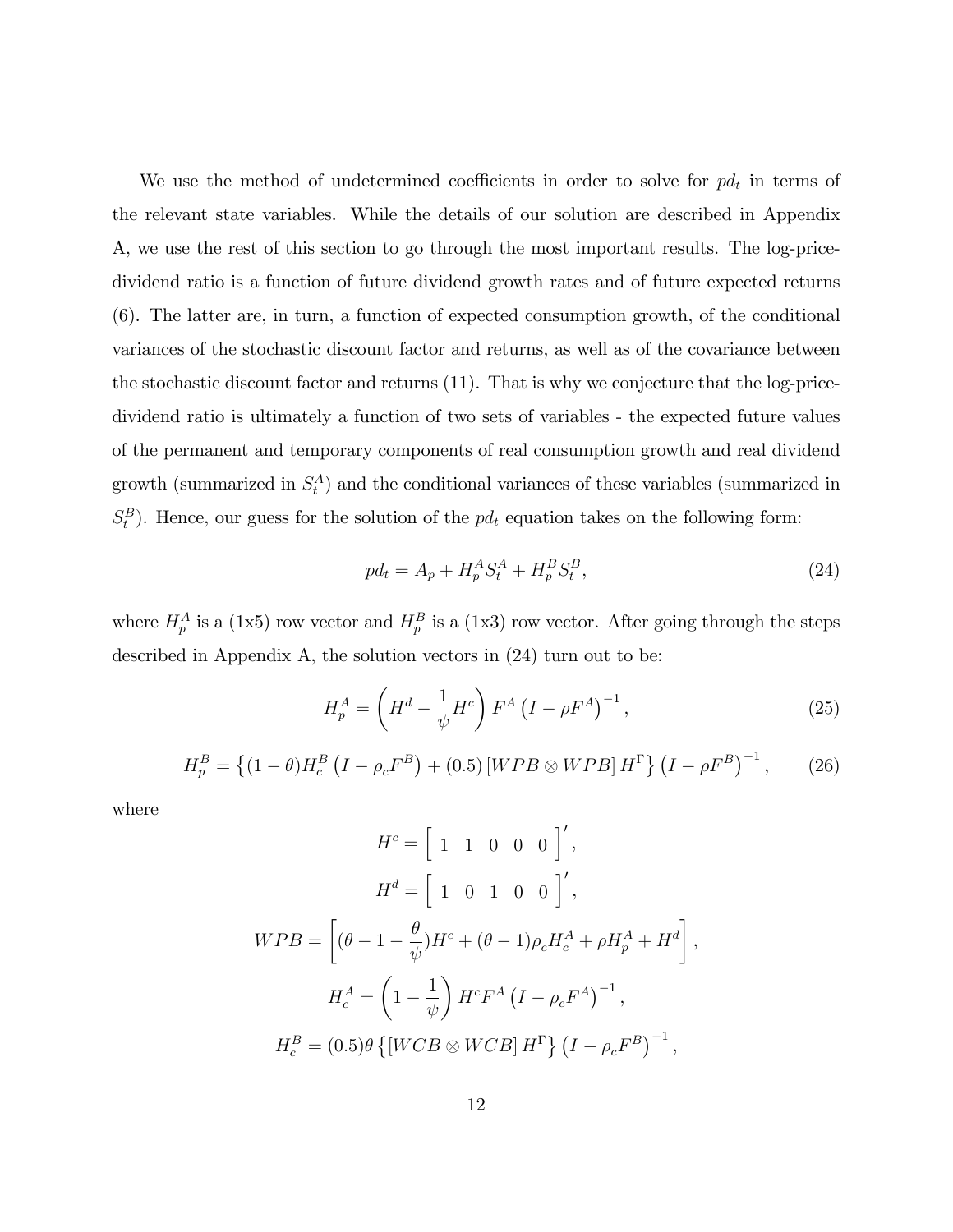We use the method of undetermined coefficients in order to solve for  $pd_t$  in terms of the relevant state variables. While the details of our solution are described in Appendix A, we use the rest of this section to go through the most important results. The log-pricedividend ratio is a function of future dividend growth rates and of future expected returns (6). The latter are, in turn, a function of expected consumption growth, of the conditional variances of the stochastic discount factor and returns, as well as of the covariance between the stochastic discount factor and returns (11). That is why we conjecture that the log-pricedividend ratio is ultimately a function of two sets of variables - the expected future values of the permanent and temporary components of real consumption growth and real dividend growth (summarized in  $S_t^A$ ) and the conditional variances of these variables (summarized in  $S_t^B$ ). Hence, our guess for the solution of the  $pd_t$  equation takes on the following form:

$$
pd_t = A_p + H_p^A S_t^A + H_p^B S_t^B,
$$
\n(24)

where  $H_p^A$  is a (1x5) row vector and  $H_p^B$  is a (1x3) row vector. After going through the steps described in Appendix A, the solution vectors in (24) turn out to be:

$$
H_p^A = \left(H^d - \frac{1}{\psi}H^c\right)F^A \left(I - \rho F^A\right)^{-1},\tag{25}
$$

$$
H_p^B = \{(1 - \theta)H_c^B (I - \rho_c F^B) + (0.5) [WPB \otimes WPB] H^{\Gamma}\} (I - \rho F^B)^{-1}, \qquad (26)
$$

$$
H^{c} = \left[ \begin{array}{ccc} 1 & 1 & 0 & 0 & 0 \end{array} \right]',
$$
  
\n
$$
H^{d} = \left[ \begin{array}{ccc} 1 & 0 & 1 & 0 & 0 \end{array} \right]',
$$
  
\n
$$
WPB = \left[ (\theta - 1 - \frac{\theta}{\psi})H^{c} + (\theta - 1)\rho_{c}H_{c}^{A} + \rho H_{p}^{A} + H^{d} \right],
$$
  
\n
$$
H_{c}^{A} = \left( 1 - \frac{1}{\psi} \right)H^{c}F^{A} \left( I - \rho_{c}F^{A} \right)^{-1},
$$
  
\n
$$
H_{c}^{B} = (0.5)\theta \left\{ \left[ WCB \otimes WCB \right]H^{\Gamma} \right\} \left( I - \rho_{c}F^{B} \right)^{-1},
$$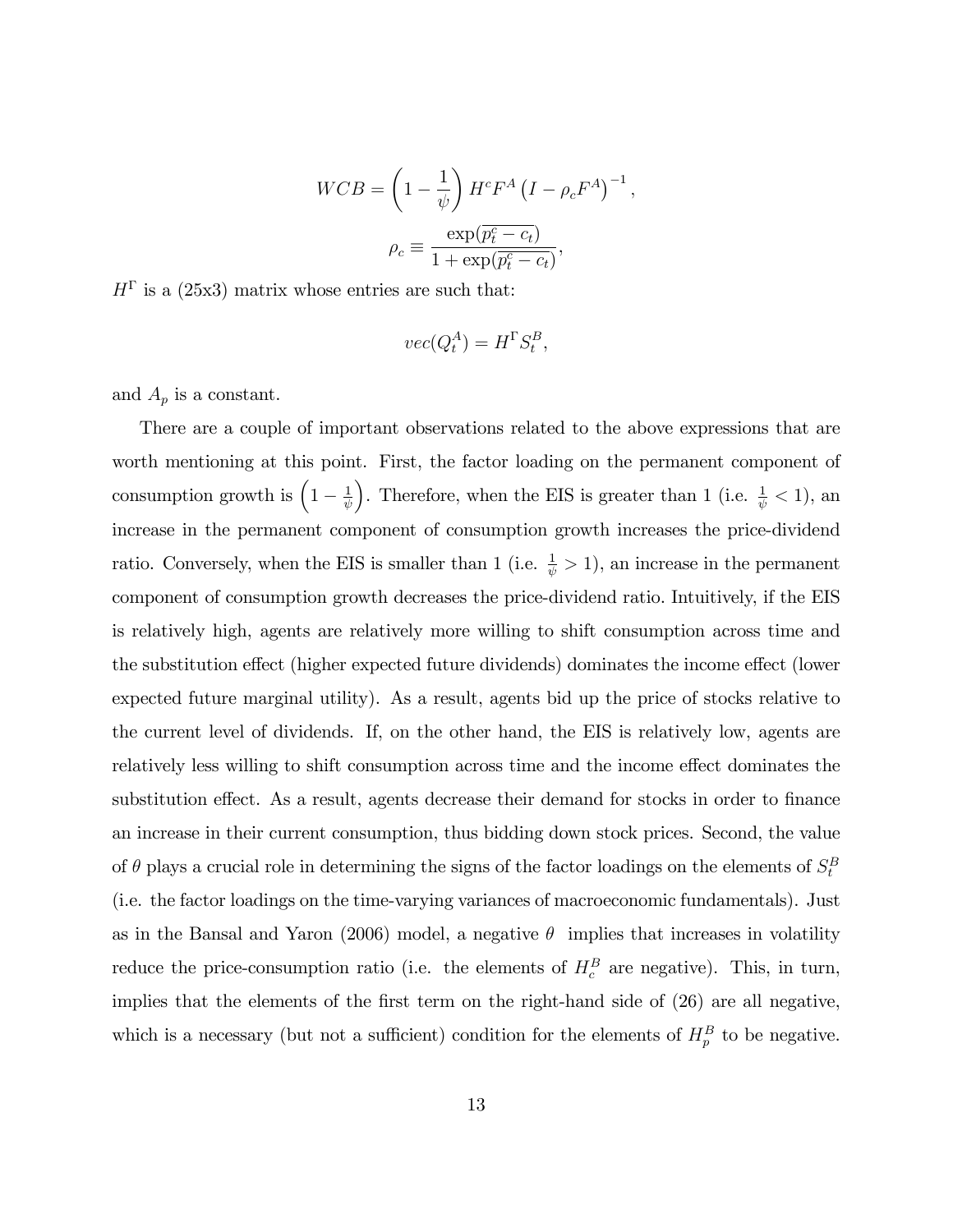$$
WCB = \left(1 - \frac{1}{\psi}\right) H^c F^A \left(I - \rho_c F^A\right)^{-1},
$$

$$
\rho_c \equiv \frac{\exp(\overline{p_c^c - c_t})}{1 + \exp(\overline{p_c^c - c_t})},
$$

 $H^{\Gamma}$  is a (25x3) matrix whose entries are such that:

$$
vec(Q_t^A) = H^{\Gamma} S_t^B,
$$

and  $A_p$  is a constant.

There are a couple of important observations related to the above expressions that are worth mentioning at this point. First, the factor loading on the permanent component of consumption growth is  $\left(1 - \frac{1}{\psi}\right)$  $\psi$ ). Therefore, when the EIS is greater than 1 (i.e.  $\frac{1}{\psi} < 1$ ), an increase in the permanent component of consumption growth increases the price-dividend ratio. Conversely, when the EIS is smaller than 1 (i.e.  $\frac{1}{\psi} > 1$ ), an increase in the permanent component of consumption growth decreases the price-dividend ratio. Intuitively, if the EIS is relatively high, agents are relatively more willing to shift consumption across time and the substitution effect (higher expected future dividends) dominates the income effect (lower expected future marginal utility). As a result, agents bid up the price of stocks relative to the current level of dividends. If, on the other hand, the EIS is relatively low, agents are relatively less willing to shift consumption across time and the income effect dominates the substitution effect. As a result, agents decrease their demand for stocks in order to finance an increase in their current consumption, thus bidding down stock prices. Second, the value of  $\theta$  plays a crucial role in determining the signs of the factor loadings on the elements of  $S_t^B$ (i.e. the factor loadings on the time-varying variances of macroeconomic fundamentals). Just as in the Bansal and Yaron (2006) model, a negative  $\theta$  implies that increases in volatility reduce the price-consumption ratio (i.e. the elements of  $H_c^B$  are negative). This, in turn, implies that the elements of the first term on the right-hand side of  $(26)$  are all negative, which is a necessary (but not a sufficient) condition for the elements of  $H_p^B$  to be negative.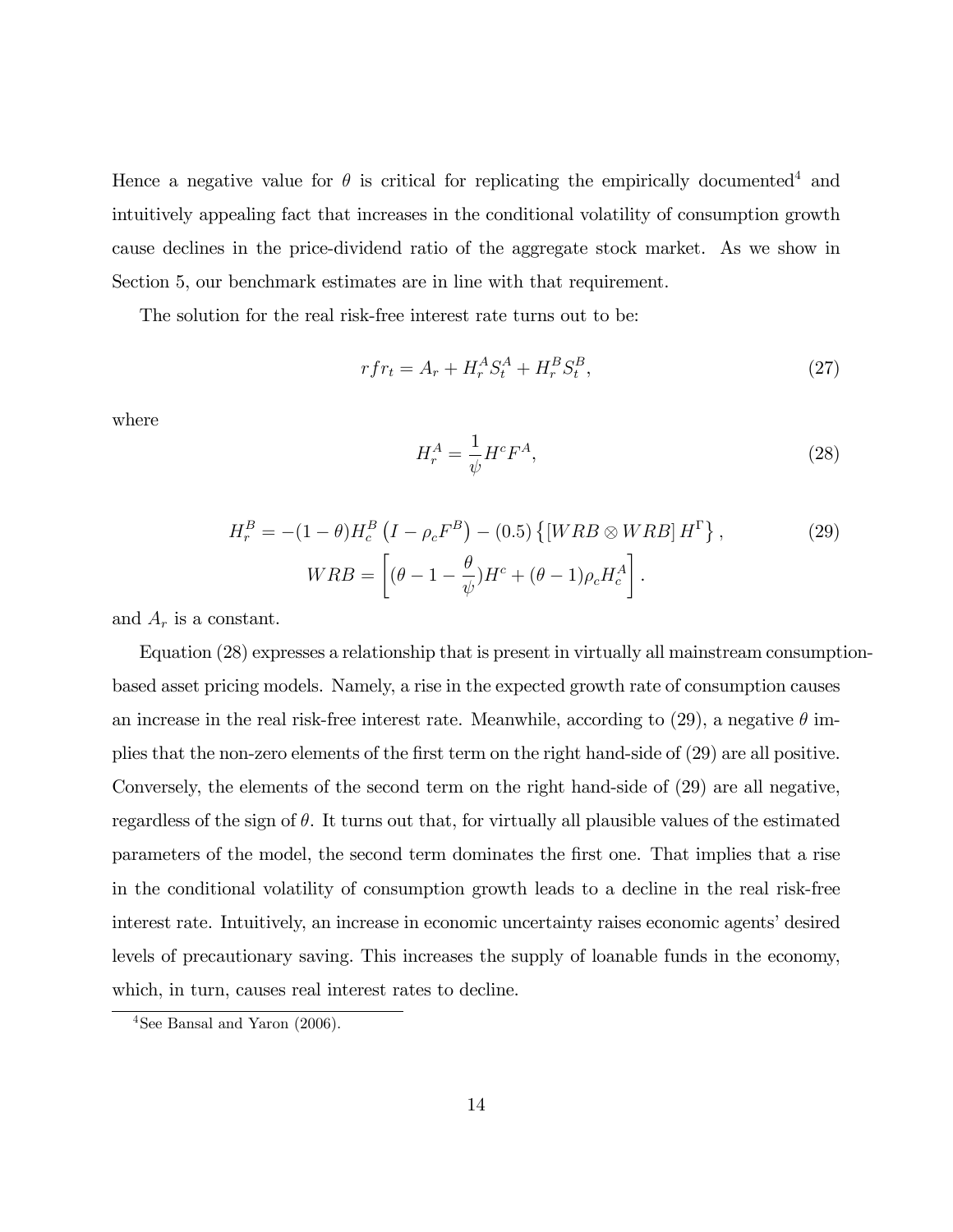Hence a negative value for  $\theta$  is critical for replicating the empirically documented<sup>4</sup> and intuitively appealing fact that increases in the conditional volatility of consumption growth cause declines in the price-dividend ratio of the aggregate stock market. As we show in Section 5, our benchmark estimates are in line with that requirement.

The solution for the real risk-free interest rate turns out to be:

$$
rfr_t = A_r + H_r^A S_t^A + H_r^B S_t^B,
$$
\n(27)

where

$$
H_r^A = \frac{1}{\psi} H^c F^A,\tag{28}
$$

$$
H_r^B = -(1 - \theta)H_c^B \left(I - \rho_c F^B\right) - (0.5) \left\{ \left[WRB \otimes WRB\right] H^{\Gamma} \right\},\tag{29}
$$

$$
WRB = \left[ (\theta - 1 - \frac{\theta}{\psi})H^c + (\theta - 1)\rho_c H_c^A \right].
$$

and  $A_r$  is a constant.

Equation (28) expresses a relationship that is present in virtually all mainstream consumptionbased asset pricing models. Namely, a rise in the expected growth rate of consumption causes an increase in the real risk-free interest rate. Meanwhile, according to  $(29)$ , a negative  $\theta$  implies that the non-zero elements of the Örst term on the right hand-side of (29) are all positive. Conversely, the elements of the second term on the right hand-side of (29) are all negative, regardless of the sign of  $\theta$ . It turns out that, for virtually all plausible values of the estimated parameters of the model, the second term dominates the Örst one. That implies that a rise in the conditional volatility of consumption growth leads to a decline in the real risk-free interest rate. Intuitively, an increase in economic uncertainty raises economic agents' desired levels of precautionary saving. This increases the supply of loanable funds in the economy, which, in turn, causes real interest rates to decline.

 $4$ See Bansal and Yaron (2006).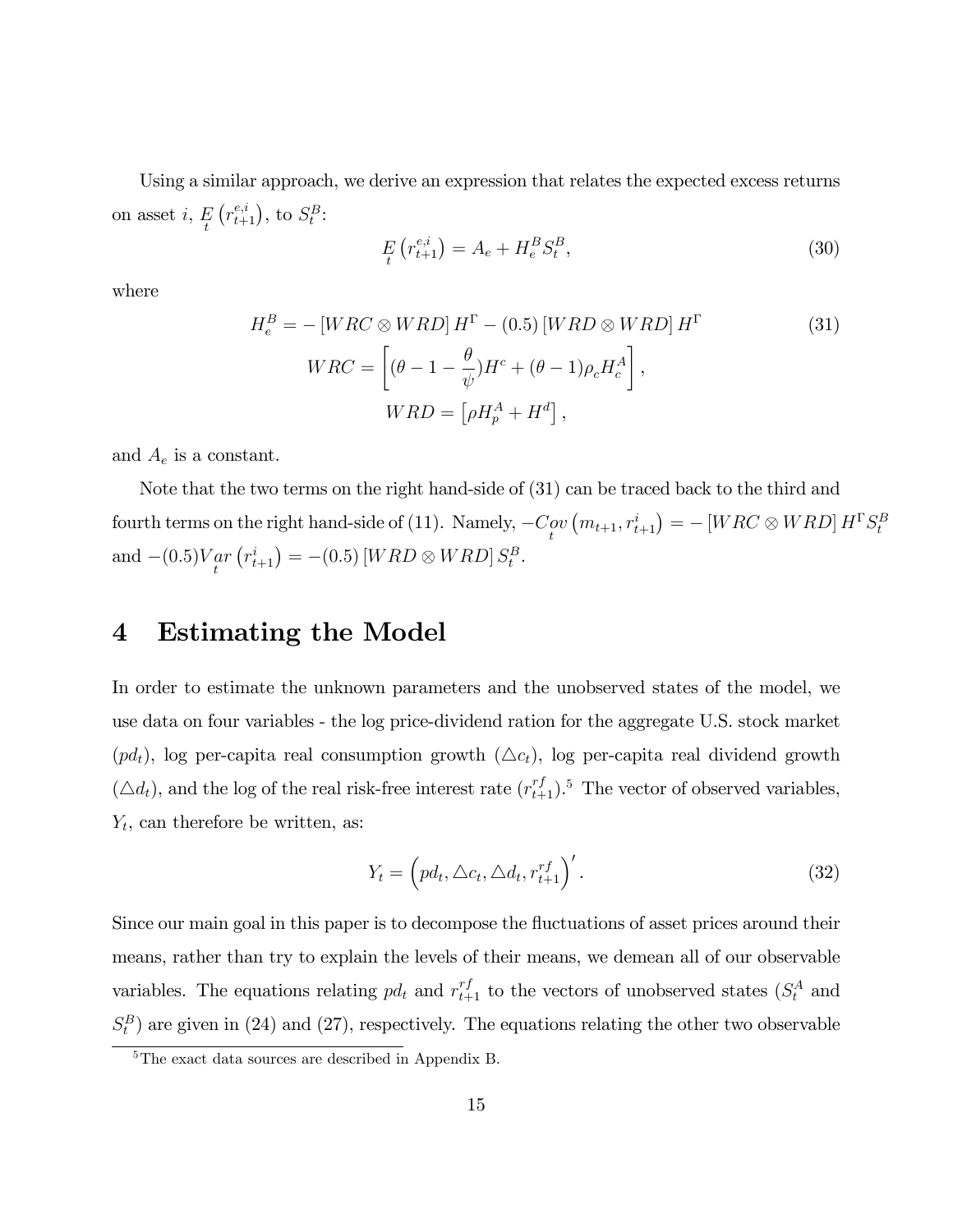Using a similar approach, we derive an expression that relates the expected excess returns on asset  $i, E$  $(r_{t+1}^{e,i})$ , to  $S_t^B$ :

$$
E_t(r_{t+1}^{e,i}) = A_e + H_e^B S_t^B,
$$
\n(30)

where

$$
H_e^B = -\left[WRC \otimes WRD\right]H^{\Gamma} - (0.5)\left[WRD \otimes WRD\right]H^{\Gamma}
$$
\n
$$
WRC = \left[(\theta - 1 - \frac{\theta}{\psi})H^c + (\theta - 1)\rho_c H_c^A\right],
$$
\n
$$
WRD = \left[\rho H_p^A + H^d\right],
$$
\n(31)

and  $A_e$  is a constant.

Note that the two terms on the right hand-side of (31) can be traced back to the third and fourth terms on the right hand-side of (11). Namely,  $-C_{\ell}^{ov}$  $(m_{t+1}, r_{t+1}^i) = - [WRC \otimes WRD] H^{\Gamma} S^B_t$ and  $-(0.5)V_{tr}$  $\left( {r_{t + 1}^i} \right) = - (0.5)\left[ WRD \otimes WRD \right] S_t^B.$ 

### 4 Estimating the Model

In order to estimate the unknown parameters and the unobserved states of the model, we use data on four variables - the log price-dividend ration for the aggregate U.S. stock market  $(pd_t)$ , log per-capita real consumption growth  $(\Delta c_t)$ , log per-capita real dividend growth  $(\triangle d_t)$ , and the log of the real risk-free interest rate  $(r_{t+1}^{rf})$ .<sup>5</sup> The vector of observed variables,  $Y_t$ , can therefore be written, as:

$$
Y_t = \left(p d_t, \Delta c_t, \Delta d_t, r_{t+1}^{rf}\right)'.\tag{32}
$$

Since our main goal in this paper is to decompose the fluctuations of asset prices around their means, rather than try to explain the levels of their means, we demean all of our observable variables. The equations relating  $pd_t$  and  $r_{t+1}^{rf}$  to the vectors of unobserved states  $(S_t^A$  and  $S_t^B$ ) are given in (24) and (27), respectively. The equations relating the other two observable

<sup>&</sup>lt;sup>5</sup>The exact data sources are described in Appendix B.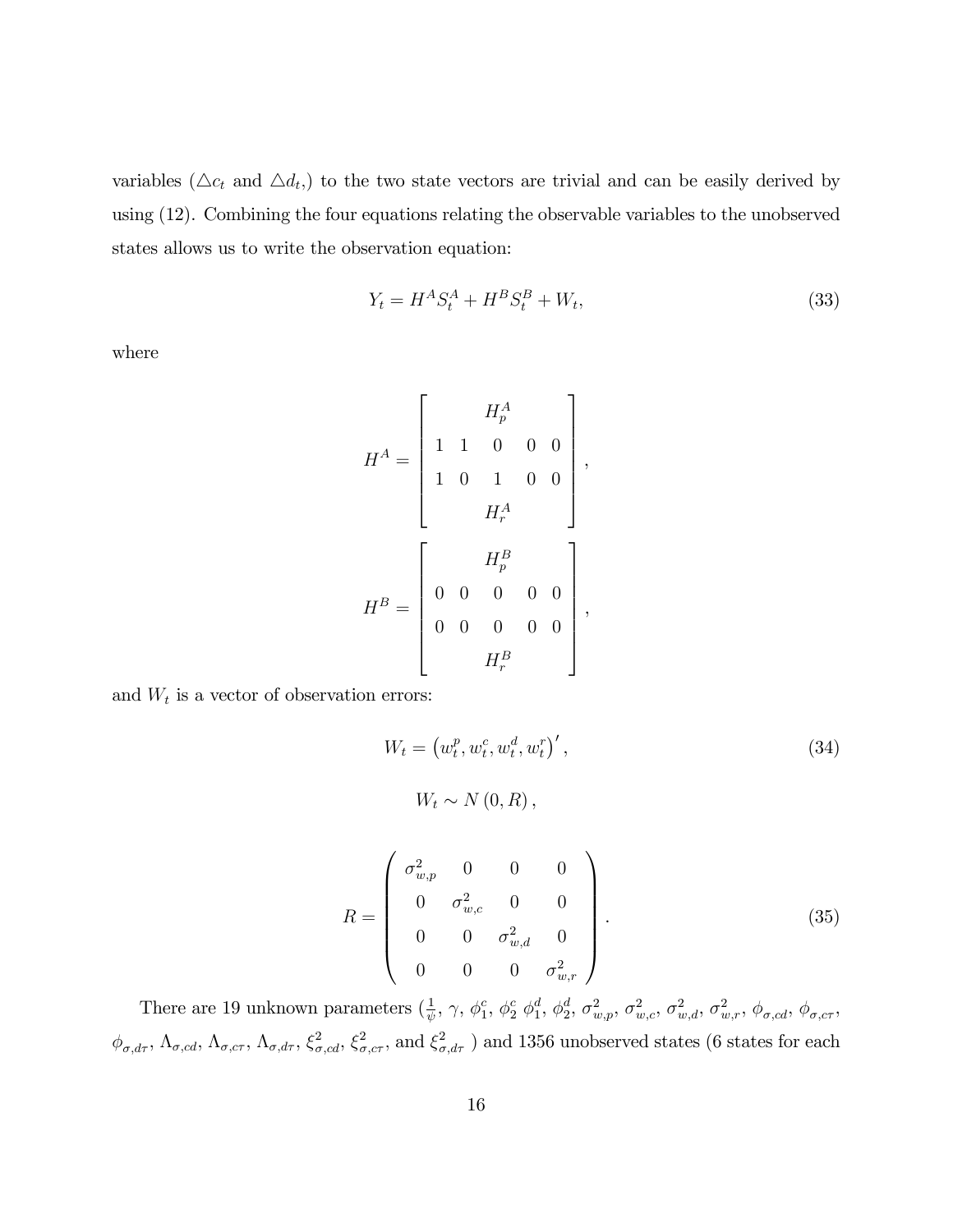variables ( $\Delta c_t$  and  $\Delta d_t$ ) to the two state vectors are trivial and can be easily derived by using (12). Combining the four equations relating the observable variables to the unobserved states allows us to write the observation equation:

$$
Y_t = H^A S_t^A + H^B S_t^B + W_t,
$$
\n(33)

where

H <sup>A</sup> = 2 6 6 6 6 6 6 4 H<sup>A</sup> p 1 1 0 0 0 1 0 1 0 0 H<sup>A</sup> r 3 7 7 7 7 7 7 5 , H <sup>B</sup> = 2 6 6 6 6 6 6 4 H<sup>B</sup> p 0 0 0 0 0 0 0 0 0 0 H<sup>B</sup> r 3 7 7 7 7 7 7 5 ,

and  $W_t$  is a vector of observation errors:

$$
W_t = \left(w_t^p, w_t^c, w_t^d, w_t^r\right)',
$$
  
\n
$$
W_t \sim N(0, R),
$$
\n(34)

$$
R = \begin{pmatrix} \sigma_{w,p}^2 & 0 & 0 & 0 \\ 0 & \sigma_{w,c}^2 & 0 & 0 \\ 0 & 0 & \sigma_{w,d}^2 & 0 \\ 0 & 0 & 0 & \sigma_{w,r}^2 \end{pmatrix} .
$$
 (35)

There are 19 unknown parameters  $(\frac{1}{\psi}, \gamma, \phi_1^c)$  $_1^c$ ,  $\phi_2^c$   $\phi_1^d$  $_1^d$ ,  $\phi_2^d$  $\sigma _{w,p}^d,\,\sigma _{w,c}^2,\,\sigma _{w,d}^2,\,\sigma _{w,r}^2,\,\phi _{\sigma,cd} ,\,\phi _{\sigma,cr} ,$  $\phi_{\sigma,d\tau}$ ,  $\Lambda_{\sigma,cd}$ ,  $\Lambda_{\sigma,cr}$ ,  $\Lambda_{\sigma,d\tau}$ ,  $\xi_{\sigma,cd}^2$ ,  $\xi_{\sigma,cc}^2$ , and  $\xi_{\sigma,d\tau}^2$  ) and 1356 unobserved states (6 states for each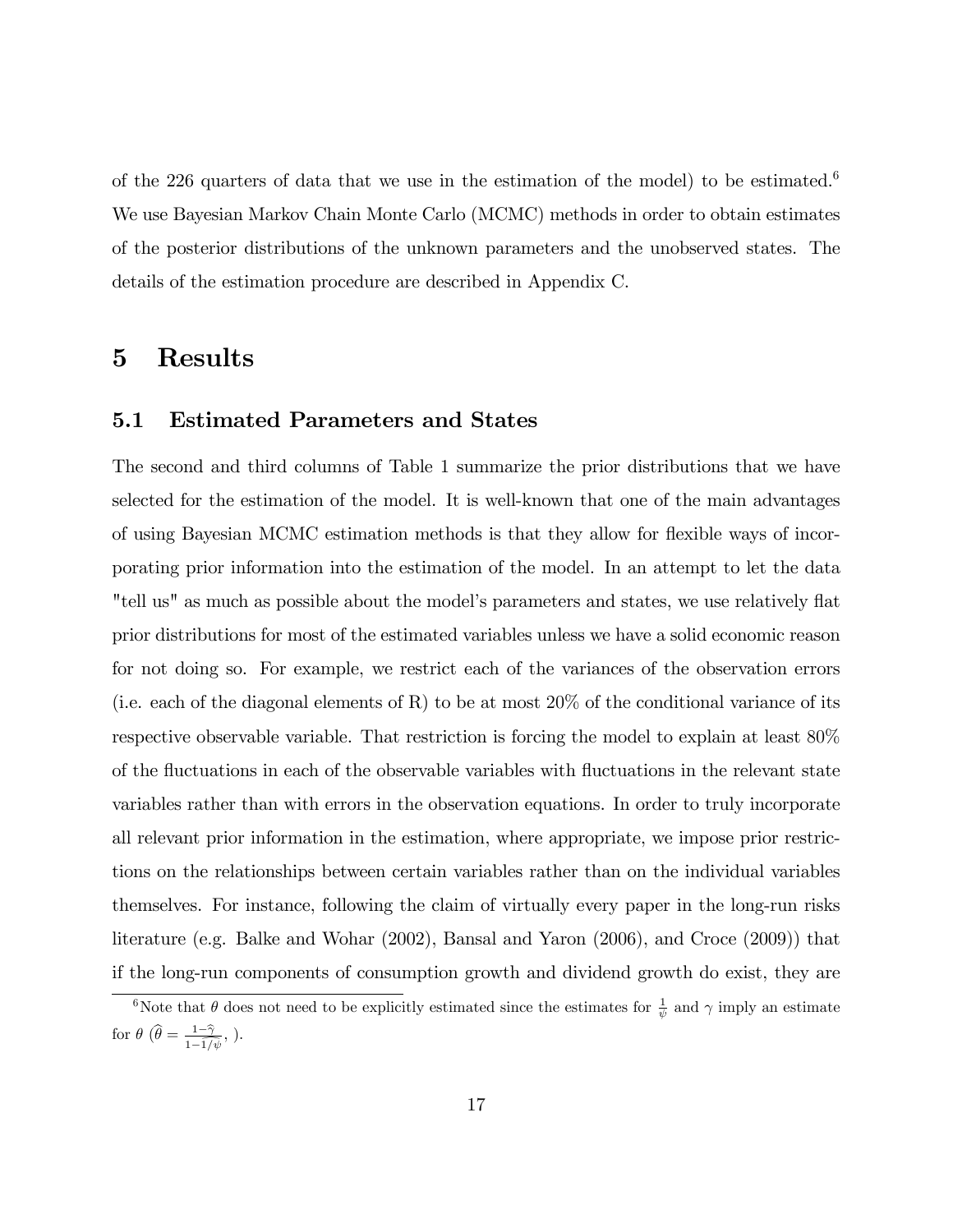of the 226 quarters of data that we use in the estimation of the model) to be estimated.<sup>6</sup> We use Bayesian Markov Chain Monte Carlo (MCMC) methods in order to obtain estimates of the posterior distributions of the unknown parameters and the unobserved states. The details of the estimation procedure are described in Appendix C.

## 5 Results

#### 5.1 Estimated Parameters and States

The second and third columns of Table 1 summarize the prior distributions that we have selected for the estimation of the model. It is well-known that one of the main advantages of using Bayesian MCMC estimation methods is that they allow for flexible ways of incorporating prior information into the estimation of the model. In an attempt to let the data "tell us" as much as possible about the model's parameters and states, we use relatively flat prior distributions for most of the estimated variables unless we have a solid economic reason for not doing so. For example, we restrict each of the variances of the observation errors (i.e. each of the diagonal elements of R) to be at most  $20\%$  of the conditional variance of its respective observable variable. That restriction is forcing the model to explain at least 80% of the fluctuations in each of the observable variables with fluctuations in the relevant state variables rather than with errors in the observation equations. In order to truly incorporate all relevant prior information in the estimation, where appropriate, we impose prior restrictions on the relationships between certain variables rather than on the individual variables themselves. For instance, following the claim of virtually every paper in the long-run risks literature (e.g. Balke and Wohar (2002), Bansal and Yaron (2006), and Croce (2009)) that if the long-run components of consumption growth and dividend growth do exist, they are

<sup>&</sup>lt;sup>6</sup>Note that  $\theta$  does not need to be explicitly estimated since the estimates for  $\frac{1}{\psi}$  and  $\gamma$  imply an estimate for  $\theta$   $(\widehat{\theta} = \frac{1-\widehat{\gamma}}{1-\widehat{1/\beta}})$  $\frac{1-\gamma}{1-\overline{1/\psi}},$ ).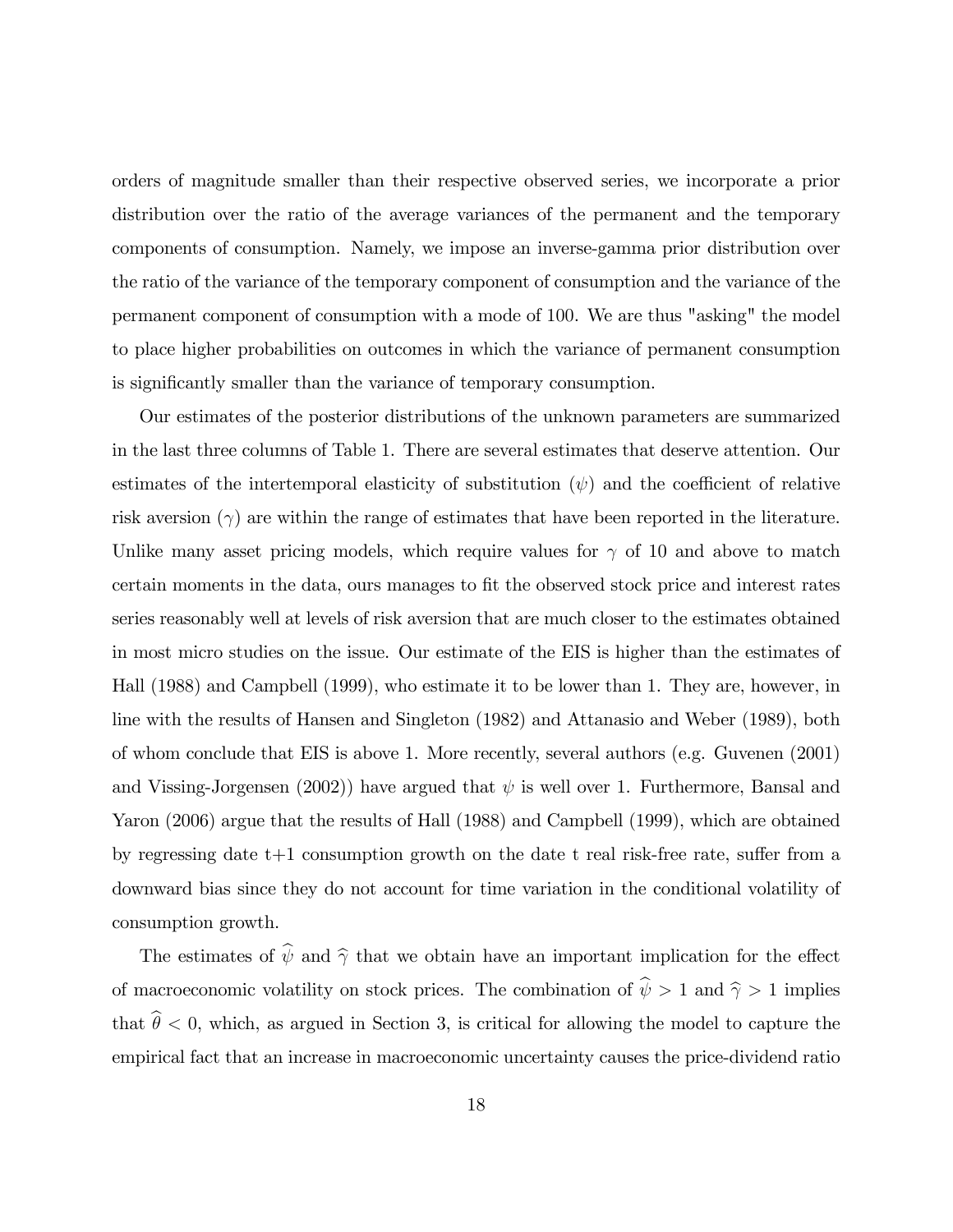orders of magnitude smaller than their respective observed series, we incorporate a prior distribution over the ratio of the average variances of the permanent and the temporary components of consumption. Namely, we impose an inverse-gamma prior distribution over the ratio of the variance of the temporary component of consumption and the variance of the permanent component of consumption with a mode of 100. We are thus "asking" the model to place higher probabilities on outcomes in which the variance of permanent consumption is significantly smaller than the variance of temporary consumption.

Our estimates of the posterior distributions of the unknown parameters are summarized in the last three columns of Table 1. There are several estimates that deserve attention. Our estimates of the intertemporal elasticity of substitution  $(\psi)$  and the coefficient of relative risk aversion  $(\gamma)$  are within the range of estimates that have been reported in the literature. Unlike many asset pricing models, which require values for  $\gamma$  of 10 and above to match certain moments in the data, ours manages to fit the observed stock price and interest rates series reasonably well at levels of risk aversion that are much closer to the estimates obtained in most micro studies on the issue. Our estimate of the EIS is higher than the estimates of Hall (1988) and Campbell (1999), who estimate it to be lower than 1. They are, however, in line with the results of Hansen and Singleton (1982) and Attanasio and Weber (1989), both of whom conclude that EIS is above 1. More recently, several authors (e.g. Guvenen (2001) and Vissing-Jorgensen (2002)) have argued that  $\psi$  is well over 1. Furthermore, Bansal and Yaron (2006) argue that the results of Hall (1988) and Campbell (1999), which are obtained by regressing date  $t+1$  consumption growth on the date t real risk-free rate, suffer from a downward bias since they do not account for time variation in the conditional volatility of consumption growth.

The estimates of  $\hat{\psi}$  and  $\hat{\gamma}$  that we obtain have an important implication for the effect of macroeconomic volatility on stock prices. The combination of  $\hat{\psi} > 1$  and  $\hat{\gamma} > 1$  implies that  $\hat{\theta} < 0$ , which, as argued in Section 3, is critical for allowing the model to capture the empirical fact that an increase in macroeconomic uncertainty causes the price-dividend ratio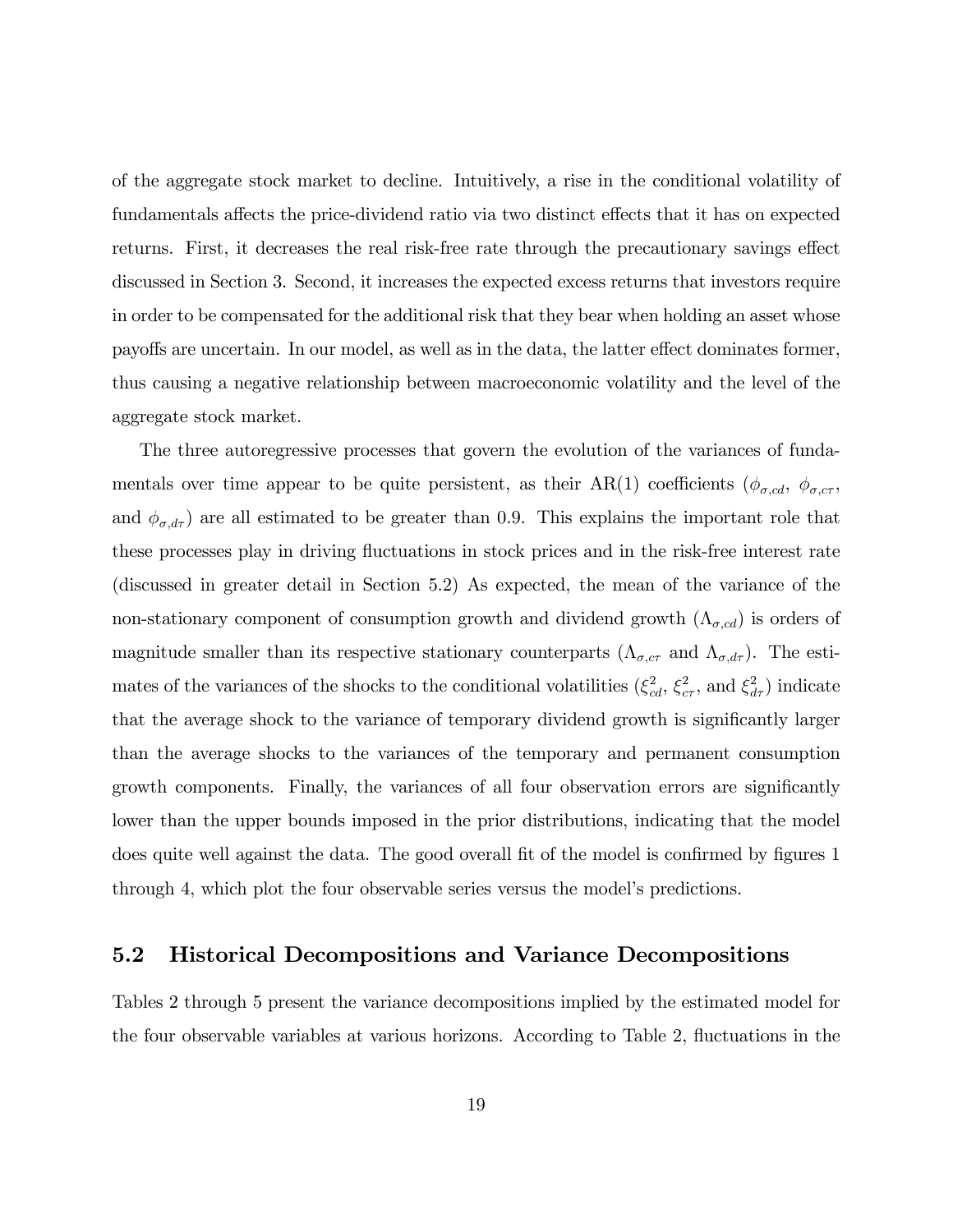of the aggregate stock market to decline. Intuitively, a rise in the conditional volatility of fundamentals affects the price-dividend ratio via two distinct effects that it has on expected returns. First, it decreases the real risk-free rate through the precautionary savings effect discussed in Section 3. Second, it increases the expected excess returns that investors require in order to be compensated for the additional risk that they bear when holding an asset whose payoffs are uncertain. In our model, as well as in the data, the latter effect dominates former, thus causing a negative relationship between macroeconomic volatility and the level of the aggregate stock market.

The three autoregressive processes that govern the evolution of the variances of fundamentals over time appear to be quite persistent, as their AR(1) coefficients ( $\phi_{\sigma,cd}$ ,  $\phi_{\sigma,cr}$ , and  $\phi_{\sigma, d\tau}$ ) are all estimated to be greater than 0.9. This explains the important role that these processes play in driving fluctuations in stock prices and in the risk-free interest rate (discussed in greater detail in Section 5.2) As expected, the mean of the variance of the non-stationary component of consumption growth and dividend growth  $(\Lambda_{\sigma,cd})$  is orders of magnitude smaller than its respective stationary counterparts  $(\Lambda_{\sigma, c\tau}$  and  $\Lambda_{\sigma, d\tau})$ . The estimates of the variances of the shocks to the conditional volatilities  $(\xi_{cd}^2, \xi_{cr}^2, \text{ and } \xi_{dr}^2)$  indicate that the average shock to the variance of temporary dividend growth is significantly larger than the average shocks to the variances of the temporary and permanent consumption growth components. Finally, the variances of all four observation errors are significantly lower than the upper bounds imposed in the prior distributions, indicating that the model does quite well against the data. The good overall fit of the model is confirmed by figures 1 through 4, which plot the four observable series versus the modelís predictions.

#### 5.2 Historical Decompositions and Variance Decompositions

Tables 2 through 5 present the variance decompositions implied by the estimated model for the four observable variables at various horizons. According to Table 2, fluctuations in the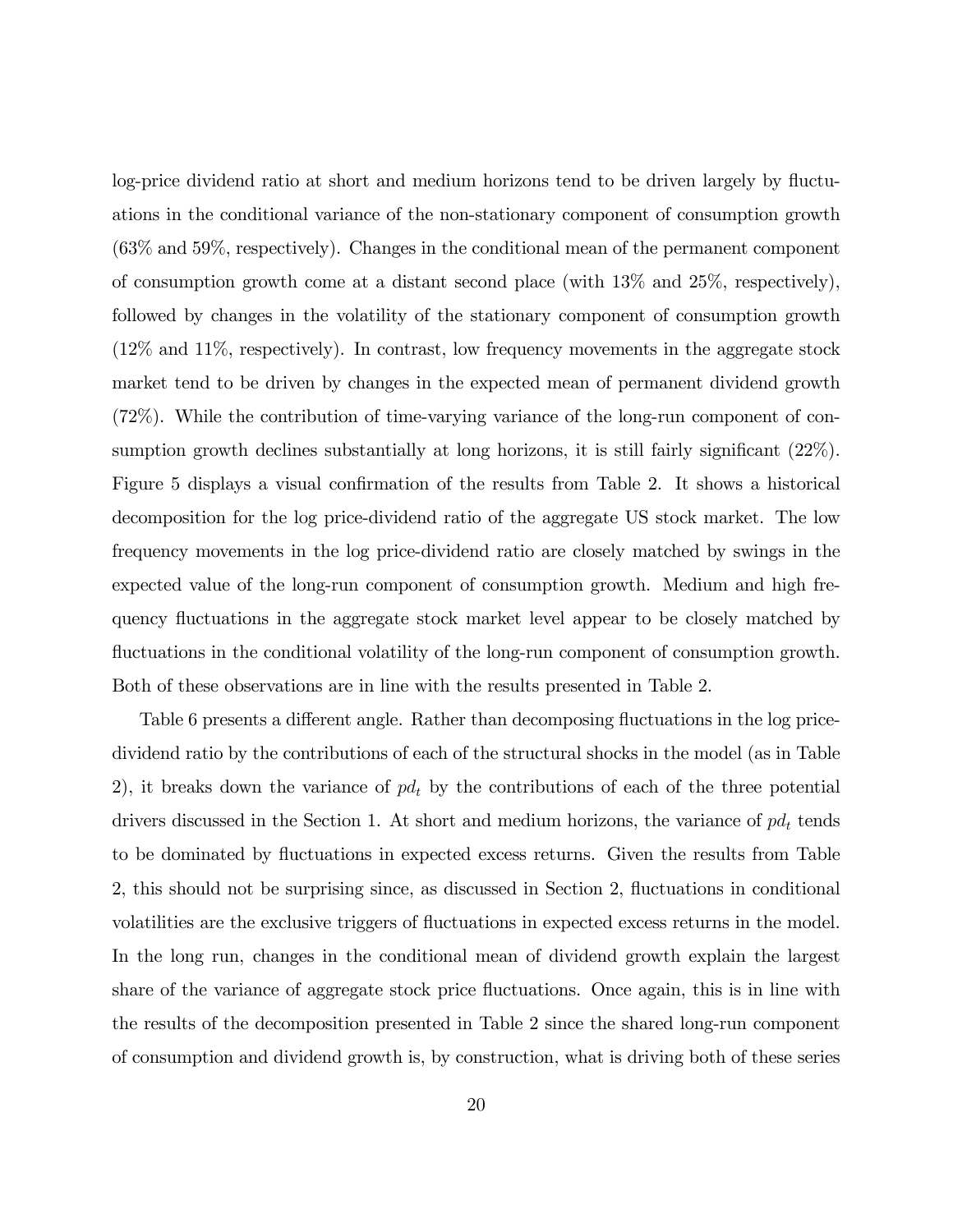log-price dividend ratio at short and medium horizons tend to be driven largely by fluctuations in the conditional variance of the non-stationary component of consumption growth (63% and 59%, respectively). Changes in the conditional mean of the permanent component of consumption growth come at a distant second place (with 13% and 25%, respectively), followed by changes in the volatility of the stationary component of consumption growth (12% and 11%, respectively). In contrast, low frequency movements in the aggregate stock market tend to be driven by changes in the expected mean of permanent dividend growth (72%). While the contribution of time-varying variance of the long-run component of consumption growth declines substantially at long horizons, it is still fairly significant  $(22\%)$ . Figure 5 displays a visual confirmation of the results from Table 2. It shows a historical decomposition for the log price-dividend ratio of the aggregate US stock market. The low frequency movements in the log price-dividend ratio are closely matched by swings in the expected value of the long-run component of consumption growth. Medium and high frequency áuctuations in the aggregate stock market level appear to be closely matched by fluctuations in the conditional volatility of the long-run component of consumption growth. Both of these observations are in line with the results presented in Table 2.

Table 6 presents a different angle. Rather than decomposing fluctuations in the log pricedividend ratio by the contributions of each of the structural shocks in the model (as in Table 2), it breaks down the variance of  $pd<sub>t</sub>$  by the contributions of each of the three potential drivers discussed in the Section 1. At short and medium horizons, the variance of  $pd<sub>t</sub>$  tends to be dominated by fluctuations in expected excess returns. Given the results from Table 2, this should not be surprising since, as discussed in Section 2, fluctuations in conditional volatilities are the exclusive triggers of áuctuations in expected excess returns in the model. In the long run, changes in the conditional mean of dividend growth explain the largest share of the variance of aggregate stock price fluctuations. Once again, this is in line with the results of the decomposition presented in Table 2 since the shared long-run component of consumption and dividend growth is, by construction, what is driving both of these series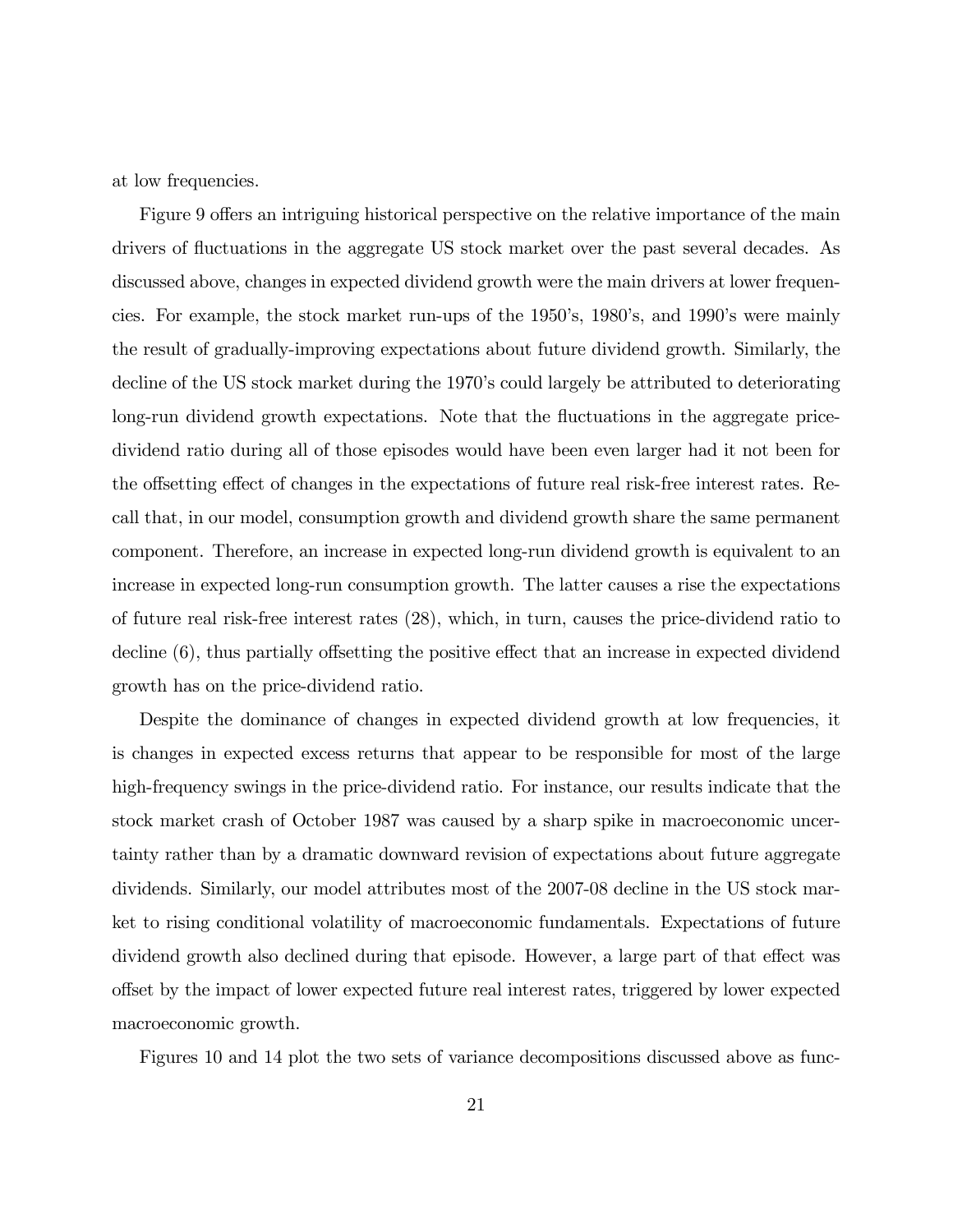at low frequencies.

Figure 9 offers an intriguing historical perspective on the relative importance of the main drivers of fluctuations in the aggregate US stock market over the past several decades. As discussed above, changes in expected dividend growth were the main drivers at lower frequencies. For example, the stock market run-ups of the 1950ís, 1980ís, and 1990ís were mainly the result of gradually-improving expectations about future dividend growth. Similarly, the decline of the US stock market during the 1970's could largely be attributed to deteriorating long-run dividend growth expectations. Note that the fluctuations in the aggregate pricedividend ratio during all of those episodes would have been even larger had it not been for the offsetting effect of changes in the expectations of future real risk-free interest rates. Recall that, in our model, consumption growth and dividend growth share the same permanent component. Therefore, an increase in expected long-run dividend growth is equivalent to an increase in expected long-run consumption growth. The latter causes a rise the expectations of future real risk-free interest rates (28), which, in turn, causes the price-dividend ratio to decline  $(6)$ , thus partially offsetting the positive effect that an increase in expected dividend growth has on the price-dividend ratio.

Despite the dominance of changes in expected dividend growth at low frequencies, it is changes in expected excess returns that appear to be responsible for most of the large high-frequency swings in the price-dividend ratio. For instance, our results indicate that the stock market crash of October 1987 was caused by a sharp spike in macroeconomic uncertainty rather than by a dramatic downward revision of expectations about future aggregate dividends. Similarly, our model attributes most of the 2007-08 decline in the US stock market to rising conditional volatility of macroeconomic fundamentals. Expectations of future dividend growth also declined during that episode. However, a large part of that effect was o§set by the impact of lower expected future real interest rates, triggered by lower expected macroeconomic growth.

Figures 10 and 14 plot the two sets of variance decompositions discussed above as func-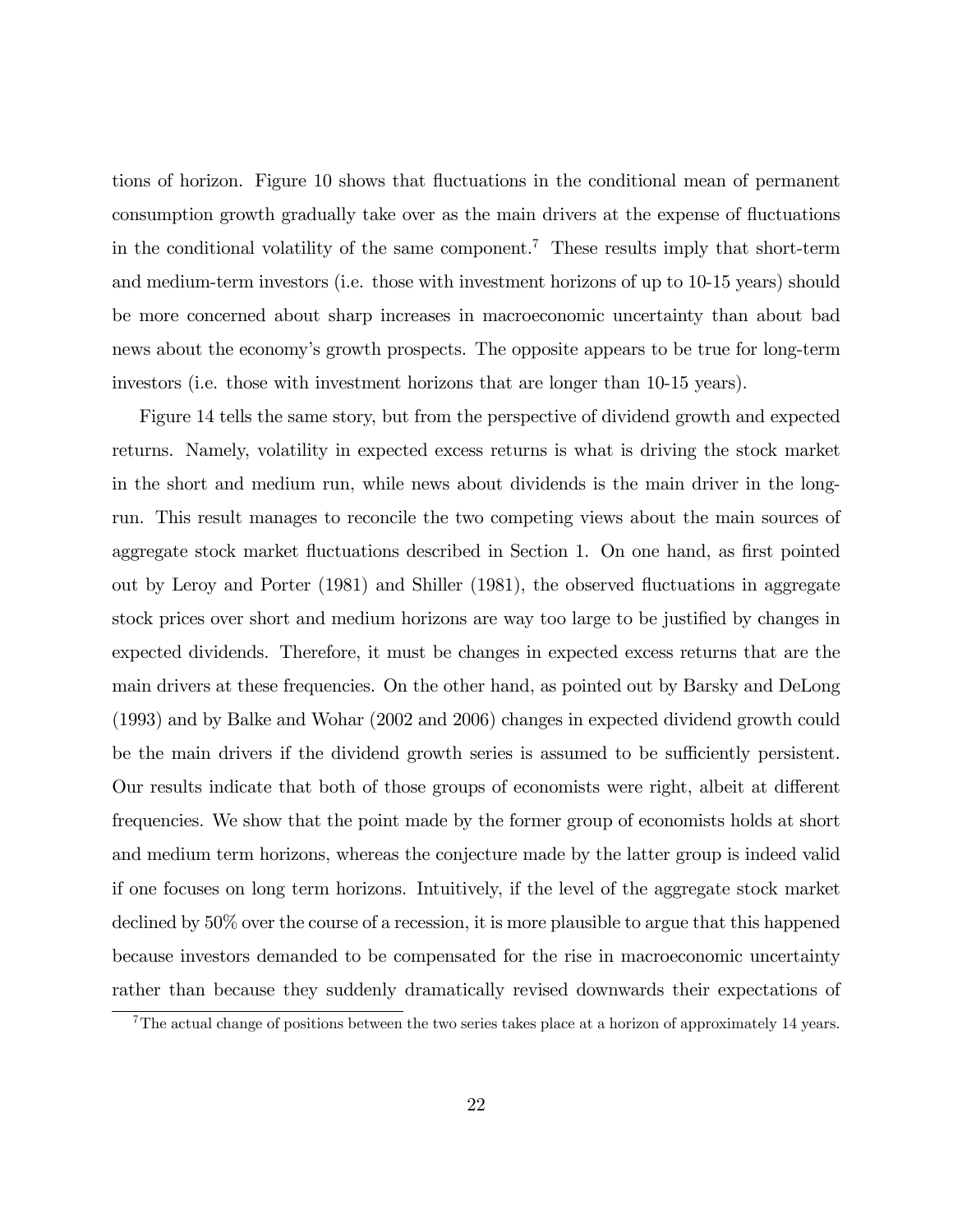tions of horizon. Figure 10 shows that fluctuations in the conditional mean of permanent consumption growth gradually take over as the main drivers at the expense of fluctuations in the conditional volatility of the same component.<sup>7</sup> These results imply that short-term and medium-term investors (i.e. those with investment horizons of up to 10-15 years) should be more concerned about sharp increases in macroeconomic uncertainty than about bad news about the economy's growth prospects. The opposite appears to be true for long-term investors (i.e. those with investment horizons that are longer than 10-15 years).

Figure 14 tells the same story, but from the perspective of dividend growth and expected returns. Namely, volatility in expected excess returns is what is driving the stock market in the short and medium run, while news about dividends is the main driver in the longrun. This result manages to reconcile the two competing views about the main sources of aggregate stock market fluctuations described in Section 1. On one hand, as first pointed out by Leroy and Porter (1981) and Shiller (1981), the observed áuctuations in aggregate stock prices over short and medium horizons are way too large to be justified by changes in expected dividends. Therefore, it must be changes in expected excess returns that are the main drivers at these frequencies. On the other hand, as pointed out by Barsky and DeLong (1993) and by Balke and Wohar (2002 and 2006) changes in expected dividend growth could be the main drivers if the dividend growth series is assumed to be sufficiently persistent. Our results indicate that both of those groups of economists were right, albeit at different frequencies. We show that the point made by the former group of economists holds at short and medium term horizons, whereas the conjecture made by the latter group is indeed valid if one focuses on long term horizons. Intuitively, if the level of the aggregate stock market declined by 50% over the course of a recession, it is more plausible to argue that this happened because investors demanded to be compensated for the rise in macroeconomic uncertainty rather than because they suddenly dramatically revised downwards their expectations of

<sup>&</sup>lt;sup>7</sup>The actual change of positions between the two series takes place at a horizon of approximately 14 years.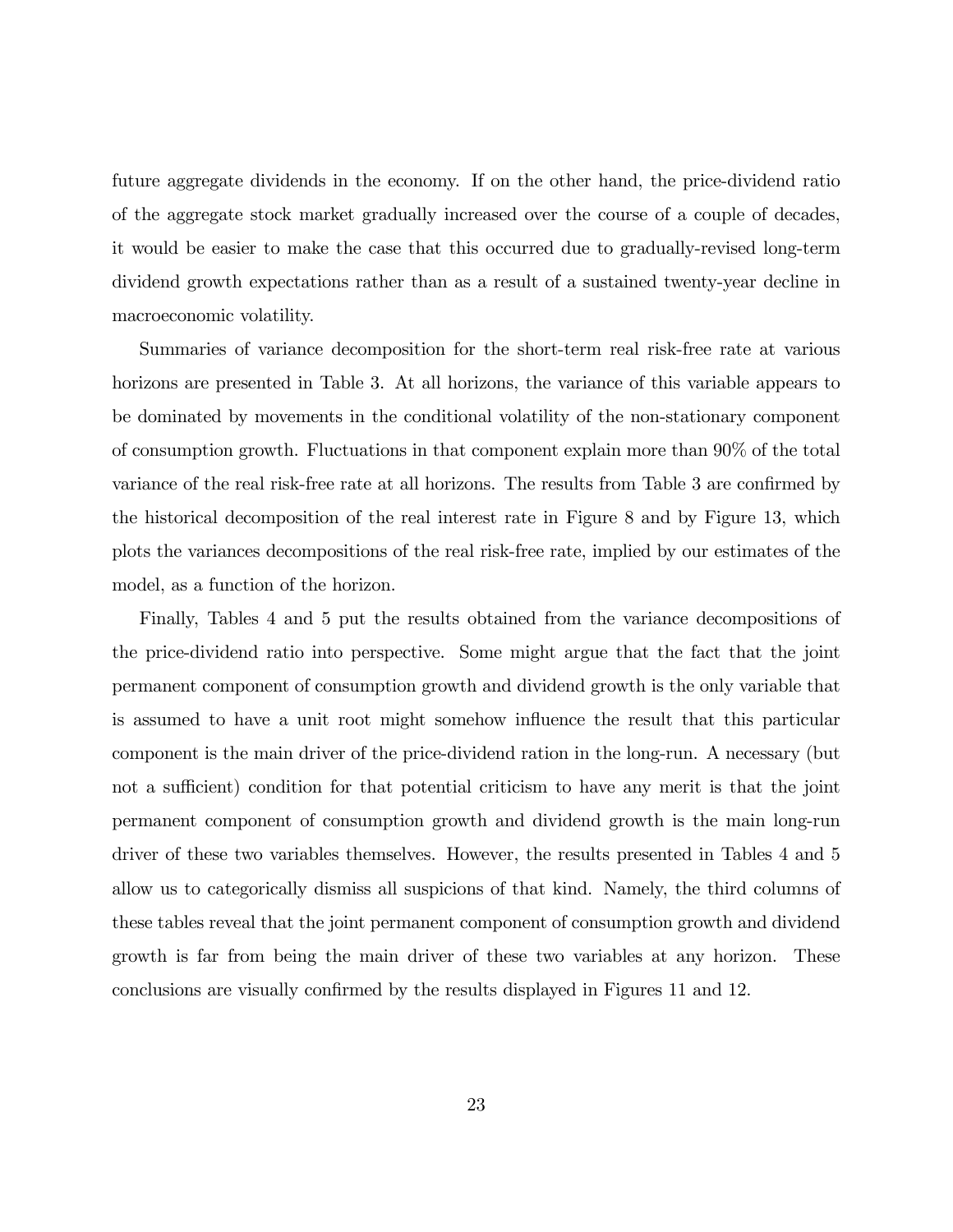future aggregate dividends in the economy. If on the other hand, the price-dividend ratio of the aggregate stock market gradually increased over the course of a couple of decades, it would be easier to make the case that this occurred due to gradually-revised long-term dividend growth expectations rather than as a result of a sustained twenty-year decline in macroeconomic volatility.

Summaries of variance decomposition for the short-term real risk-free rate at various horizons are presented in Table 3. At all horizons, the variance of this variable appears to be dominated by movements in the conditional volatility of the non-stationary component of consumption growth. Fluctuations in that component explain more than 90% of the total variance of the real risk-free rate at all horizons. The results from Table 3 are confirmed by the historical decomposition of the real interest rate in Figure 8 and by Figure 13, which plots the variances decompositions of the real risk-free rate, implied by our estimates of the model, as a function of the horizon.

Finally, Tables 4 and 5 put the results obtained from the variance decompositions of the price-dividend ratio into perspective. Some might argue that the fact that the joint permanent component of consumption growth and dividend growth is the only variable that is assumed to have a unit root might somehow influence the result that this particular component is the main driver of the price-dividend ration in the long-run. A necessary (but not a sufficient) condition for that potential criticism to have any merit is that the joint permanent component of consumption growth and dividend growth is the main long-run driver of these two variables themselves. However, the results presented in Tables 4 and 5 allow us to categorically dismiss all suspicions of that kind. Namely, the third columns of these tables reveal that the joint permanent component of consumption growth and dividend growth is far from being the main driver of these two variables at any horizon. These conclusions are visually confirmed by the results displayed in Figures 11 and 12.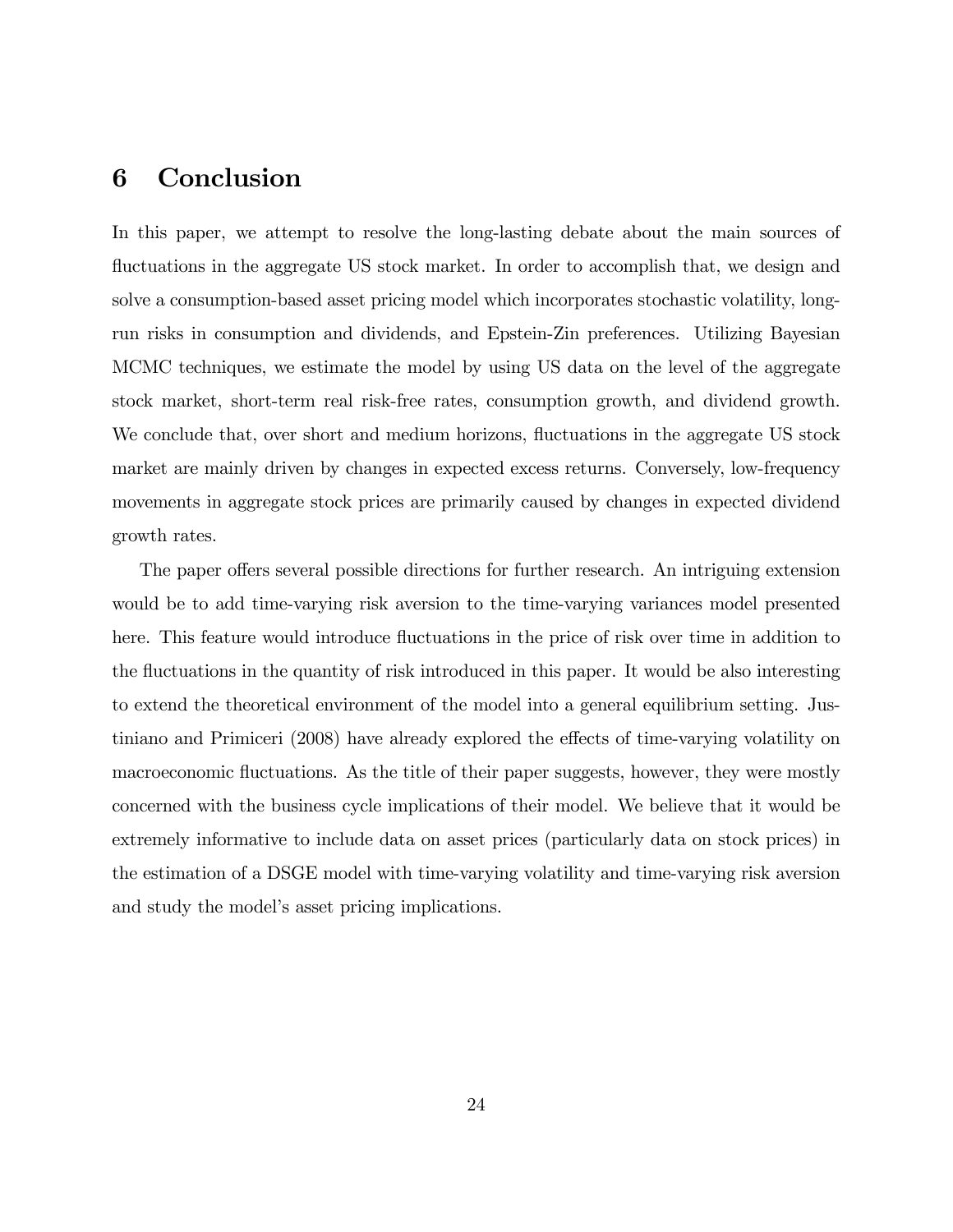## 6 Conclusion

In this paper, we attempt to resolve the long-lasting debate about the main sources of fluctuations in the aggregate US stock market. In order to accomplish that, we design and solve a consumption-based asset pricing model which incorporates stochastic volatility, longrun risks in consumption and dividends, and Epstein-Zin preferences. Utilizing Bayesian MCMC techniques, we estimate the model by using US data on the level of the aggregate stock market, short-term real risk-free rates, consumption growth, and dividend growth. We conclude that, over short and medium horizons, fluctuations in the aggregate US stock market are mainly driven by changes in expected excess returns. Conversely, low-frequency movements in aggregate stock prices are primarily caused by changes in expected dividend growth rates.

The paper offers several possible directions for further research. An intriguing extension would be to add time-varying risk aversion to the time-varying variances model presented here. This feature would introduce fluctuations in the price of risk over time in addition to the fluctuations in the quantity of risk introduced in this paper. It would be also interesting to extend the theoretical environment of the model into a general equilibrium setting. Justiniano and Primiceri  $(2008)$  have already explored the effects of time-varying volatility on macroeconomic fluctuations. As the title of their paper suggests, however, they were mostly concerned with the business cycle implications of their model. We believe that it would be extremely informative to include data on asset prices (particularly data on stock prices) in the estimation of a DSGE model with time-varying volatility and time-varying risk aversion and study the model's asset pricing implications.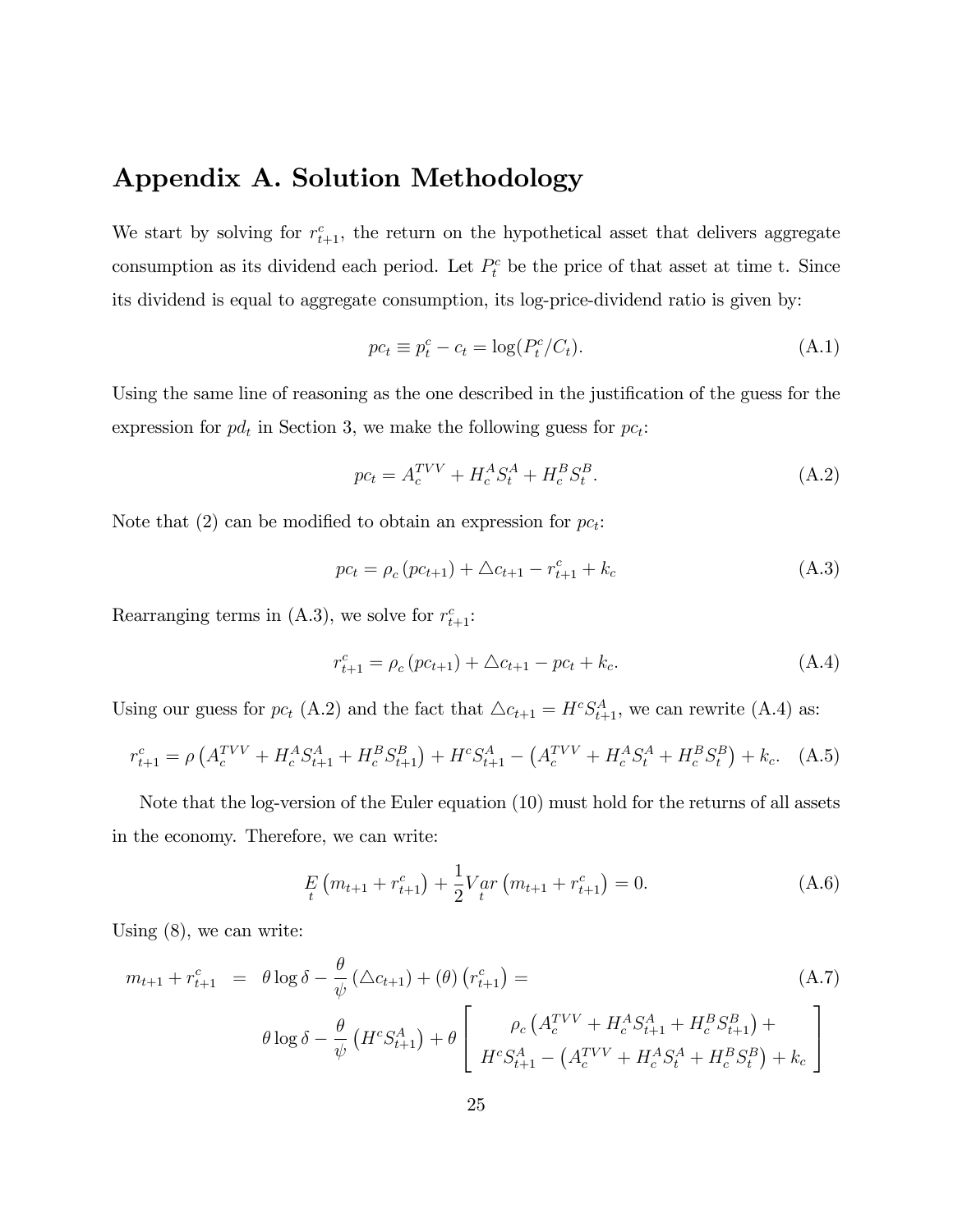## Appendix A. Solution Methodology

We start by solving for  $r_{t+1}^c$ , the return on the hypothetical asset that delivers aggregate consumption as its dividend each period. Let  $P_t^c$  be the price of that asset at time t. Since its dividend is equal to aggregate consumption, its log-price-dividend ratio is given by:

$$
pc_t \equiv p_t^c - c_t = \log(P_t^c/C_t). \tag{A.1}
$$

Using the same line of reasoning as the one described in the justification of the guess for the expression for  $pd_t$  in Section 3, we make the following guess for  $pc_t$ :

$$
pc_t = A_c^{TVV} + H_c^A S_t^A + H_c^B S_t^B.
$$
\n(A.2)

Note that (2) can be modified to obtain an expression for  $pc_t$ :

$$
pc_{t} = \rho_{c} (pc_{t+1}) + \Delta c_{t+1} - r_{t+1}^{c} + k_{c}
$$
 (A.3)

Rearranging terms in (A.3), we solve for  $r_{t+1}^c$ :

$$
r_{t+1}^c = \rho_c \left( p c_{t+1} \right) + \Delta c_{t+1} - p c_t + k_c. \tag{A.4}
$$

Using our guess for  $pc_t$  (A.2) and the fact that  $\triangle c_{t+1} = H^c S_{t+1}^A$ , we can rewrite (A.4) as:

$$
r_{t+1}^c = \rho \left( A_c^{TVV} + H_c^A S_{t+1}^A + H_c^B S_{t+1}^B \right) + H^c S_{t+1}^A - \left( A_c^{TVV} + H_c^A S_t^A + H_c^B S_t^B \right) + k_c. \tag{A.5}
$$

Note that the log-version of the Euler equation (10) must hold for the returns of all assets in the economy. Therefore, we can write:

$$
E_{t} \left( m_{t+1} + r_{t+1}^{c} \right) + \frac{1}{2} V_{t}^{a} r \left( m_{t+1} + r_{t+1}^{c} \right) = 0. \tag{A.6}
$$

Using (8), we can write:

$$
m_{t+1} + r_{t+1}^c = \theta \log \delta - \frac{\theta}{\psi} (\Delta c_{t+1}) + (\theta) (r_{t+1}^c) =
$$
\n
$$
\theta \log \delta - \frac{\theta}{\psi} (H^c S_{t+1}^A) + \theta \left[ \frac{\rho_c (A_c^{TVV} + H_c^A S_{t+1}^A + H_c^B S_{t+1}^B) + \mu_c \beta \sigma_c (H_c^{TVV} + H_c^A S_{t+1}^A + H_c^B S_{t+1}^B) + \mu_c \right]
$$
\n(A.7)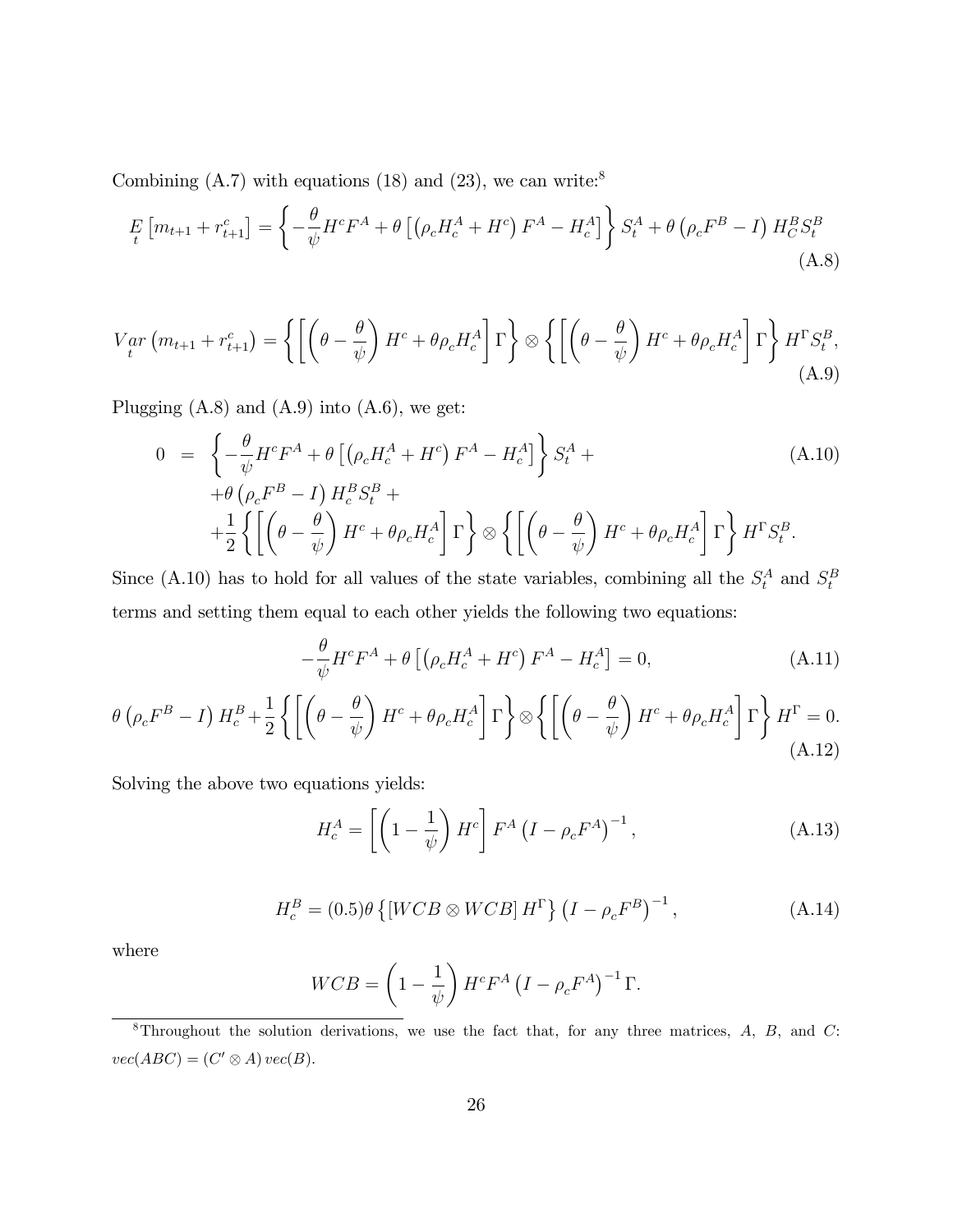Combining  $(A.7)$  with equations  $(18)$  and  $(23)$ , we can write:<sup>8</sup>

$$
E_{t}[m_{t+1} + r_{t+1}^{c}] = \left\{-\frac{\theta}{\psi}H^{c}F^{A} + \theta\left[\left(\rho_{c}H_{c}^{A} + H^{c}\right)F^{A} - H_{c}^{A}\right]\right\}S_{t}^{A} + \theta\left(\rho_{c}F^{B} - I\right)H_{C}^{B}S_{t}^{B}
$$
\n(A.8)

$$
V_{t}^{ar}(m_{t+1} + r_{t+1}^{c}) = \left\{ \left[ \left( \theta - \frac{\theta}{\psi} \right) H^{c} + \theta \rho_{c} H_{c}^{A} \right] \Gamma \right\} \otimes \left\{ \left[ \left( \theta - \frac{\theta}{\psi} \right) H^{c} + \theta \rho_{c} H_{c}^{A} \right] \Gamma \right\} H^{c} S_{t}^{B},
$$
\n(A.9)

Plugging  $(A.8)$  and  $(A.9)$  into  $(A.6)$ , we get:

$$
0 = \left\{ -\frac{\theta}{\psi} H^c F^A + \theta \left[ \left( \rho_c H_c^A + H^c \right) F^A - H_c^A \right] \right\} S_t^A + \right\}
$$
  
+  $\theta \left( \rho_c F^B - I \right) H_c^B S_t^B +$   
+  $\frac{1}{2} \left\{ \left[ \left( \theta - \frac{\theta}{\psi} \right) H^c + \theta \rho_c H_c^A \right] \Gamma \right\} \otimes \left\{ \left[ \left( \theta - \frac{\theta}{\psi} \right) H^c + \theta \rho_c H_c^A \right] \Gamma \right\} H^{\Gamma} S_t^B.$ 

Since (A.10) has to hold for all values of the state variables, combining all the  $S_t^A$  and  $S_t^B$ terms and setting them equal to each other yields the following two equations:

$$
-\frac{\theta}{\psi}H^cF^A + \theta\left[\left(\rho_c H_c^A + H^c\right)F^A - H_c^A\right] = 0,\tag{A.11}
$$

$$
\theta \left( \rho_c F^B - I \right) H_c^B + \frac{1}{2} \left\{ \left[ \left( \theta - \frac{\theta}{\psi} \right) H^c + \theta \rho_c H_c^A \right] \Gamma \right\} \otimes \left\{ \left[ \left( \theta - \frac{\theta}{\psi} \right) H^c + \theta \rho_c H_c^A \right] \Gamma \right\} H^\Gamma = 0. \tag{A.12}
$$

Solving the above two equations yields:

$$
H_c^A = \left[ \left( 1 - \frac{1}{\psi} \right) H^c \right] F^A \left( I - \rho_c F^A \right)^{-1}, \tag{A.13}
$$

$$
H_c^B = (0.5)\theta \left\{ \left[ WCB \otimes WCB \right] H^{\Gamma} \right\} \left( I - \rho_c F^B \right)^{-1}, \tag{A.14}
$$

$$
WCB = \left(1 - \frac{1}{\psi}\right) H^c F^A \left(I - \rho_c F^A\right)^{-1} \Gamma.
$$

 $8$ Throughout the solution derivations, we use the fact that, for any three matrices, A, B, and C:  $vec(ABC) = (C' \otimes A) vec(B).$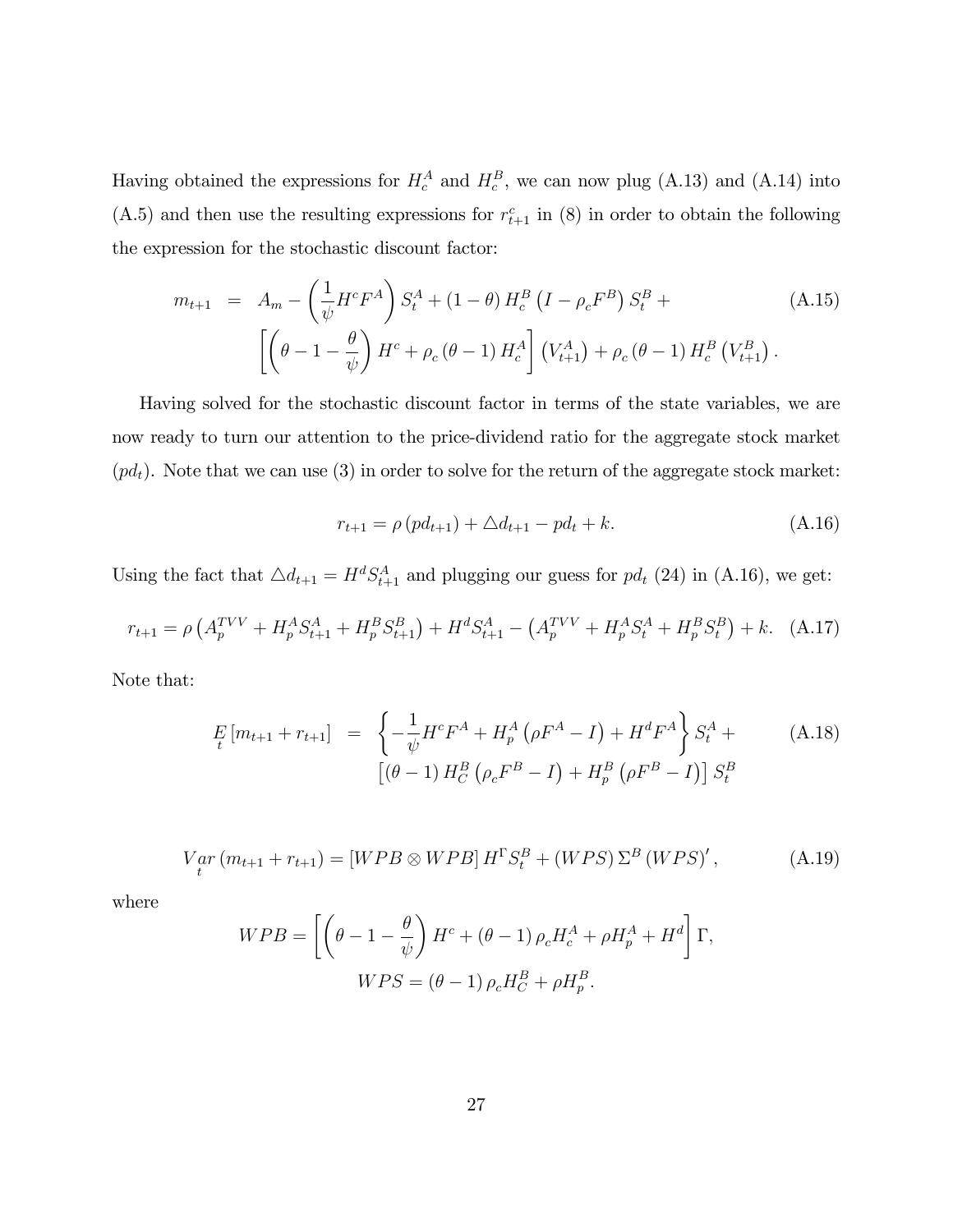Having obtained the expressions for  $H_c^A$  and  $H_c^B$ , we can now plug (A.13) and (A.14) into (A.5) and then use the resulting expressions for  $r_{t+1}^c$  in (8) in order to obtain the following the expression for the stochastic discount factor:

$$
m_{t+1} = A_m - \left(\frac{1}{\psi} H^c F^A\right) S_t^A + (1 - \theta) H_c^B \left(I - \rho_c F^B\right) S_t^B +
$$
\n
$$
\left[ \left(\theta - 1 - \frac{\theta}{\psi}\right) H^c + \rho_c \left(\theta - 1\right) H_c^A \right] \left(V_{t+1}^A\right) + \rho_c \left(\theta - 1\right) H_c^B \left(V_{t+1}^B\right).
$$
\n(A.15)

Having solved for the stochastic discount factor in terms of the state variables, we are now ready to turn our attention to the price-dividend ratio for the aggregate stock market  $(pd_t)$ . Note that we can use (3) in order to solve for the return of the aggregate stock market:

$$
r_{t+1} = \rho \left( p d_{t+1} \right) + \Delta d_{t+1} - p d_t + k. \tag{A.16}
$$

Using the fact that  $\Delta d_{t+1} = H^d S_{t+1}^A$  and plugging our guess for  $pd_t$  (24) in (A.16), we get:

$$
r_{t+1} = \rho \left( A_p^{TVV} + H_p^A S_{t+1}^A + H_p^B S_{t+1}^B \right) + H^d S_{t+1}^A - \left( A_p^{TVV} + H_p^A S_t^A + H_p^B S_t^B \right) + k. \tag{A.17}
$$

Note that:

$$
E_{t}[m_{t+1} + r_{t+1}] = \left\{-\frac{1}{\psi}H^{c}F^{A} + H_{p}^{A}(\rho F^{A} - I) + H^{d}F^{A}\right\}S_{t}^{A} + \left[\left(\theta - 1\right)H_{C}^{B}(\rho_{c}F^{B} - I) + H_{p}^{B}(\rho F^{B} - I)\right]S_{t}^{B}
$$
(A.18)

$$
V_{t}^{ar}(m_{t+1} + r_{t+1}) = [WPB \otimes WPB] H^{\Gamma} S_{t}^{B} + (WPS) \Sigma^{B} (WPS)', \qquad (A.19)
$$

$$
WPB = \left[ \left( \theta - 1 - \frac{\theta}{\psi} \right) H^c + \left( \theta - 1 \right) \rho_c H_c^A + \rho H_p^A + H^d \right] \Gamma,
$$
  

$$
WPS = \left( \theta - 1 \right) \rho_c H_C^B + \rho H_p^B.
$$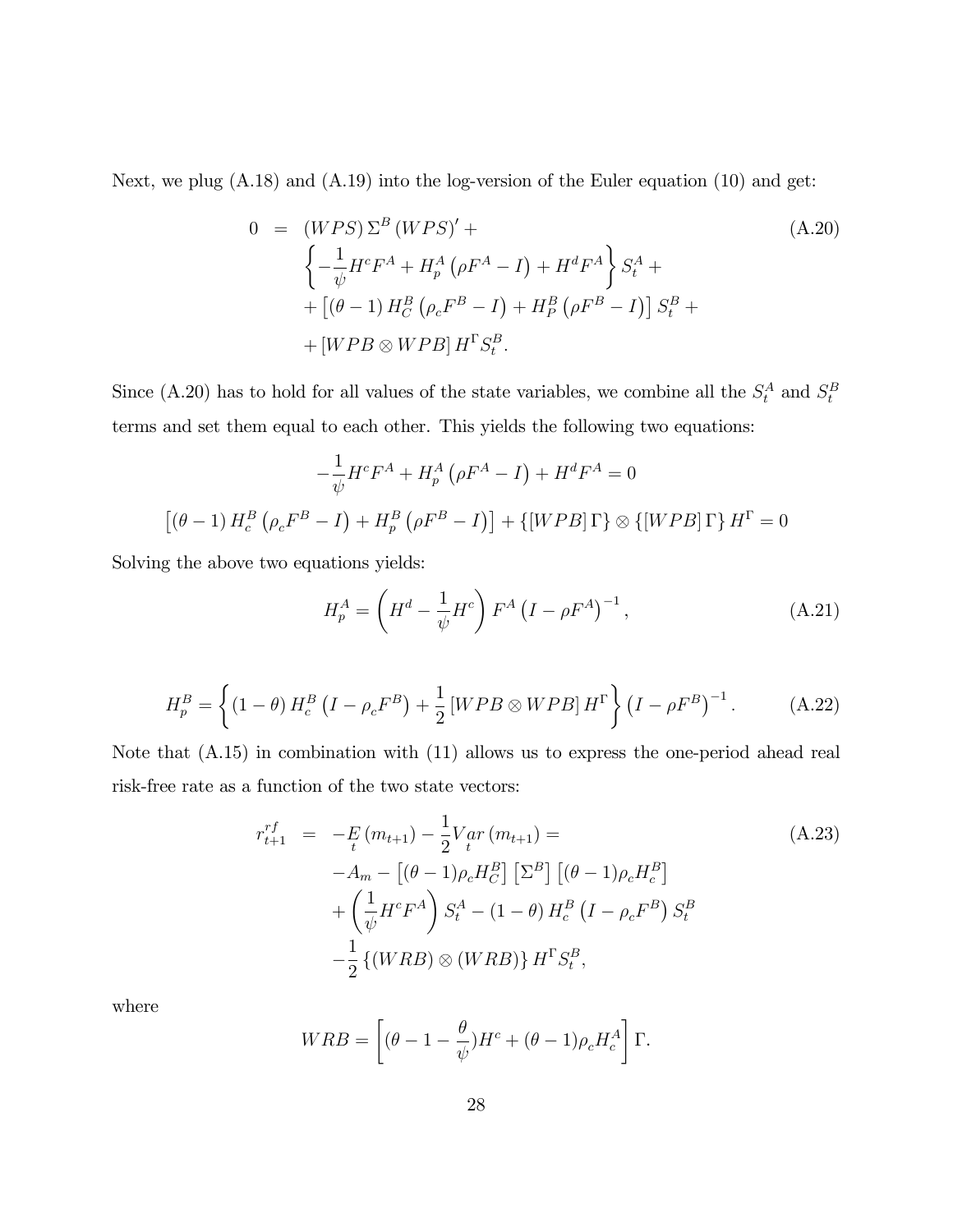Next, we plug (A.18) and (A.19) into the log-version of the Euler equation (10) and get:

$$
0 = (WPS) \Sigma^{B} (WPS)' +
$$
  
\n
$$
\left\{ -\frac{1}{\psi} H^{c} F^{A} + H_{p}^{A} (\rho F^{A} - I) + H^{d} F^{A} \right\} S_{t}^{A} +
$$
  
\n
$$
+ [(\theta - 1) H_{C}^{B} (\rho_{c} F^{B} - I) + H_{p}^{B} (\rho F^{B} - I)] S_{t}^{B} +
$$
  
\n
$$
+ [WPB \otimes WPB] H^{T} S_{t}^{B}.
$$
\n(A.20)

Since (A.20) has to hold for all values of the state variables, we combine all the  $S_t^A$  and  $S_t^B$ terms and set them equal to each other. This yields the following two equations:

$$
-\frac{1}{\psi}H^cF^A + H_p^A(\rho F^A - I) + H^dF^A = 0
$$

$$
[(\theta - 1) H_c^B(\rho_c F^B - I) + H_p^B(\rho F^B - I)] + \{[WPB]\Gamma\} \otimes \{[WPB]\Gamma\} H^{\Gamma} = 0
$$

Solving the above two equations yields:

$$
H_p^A = \left(H^d - \frac{1}{\psi}H^c\right)F^A \left(I - \rho F^A\right)^{-1},\tag{A.21}
$$

$$
H_p^B = \left\{ (1 - \theta) H_c^B (I - \rho_c F^B) + \frac{1}{2} [WPB \otimes WPB] H^{\Gamma} \right\} (I - \rho F^B)^{-1}.
$$
 (A.22)

Note that (A.15) in combination with (11) allows us to express the one-period ahead real risk-free rate as a function of the two state vectors:

$$
r_{t+1}^{rf} = -E_{t}(m_{t+1}) - \frac{1}{2}V_{t}ar(m_{t+1}) =
$$
  
\n
$$
-A_{m} - [(\theta - 1)\rho_{c}H_{C}^{B}] [\Sigma^{B}] [(\theta - 1)\rho_{c}H_{c}^{B}]
$$
  
\n
$$
+ \left(\frac{1}{\psi}H^{c}F^{A}\right)S_{t}^{A} - (1 - \theta)H_{c}^{B}(I - \rho_{c}F^{B})S_{t}^{B}
$$
  
\n
$$
- \frac{1}{2}\{(WRB) \otimes (WRB)\}H^{T}S_{t}^{B},
$$
\n(8.23)

$$
WRB = \left[ (\theta - 1 - \frac{\theta}{\psi})H^c + (\theta - 1)\rho_c H_c^A \right] \Gamma.
$$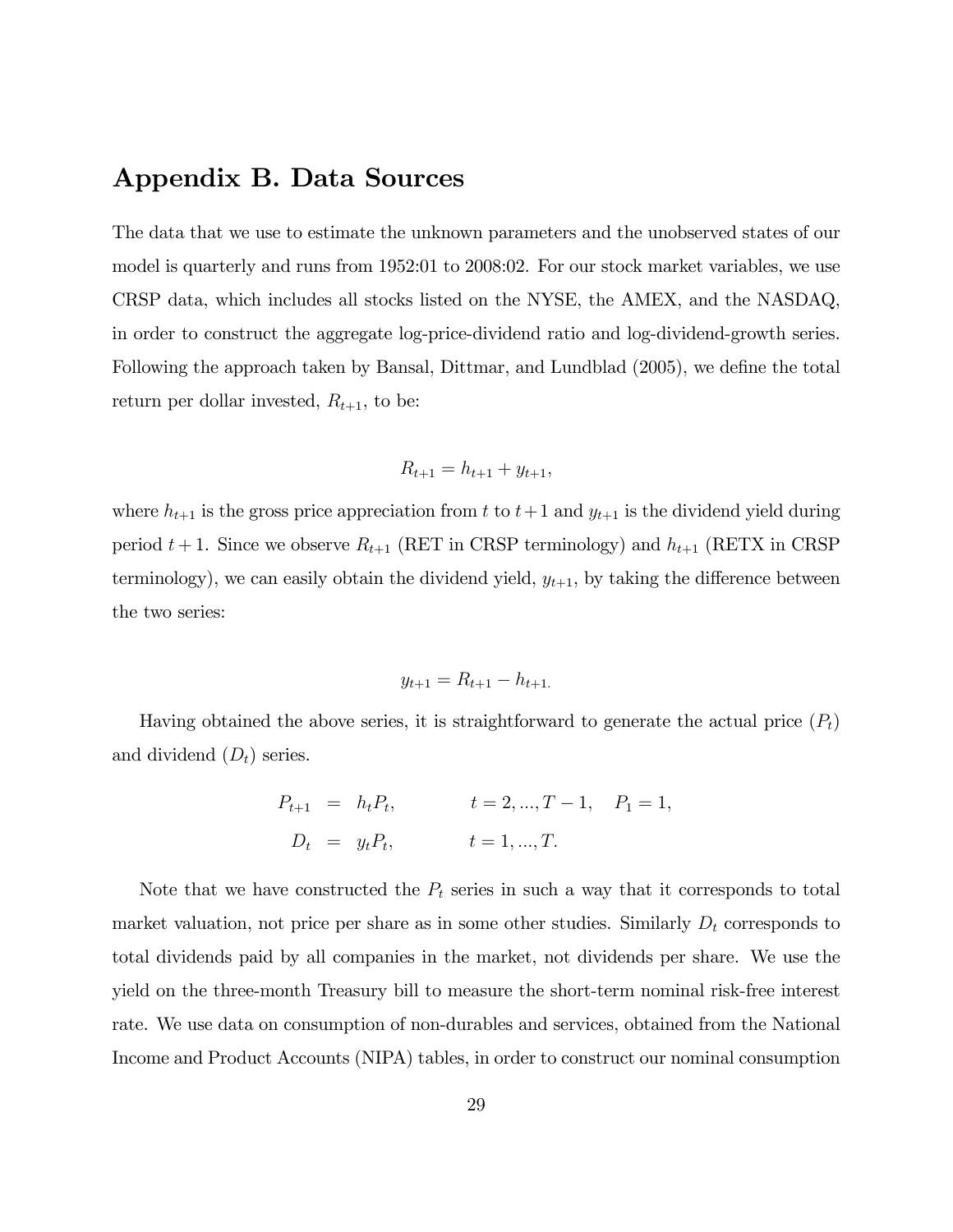## Appendix B. Data Sources

The data that we use to estimate the unknown parameters and the unobserved states of our model is quarterly and runs from 1952:01 to 2008:02. For our stock market variables, we use CRSP data, which includes all stocks listed on the NYSE, the AMEX, and the NASDAQ, in order to construct the aggregate log-price-dividend ratio and log-dividend-growth series. Following the approach taken by Bansal, Dittmar, and Lundblad  $(2005)$ , we define the total return per dollar invested,  $R_{t+1}$ , to be:

$$
R_{t+1} = h_{t+1} + y_{t+1},
$$

where  $h_{t+1}$  is the gross price appreciation from t to  $t+1$  and  $y_{t+1}$  is the dividend yield during period  $t + 1$ . Since we observe  $R_{t+1}$  (RET in CRSP terminology) and  $h_{t+1}$  (RETX in CRSP terminology), we can easily obtain the dividend yield,  $y_{t+1}$ , by taking the difference between the two series:

$$
y_{t+1} = R_{t+1} - h_{t+1}.
$$

Having obtained the above series, it is straightforward to generate the actual price  $(P_t)$ and dividend  $(D_t)$  series.

$$
P_{t+1} = h_t P_t,
$$
  $t = 2, ..., T - 1, P_1 = 1,$   
\n $D_t = y_t P_t,$   $t = 1, ..., T.$ 

Note that we have constructed the  $P_t$  series in such a way that it corresponds to total market valuation, not price per share as in some other studies. Similarly  $D_t$  corresponds to total dividends paid by all companies in the market, not dividends per share. We use the yield on the three-month Treasury bill to measure the short-term nominal risk-free interest rate. We use data on consumption of non-durables and services, obtained from the National Income and Product Accounts (NIPA) tables, in order to construct our nominal consumption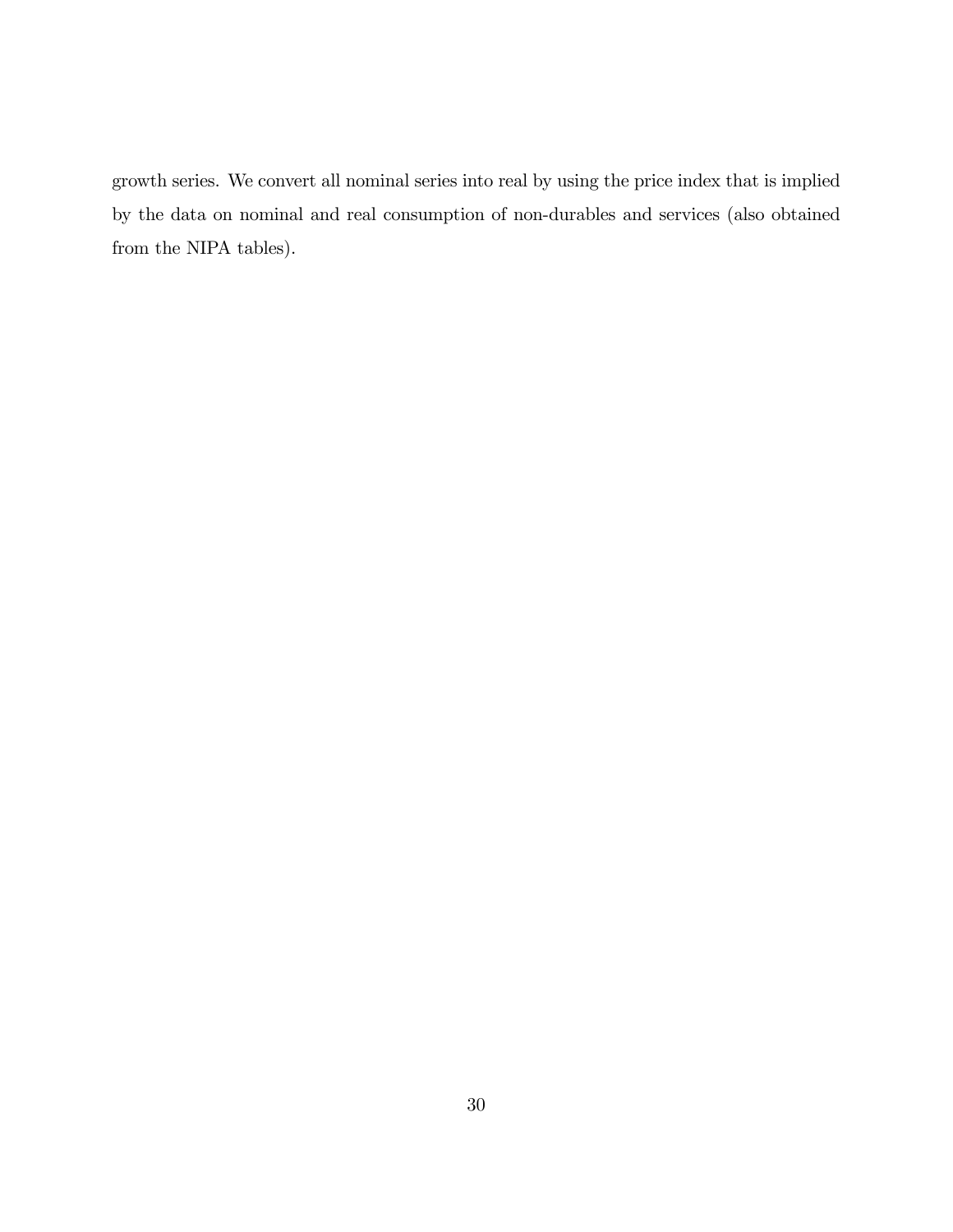growth series. We convert all nominal series into real by using the price index that is implied by the data on nominal and real consumption of non-durables and services (also obtained from the NIPA tables).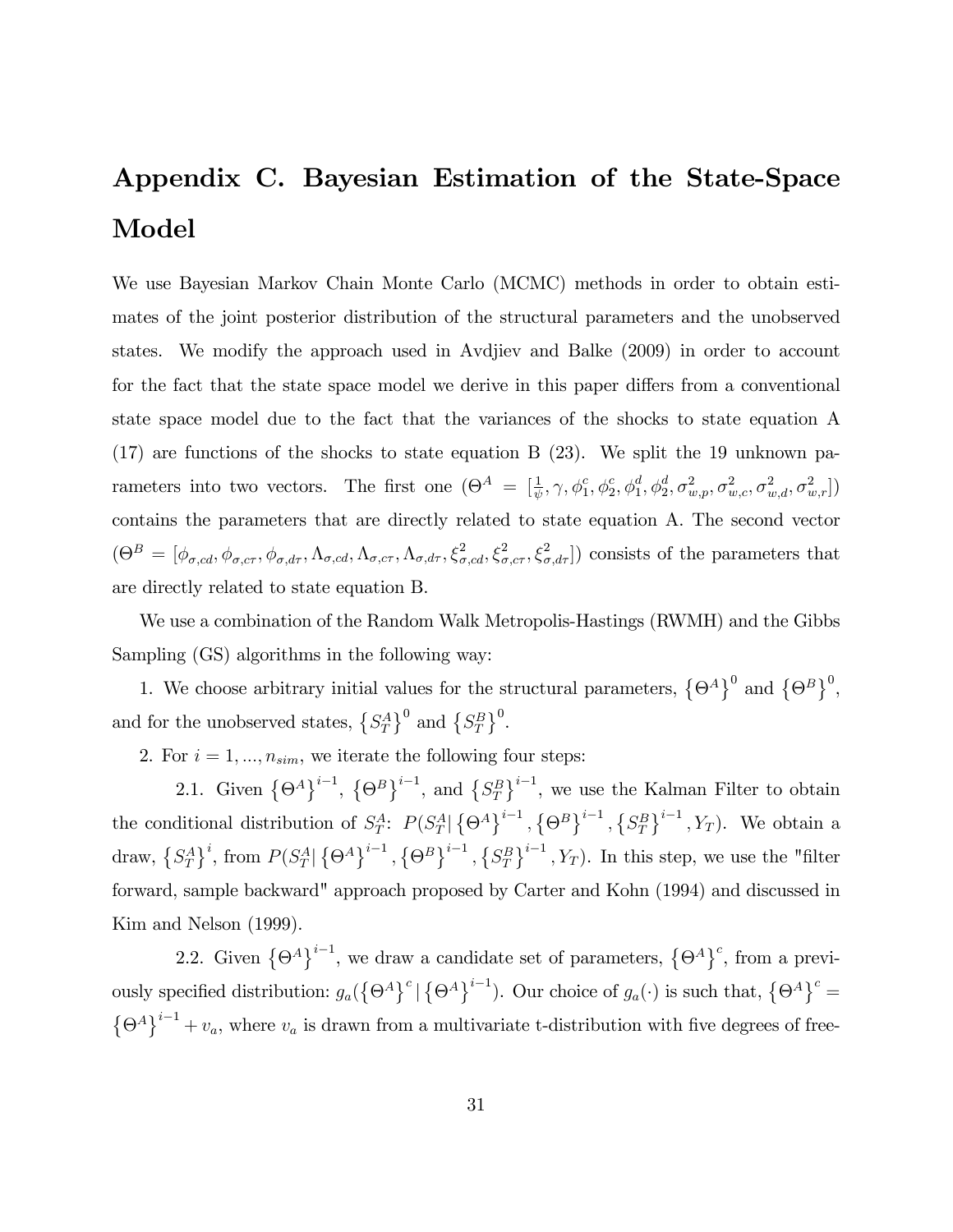## Appendix C. Bayesian Estimation of the State-Space Model

We use Bayesian Markov Chain Monte Carlo (MCMC) methods in order to obtain estimates of the joint posterior distribution of the structural parameters and the unobserved states. We modify the approach used in Avdjiev and Balke (2009) in order to account for the fact that the state space model we derive in this paper differs from a conventional state space model due to the fact that the variances of the shocks to state equation A (17) are functions of the shocks to state equation B (23). We split the 19 unknown parameters into two vectors. The first one  $(\Theta^A = [\frac{1}{\psi}, \gamma, \phi_1^c, \phi_2^c, \phi_1^d, \phi_2^d, \sigma_{w,p}^2, \sigma_{w,c}^2, \sigma_{w,d}^2, \sigma_{w,r}^2])$ contains the parameters that are directly related to state equation A. The second vector  $(\Theta^B = [\phi_{\sigma,cd}, \phi_{\sigma,cr}, \phi_{\sigma,d\tau}, \Lambda_{\sigma,cd}, \Lambda_{\sigma,cr}, \Lambda_{\sigma,d\tau}, \xi^2_{\sigma,cd}, \xi^2_{\sigma,cr}, \xi^2_{\sigma,d\tau}]$  consists of the parameters that are directly related to state equation B.

We use a combination of the Random Walk Metropolis-Hastings (RWMH) and the Gibbs Sampling (GS) algorithms in the following way:

1. We choose arbitrary initial values for the structural parameters,  $\{\Theta^A\}^0$  and  $\{\Theta^B\}^0$ , and for the unobserved states,  $\{S_T^A\}^0$  and  $\{S_T^B\}^0$ .

2. For  $i = 1, ..., n_{sim}$ , we iterate the following four steps:

2.1. Given  $\{\Theta^A\}^{i-1}$ ,  $\{\Theta^B\}^{i-1}$ , and  $\{S_T^B\}^{i-1}$ , we use the Kalman Filter to obtain the conditional distribution of  $S_T^A$ :  $P(S_T^A | \{\Theta^A\}^{i-1}, {\{\Theta^B\}}^{i-1}, {\{S_T^B\}}^{i-1}, Y_T)$ . We obtain a draw,  $\{S_T^A\}^i$ , from  $P(S_T^A | \{\Theta^A\}^{i-1}, {\{\Theta^B\}}^{i-1}, {\{S_T^B\}}^{i-1}, Y_T)$ . In this step, we use the "filter forward, sample backward" approach proposed by Carter and Kohn (1994) and discussed in Kim and Nelson (1999).

2.2. Given  $\{\Theta^A\}^{i-1}$ , we draw a candidate set of parameters,  $\{\Theta^A\}^c$ , from a previously specified distribution:  $g_a(\{\Theta^A\}^c | \{\Theta^A\}^{i-1})$ . Our choice of  $g_a(\cdot)$  is such that,  $\{\Theta^A\}^c =$  $\{\Theta^A\}^{i-1} + v_a$ , where  $v_a$  is drawn from a multivariate t-distribution with five degrees of free-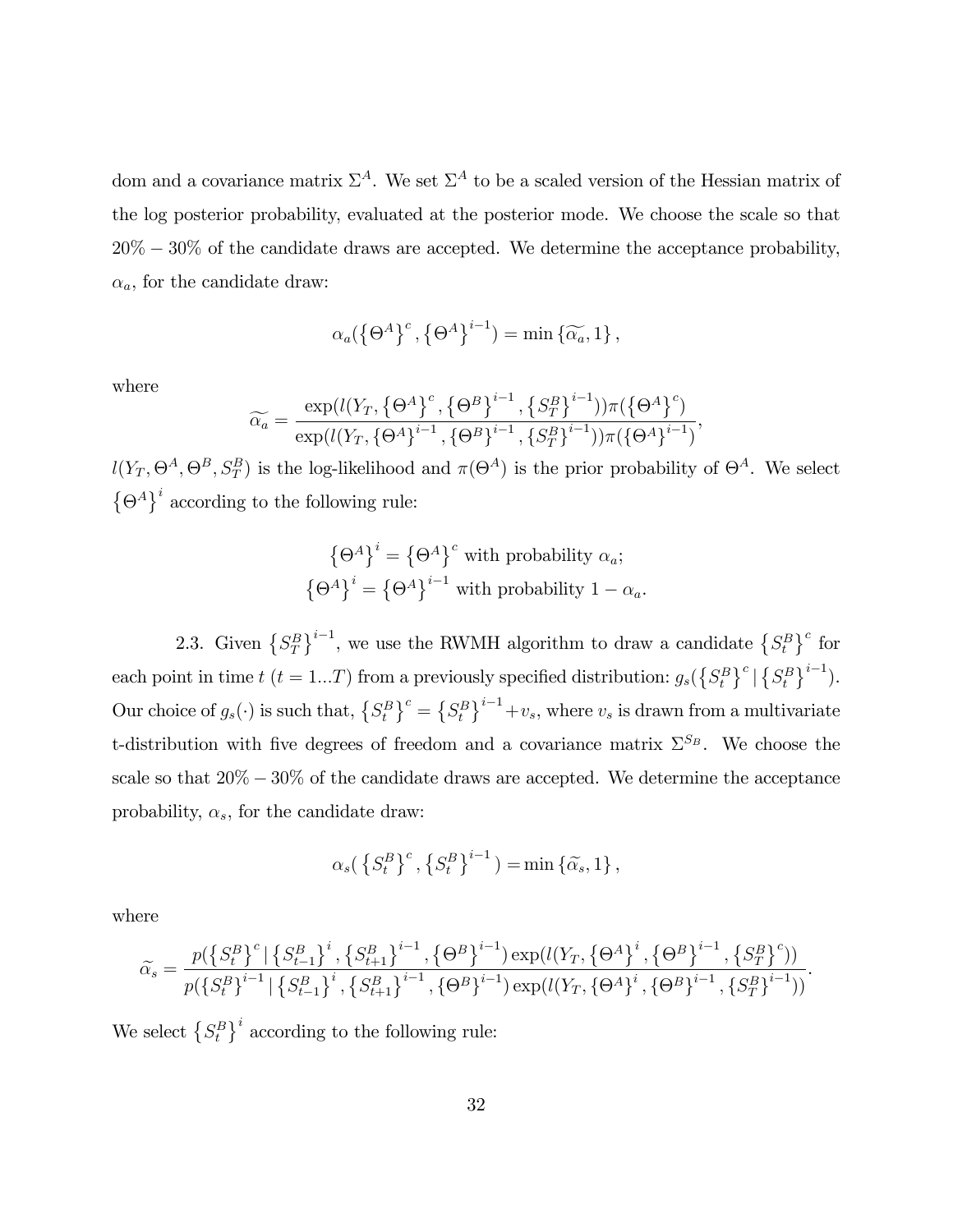dom and a covariance matrix  $\Sigma^A$ . We set  $\Sigma^A$  to be a scaled version of the Hessian matrix of the log posterior probability, evaluated at the posterior mode. We choose the scale so that  $20\% - 30\%$  of the candidate draws are accepted. We determine the acceptance probability,  $\alpha_a$ , for the candidate draw:

$$
\alpha_a(\left\{\Theta^A\right\}^c, \left\{\Theta^A\right\}^{i-1}) = \min\left\{\widetilde{\alpha_a}, 1\right\},\
$$

where

$$
\widetilde{\alpha_a} = \frac{\exp(l(Y_T, \{\Theta^A\}^c, \{\Theta^B\}^{i-1}, \{S_T^B\}^{i-1}))\pi(\{\Theta^A\}^c)}{\exp(l(Y_T, \{\Theta^A\}^{i-1}, \{\Theta^B\}^{i-1}, \{S_T^B\}^{i-1}))\pi(\{\Theta^A\}^{i-1})},
$$

 $l(Y_T, \Theta^A, \Theta^B, S_T^B)$  is the log-likelihood and  $\pi(\Theta^A)$  is the prior probability of  $\Theta^A$ . We select  $\{\Theta^A\}^i$  according to the following rule:

$$
\left\{\Theta^A\right\}^i = \left\{\Theta^A\right\}^c \text{ with probability } \alpha_a;
$$

$$
\left\{\Theta^A\right\}^i = \left\{\Theta^A\right\}^{i-1} \text{ with probability } 1 - \alpha_a.
$$

2.3. Given  $\{S_T^B\}^{i-1}$ , we use the RWMH algorithm to draw a candidate  $\{S_t^B\}^c$  for each point in time  $t$  ( $t = 1...T$ ) from a previously specified distribution:  $g_s({S_t^B})^c |{S_t^B}^{i-1})$ . Our choice of  $g_s(\cdot)$  is such that,  $\{S_t^B\}^c = \{S_t^B\}^{i-1} + v_s$ , where  $v_s$  is drawn from a multivariate t-distribution with five degrees of freedom and a covariance matrix  $\Sigma^{S_B}$ . We choose the scale so that  $20\% - 30\%$  of the candidate draws are accepted. We determine the acceptance probability,  $\alpha_s$ , for the candidate draw:

$$
\alpha_s \big(\left\{S_t^B\right\}^c, \left\{S_t^B\right\}^{i-1}\big) = \min\left\{\widetilde{\alpha_s}, 1\right\},\
$$

where

$$
\widetilde{\alpha}_{s} = \frac{p(\left\{S_{t}^{B}\right\}^{c} | \left\{S_{t-1}^{B}\right\}^{i}, \left\{S_{t+1}^{B}\right\}^{i-1}, \left\{\Theta^{B}\right\}^{i-1}) \exp(l(Y_{T}, \left\{\Theta^{A}\right\}^{i}, \left\{\Theta^{B}\right\}^{i-1}, \left\{S_{T}^{B}\right\}^{c}))}{p(\left\{S_{t}^{B}\right\}^{i-1} | \left\{S_{t-1}^{B}\right\}^{i}, \left\{S_{t+1}^{B}\right\}^{i-1}, \left\{\Theta^{B}\right\}^{i-1}) \exp(l(Y_{T}, \left\{\Theta^{A}\right\}^{i}, \left\{\Theta^{B}\right\}^{i-1}, \left\{S_{T}^{B}\right\}^{i-1}))}.
$$

We select  $\{S_t^B\}^i$  according to the following rule: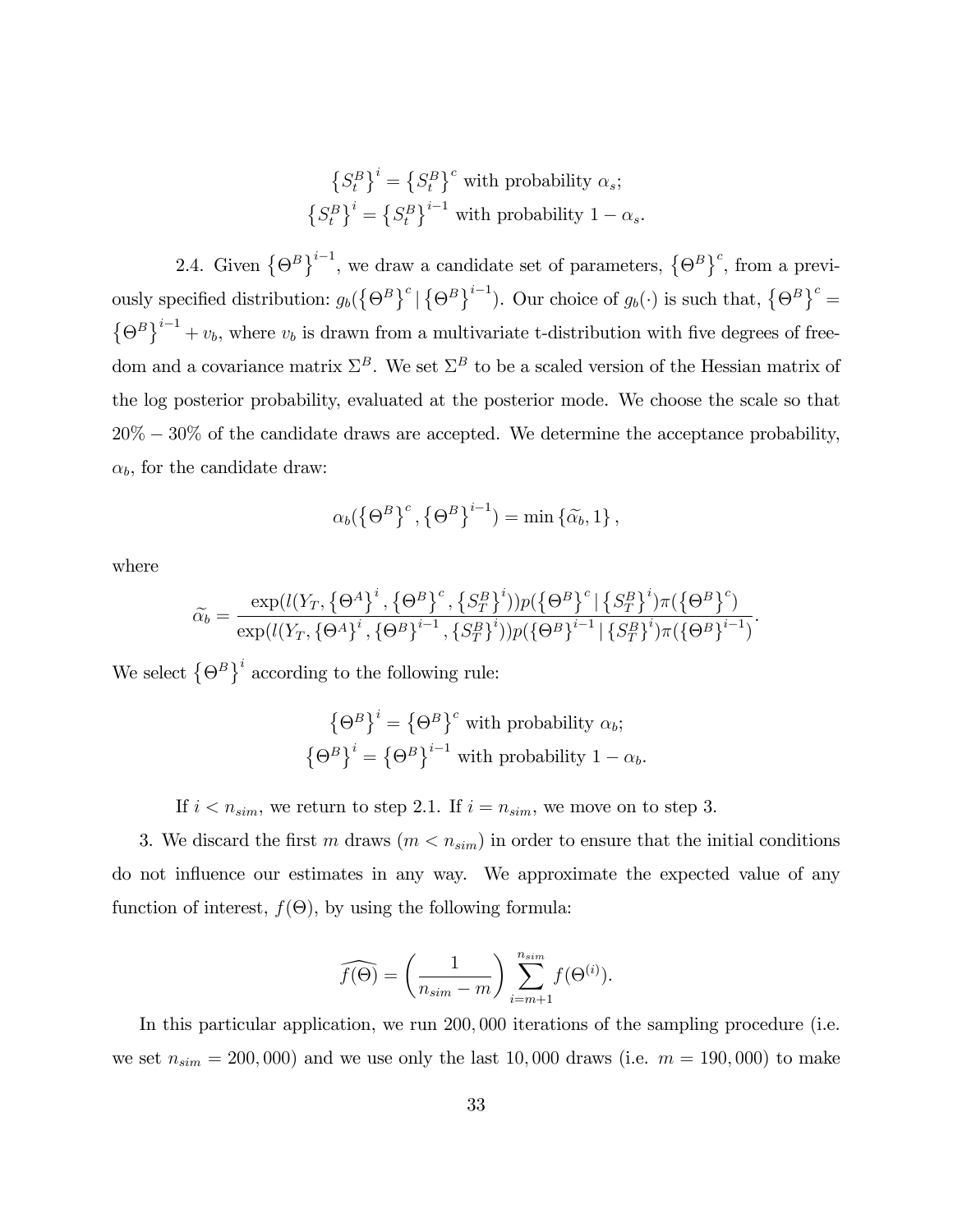$$
\left\{S_t^B\right\}^i = \left\{S_t^B\right\}^c \text{ with probability } \alpha_s;
$$
  

$$
\left\{S_t^B\right\}^i = \left\{S_t^B\right\}^{i-1} \text{ with probability } 1 - \alpha_s.
$$

2.4. Given  $\{\Theta^B\}^{i-1}$ , we draw a candidate set of parameters,  $\{\Theta^B\}^c$ , from a previously specified distribution:  $g_b(\{\Theta^B\}^c | \{\Theta^B\}^{i-1})$ . Our choice of  $g_b(\cdot)$  is such that,  $\{\Theta^B\}^c =$  $\{\Theta^B\}^{i-1} + v_b$ , where  $v_b$  is drawn from a multivariate t-distribution with five degrees of freedom and a covariance matrix  $\Sigma^B$ . We set  $\Sigma^B$  to be a scaled version of the Hessian matrix of the log posterior probability, evaluated at the posterior mode. We choose the scale so that  $20\% - 30\%$  of the candidate draws are accepted. We determine the acceptance probability,  $\alpha_b$ , for the candidate draw:

$$
\alpha_b(\left\{\Theta^B\right\}^c,\left\{\Theta^B\right\}^{i-1}) = \min\left\{\widetilde{\alpha_b},1\right\},\
$$

where

$$
\widetilde{\alpha}_{b} = \frac{\exp(l(Y_{T}, \{\Theta^{A}\}^{i}, \{\Theta^{B}\}^{c}, \{S^{B}_{T}\}^{i}) ) p(\{\Theta^{B}\}^{c} | \{S^{B}_{T}\}^{i}) \pi(\{\Theta^{B}\}^{c})}{\exp(l(Y_{T}, \{\Theta^{A}\}^{i}, \{\Theta^{B}\}^{i-1}, \{S^{B}_{T}\}^{i}) ) p(\{\Theta^{B}\}^{i-1} | \{S^{B}_{T}\}^{i}) \pi(\{\Theta^{B}\}^{i-1})}.
$$

We select  $\{\Theta^B\}^i$  according to the following rule:

$$
\left\{\Theta^B\right\}^i = \left\{\Theta^B\right\}^c \text{ with probability } \alpha_b;
$$

$$
\left\{\Theta^B\right\}^i = \left\{\Theta^B\right\}^{i-1} \text{ with probability } 1 - \alpha_b.
$$

If  $i < n_{sim}$ , we return to step 2.1. If  $i = n_{sim}$ , we move on to step 3.

3. We discard the first m draws  $(m < n_{sim})$  in order to ensure that the initial conditions do not ináuence our estimates in any way. We approximate the expected value of any function of interest,  $f(\Theta)$ , by using the following formula:

$$
\widehat{f(\Theta)} = \left(\frac{1}{n_{sim} - m}\right) \sum_{i=m+1}^{n_{sim}} f(\Theta^{(i)}).
$$

In this particular application, we run 200; 000 iterations of the sampling procedure (i.e. we set  $n_{sim} = 200,000$  and we use only the last 10,000 draws (i.e.  $m = 190,000$ ) to make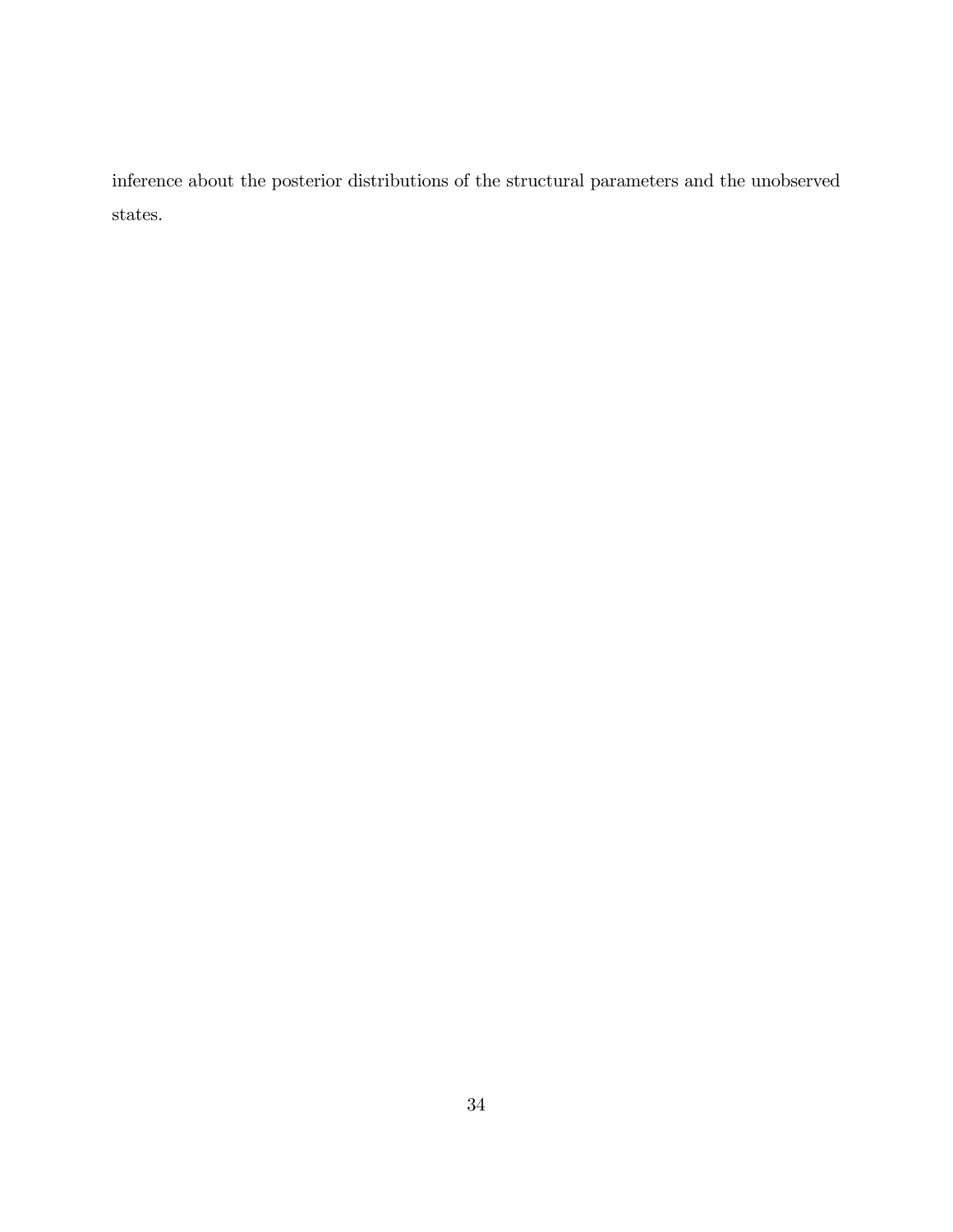inference about the posterior distributions of the structural parameters and the unobserved states.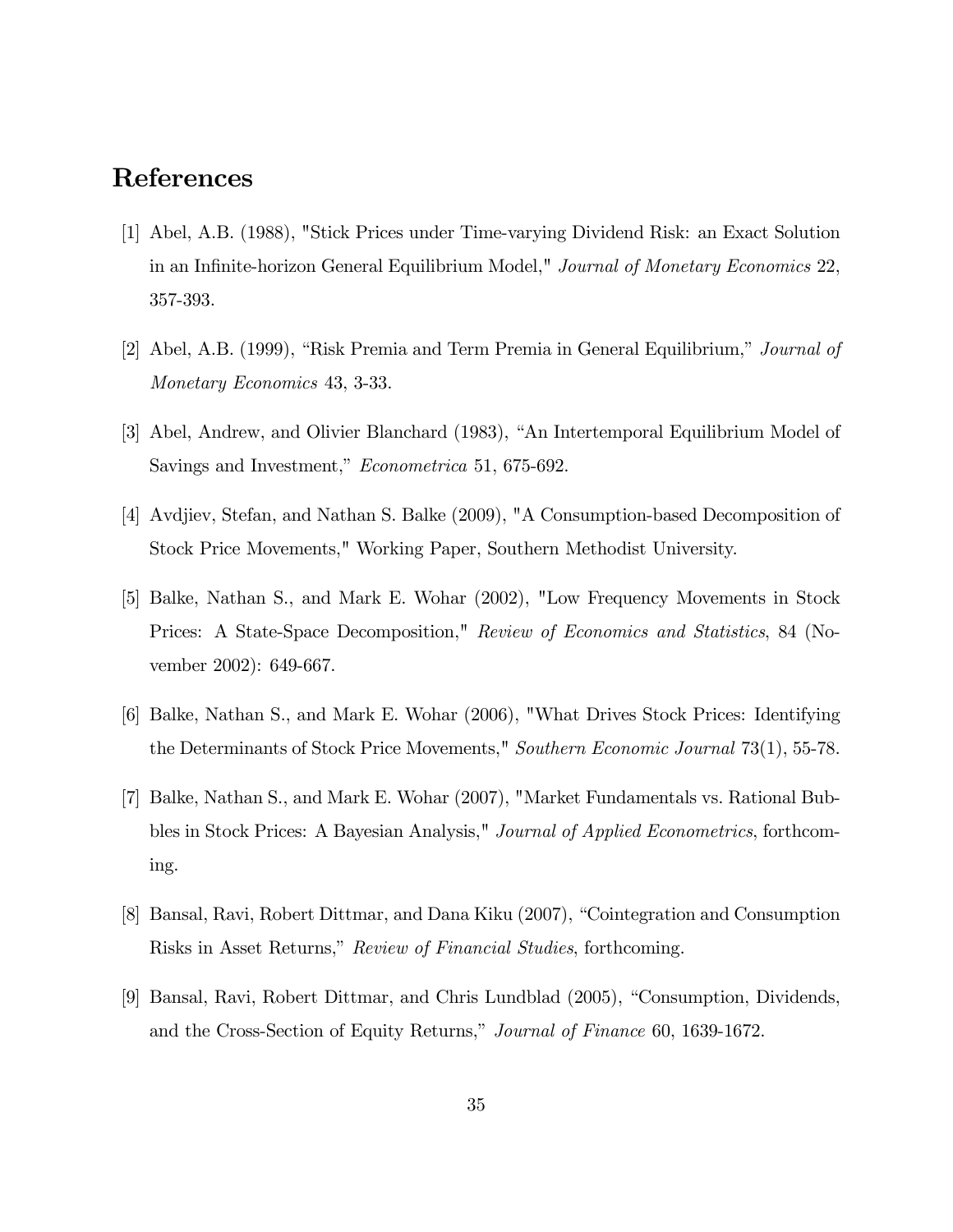## References

- [1] Abel, A.B. (1988), "Stick Prices under Time-varying Dividend Risk: an Exact Solution in an Infinite-horizon General Equilibrium Model," Journal of Monetary Economics 22, 357-393.
- [2] Abel, A.B. (1999), "Risk Premia and Term Premia in General Equilibrium," Journal of Monetary Economics 43, 3-33.
- [3] Abel, Andrew, and Olivier Blanchard (1983), "An Intertemporal Equilibrium Model of Savings and Investment," Econometrica 51, 675-692.
- [4] Avdjiev, Stefan, and Nathan S. Balke (2009), "A Consumption-based Decomposition of Stock Price Movements," Working Paper, Southern Methodist University.
- [5] Balke, Nathan S., and Mark E. Wohar (2002), "Low Frequency Movements in Stock Prices: A State-Space Decomposition," Review of Economics and Statistics, 84 (November 2002): 649-667.
- [6] Balke, Nathan S., and Mark E. Wohar (2006), "What Drives Stock Prices: Identifying the Determinants of Stock Price Movements," Southern Economic Journal 73(1), 55-78.
- [7] Balke, Nathan S., and Mark E. Wohar (2007), "Market Fundamentals vs. Rational Bubbles in Stock Prices: A Bayesian Analysis," Journal of Applied Econometrics, forthcoming.
- [8] Bansal, Ravi, Robert Dittmar, and Dana Kiku (2007), "Cointegration and Consumption Risks in Asset Returns," Review of Financial Studies, forthcoming.
- [9] Bansal, Ravi, Robert Dittmar, and Chris Lundblad (2005), "Consumption, Dividends, and the Cross-Section of Equity Returns," Journal of Finance 60, 1639-1672.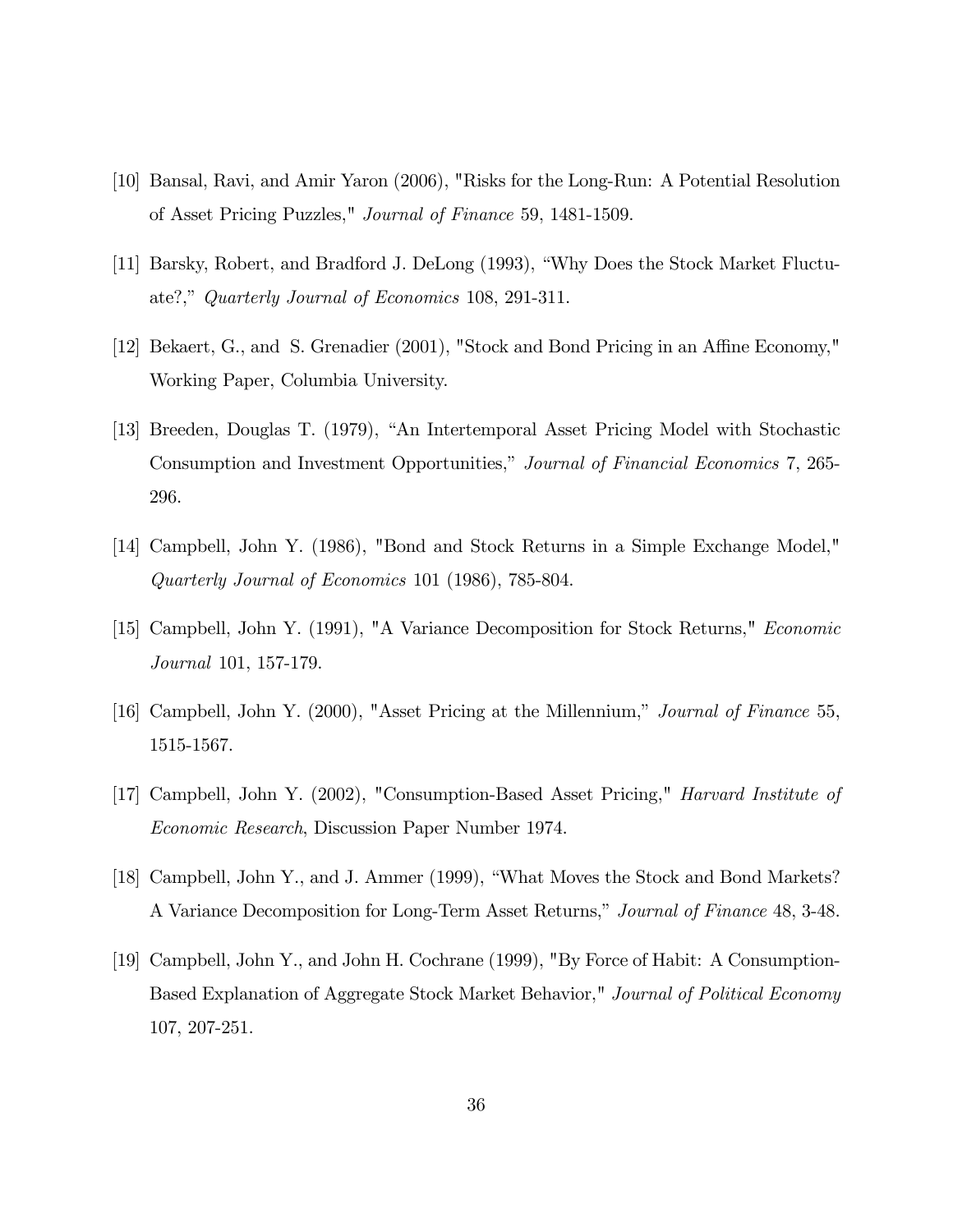- [10] Bansal, Ravi, and Amir Yaron (2006), "Risks for the Long-Run: A Potential Resolution of Asset Pricing Puzzles," Journal of Finance 59, 1481-1509.
- [11] Barsky, Robert, and Bradford J. DeLong (1993), "Why Does the Stock Market Fluctuate?," Quarterly Journal of Economics 108, 291-311.
- [12] Bekaert, G., and S. Grenadier (2001), "Stock and Bond Pricing in an Affine Economy," Working Paper, Columbia University.
- [13] Breeden, Douglas T. (1979), "An Intertemporal Asset Pricing Model with Stochastic Consumption and Investment Opportunities," Journal of Financial Economics 7, 265-296.
- [14] Campbell, John Y. (1986), "Bond and Stock Returns in a Simple Exchange Model," Quarterly Journal of Economics 101 (1986), 785-804.
- [15] Campbell, John Y. (1991), "A Variance Decomposition for Stock Returns," Economic Journal 101, 157-179.
- [16] Campbell, John Y. (2000), "Asset Pricing at the Millennium," Journal of Finance 55, 1515-1567.
- [17] Campbell, John Y. (2002), "Consumption-Based Asset Pricing," Harvard Institute of Economic Research, Discussion Paper Number 1974.
- [18] Campbell, John Y., and J. Ammer (1999), "What Moves the Stock and Bond Markets? A Variance Decomposition for Long-Term Asset Returns," Journal of Finance 48, 3-48.
- [19] Campbell, John Y., and John H. Cochrane (1999), "By Force of Habit: A Consumption-Based Explanation of Aggregate Stock Market Behavior," Journal of Political Economy 107, 207-251.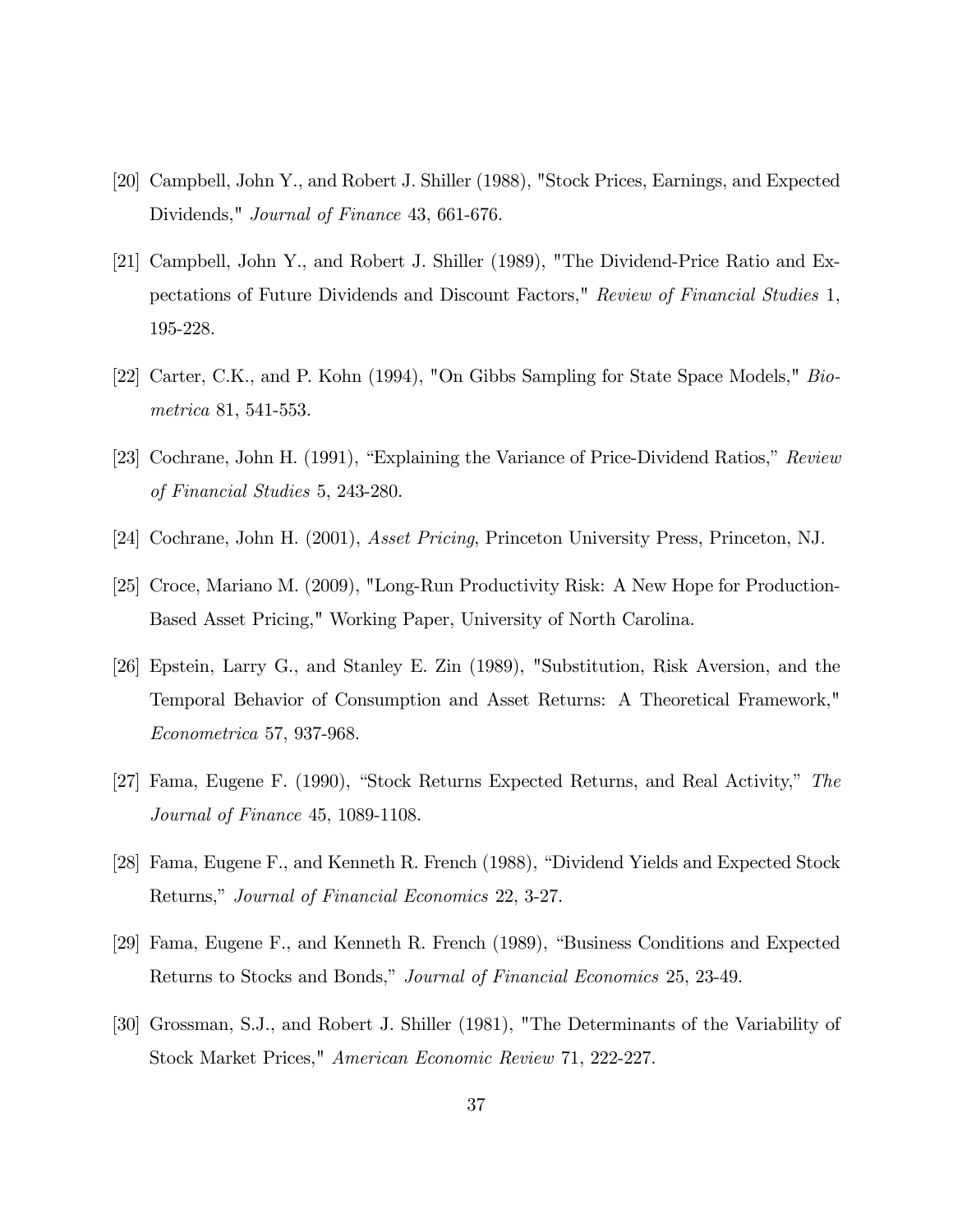- [20] Campbell, John Y., and Robert J. Shiller (1988), "Stock Prices, Earnings, and Expected Dividends," Journal of Finance 43, 661-676.
- [21] Campbell, John Y., and Robert J. Shiller (1989), "The Dividend-Price Ratio and Expectations of Future Dividends and Discount Factors," Review of Financial Studies 1, 195-228.
- [22] Carter, C.K., and P. Kohn (1994), "On Gibbs Sampling for State Space Models," Biometrica 81, 541-553.
- [23] Cochrane, John H. (1991), "Explaining the Variance of Price-Dividend Ratios,"  $Review$ of Financial Studies 5, 243-280.
- [24] Cochrane, John H. (2001), Asset Pricing, Princeton University Press, Princeton, NJ.
- [25] Croce, Mariano M. (2009), "Long-Run Productivity Risk: A New Hope for Production-Based Asset Pricing," Working Paper, University of North Carolina.
- [26] Epstein, Larry G., and Stanley E. Zin (1989), "Substitution, Risk Aversion, and the Temporal Behavior of Consumption and Asset Returns: A Theoretical Framework," Econometrica 57, 937-968.
- [27] Fama, Eugene F. (1990), "Stock Returns Expected Returns, and Real Activity," The Journal of Finance 45, 1089-1108.
- [28] Fama, Eugene F., and Kenneth R. French (1988), "Dividend Yields and Expected Stock Returns," Journal of Financial Economics 22, 3-27.
- [29] Fama, Eugene F., and Kenneth R. French (1989), "Business Conditions and Expected Returns to Stocks and Bonds," *Journal of Financial Economics* 25, 23-49.
- [30] Grossman, S.J., and Robert J. Shiller (1981), "The Determinants of the Variability of Stock Market Prices," American Economic Review 71, 222-227.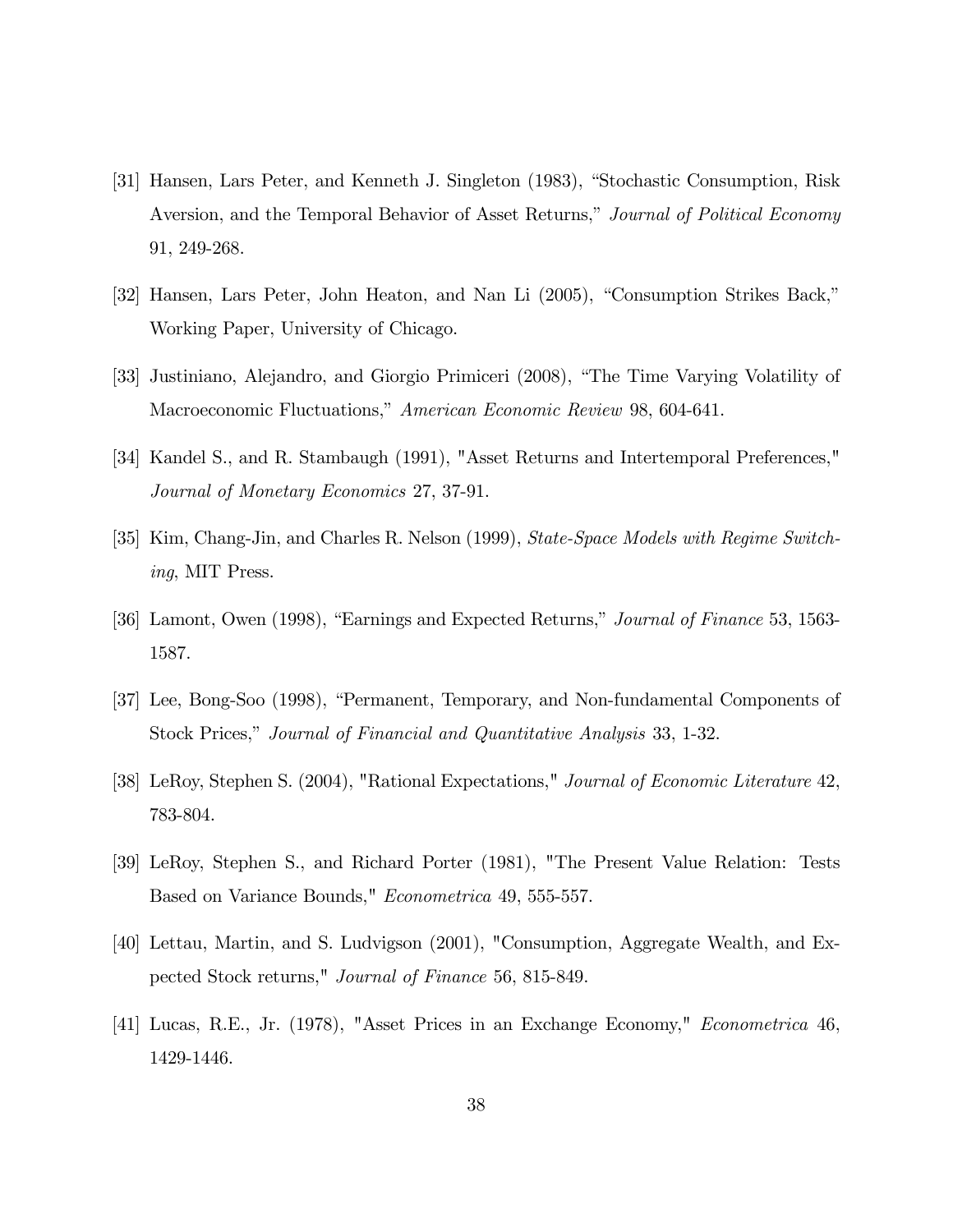- [31] Hansen, Lars Peter, and Kenneth J. Singleton (1983), "Stochastic Consumption, Risk Aversion, and the Temporal Behavior of Asset Returns," Journal of Political Economy 91, 249-268.
- [32] Hansen, Lars Peter, John Heaton, and Nan Li (2005), "Consumption Strikes Back," Working Paper, University of Chicago.
- [33] Justiniano, Alejandro, and Giorgio Primiceri (2008), "The Time Varying Volatility of Macroeconomic Fluctuations," American Economic Review 98, 604-641.
- [34] Kandel S., and R. Stambaugh (1991), "Asset Returns and Intertemporal Preferences," Journal of Monetary Economics 27, 37-91.
- [35] Kim, Chang-Jin, and Charles R. Nelson (1999), State-Space Models with Regime Switching, MIT Press.
- [36] Lamont, Owen (1998), "Earnings and Expected Returns," *Journal of Finance* 53, 1563-1587.
- [37] Lee, Bong-Soo (1998), "Permanent, Temporary, and Non-fundamental Components of Stock Prices," Journal of Financial and Quantitative Analysis 33, 1-32.
- [38] LeRoy, Stephen S. (2004), "Rational Expectations," Journal of Economic Literature 42, 783-804.
- [39] LeRoy, Stephen S., and Richard Porter (1981), "The Present Value Relation: Tests Based on Variance Bounds," Econometrica 49, 555-557.
- [40] Lettau, Martin, and S. Ludvigson (2001), "Consumption, Aggregate Wealth, and Expected Stock returns," Journal of Finance 56, 815-849.
- [41] Lucas, R.E., Jr. (1978), "Asset Prices in an Exchange Economy," Econometrica 46, 1429-1446.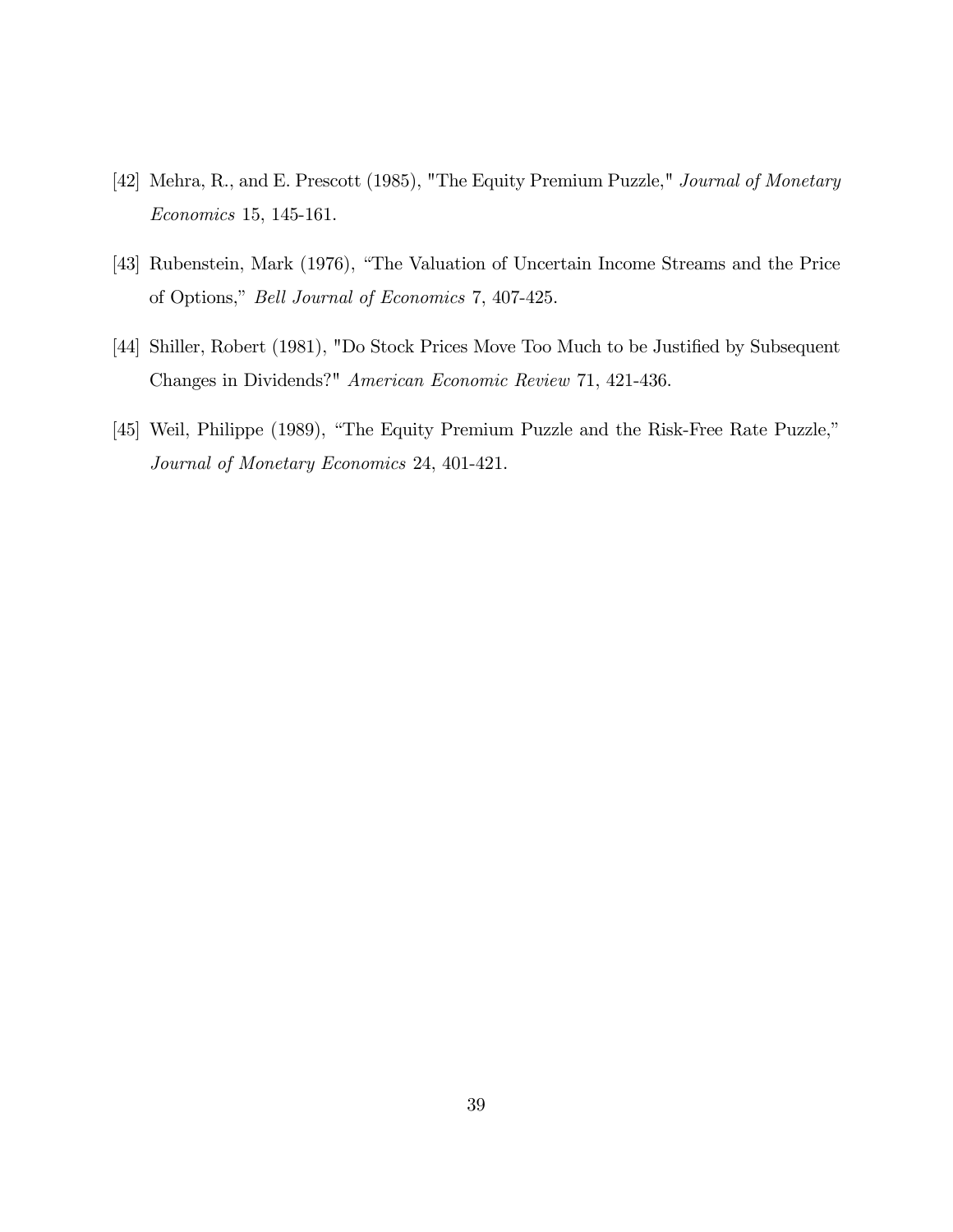- [42] Mehra, R., and E. Prescott (1985), "The Equity Premium Puzzle," Journal of Monetary Economics 15, 145-161.
- [43] Rubenstein, Mark (1976), "The Valuation of Uncertain Income Streams and the Price of Options," Bell Journal of Economics 7, 407-425.
- [44] Shiller, Robert (1981), "Do Stock Prices Move Too Much to be Justified by Subsequent Changes in Dividends?" American Economic Review 71, 421-436.
- [45] Weil, Philippe (1989), "The Equity Premium Puzzle and the Risk-Free Rate Puzzle," Journal of Monetary Economics 24, 401-421.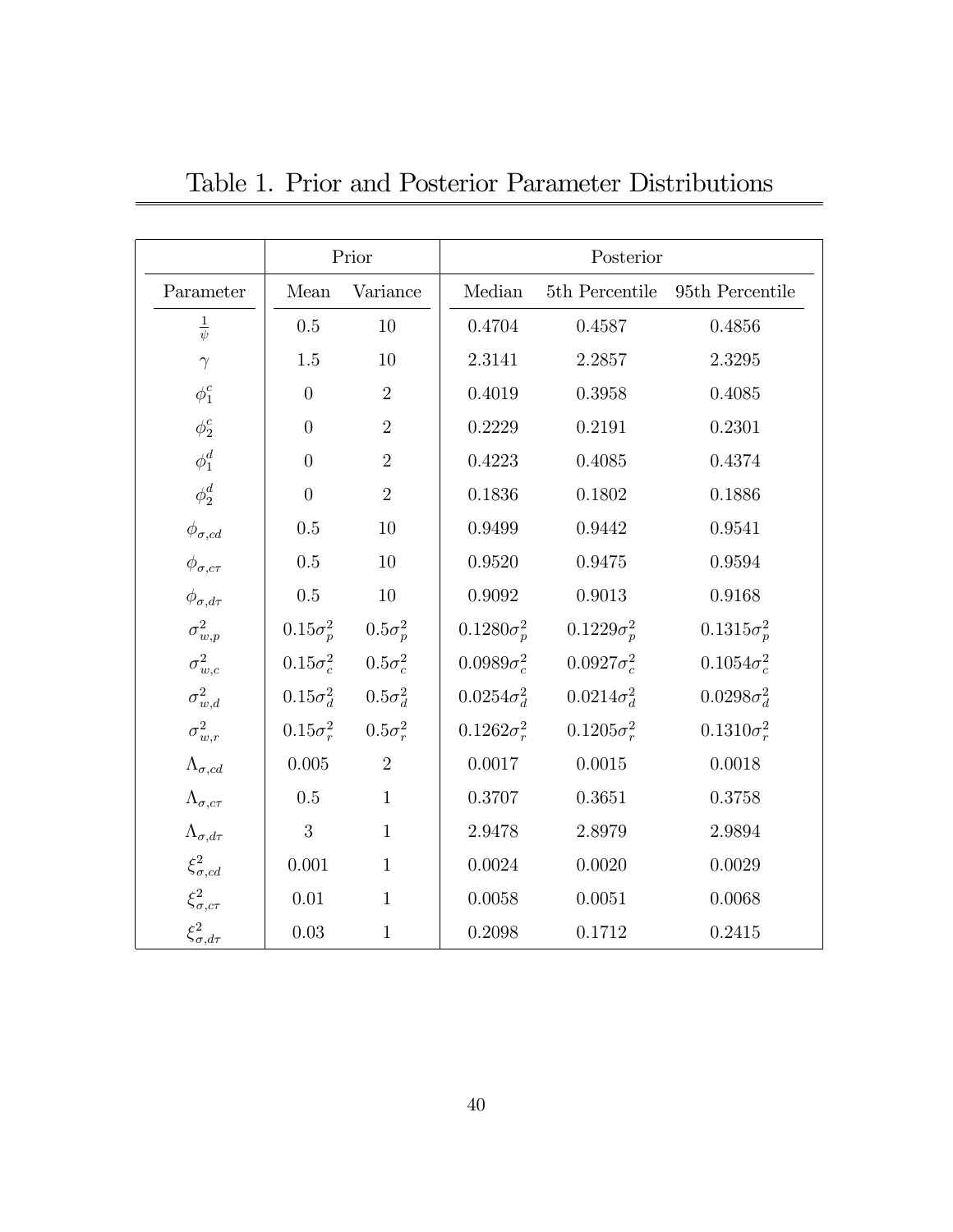|                           | Prior            |                                  | Posterior          |                    |                        |
|---------------------------|------------------|----------------------------------|--------------------|--------------------|------------------------|
| Parameter                 | Mean             | Variance                         | Median             | 5th Percentile     | 95th Percentile        |
| $\frac{1}{\psi}$          | 0.5              | 10                               | 0.4704             | 0.4587             | 0.4856                 |
| $\gamma$                  | $1.5\,$          | 10                               | 2.3141             | 2.2857             | 2.3295                 |
| $\phi_1^c$                | $\overline{0}$   | $\overline{2}$                   | 0.4019             | 0.3958             | 0.4085                 |
| $\phi^c_2$                | $\overline{0}$   | $\sqrt{2}$                       | 0.2229             | 0.2191             | 0.2301                 |
| $\phi_1^d$                | $\overline{0}$   | $\overline{2}$                   | 0.4223             | $0.4085\,$         | 0.4374                 |
| $\phi^d_2$                | $\overline{0}$   | $\overline{2}$                   | 0.1836             | 0.1802             | 0.1886                 |
| $\phi_{\sigma,cd}$        | $0.5\,$          | 10                               | 0.9499             | 0.9442             | 0.9541                 |
| $\phi_{\sigma, c\tau}$    | $0.5\,$          | 10                               | 0.9520             | 0.9475             | 0.9594                 |
| $\phi_{\sigma, d\tau}$    | $0.5\,$          | 10                               | 0.9092             | 0.9013             | 0.9168                 |
| $\sigma_{w,p}^2$          |                  | $0.15\sigma_p^2$ $0.5\sigma_p^2$ | $0.1280\sigma_p^2$ | $0.1229\sigma_p^2$ | $0.1315\sigma_{p}^{2}$ |
| $\sigma^2_{w,c}$          | $0.15\sigma_c^2$ | $0.5\sigma_c^2$                  | $0.0989\sigma_c^2$ | $0.0927\sigma_c^2$ | $0.1054\sigma_c^2$     |
| $\sigma_{w,d}^2$          |                  | $0.15\sigma_d^2$ $0.5\sigma_d^2$ | $0.0254\sigma_d^2$ | $0.0214\sigma_d^2$ | $0.0298\sigma_d^2$     |
| $\sigma_{w,r}^2$          |                  | $0.15\sigma_r^2$ $0.5\sigma_r^2$ | $0.1262\sigma_r^2$ | $0.1205\sigma_r^2$ | $0.1310\sigma_r^2$     |
| $\Lambda_{\sigma,cd}$     | 0.005            | $\overline{2}$                   | 0.0017             | 0.0015             | 0.0018                 |
| $\Lambda_{\sigma, c\tau}$ | $0.5\,$          | $\mathbf{1}$                     | 0.3707             | 0.3651             | 0.3758                 |
| $\Lambda_{\sigma, d\tau}$ | 3                | $\mathbf{1}$                     | 2.9478             | 2.8979             | 2.9894                 |
| $\xi^2_{\sigma,cd}$       | 0.001            | $\mathbf{1}$                     | 0.0024             | 0.0020             | 0.0029                 |
| $\xi_{\sigma, c\tau}^2$   | $0.01\,$         | $\mathbf{1}$                     | 0.0058             | 0.0051             | 0.0068                 |
| $\xi^2_{\sigma, d\tau}$   | 0.03             | $\mathbf{1}$                     | 0.2098             | 0.1712             | 0.2415                 |

Table 1. Prior and Posterior Parameter Distributions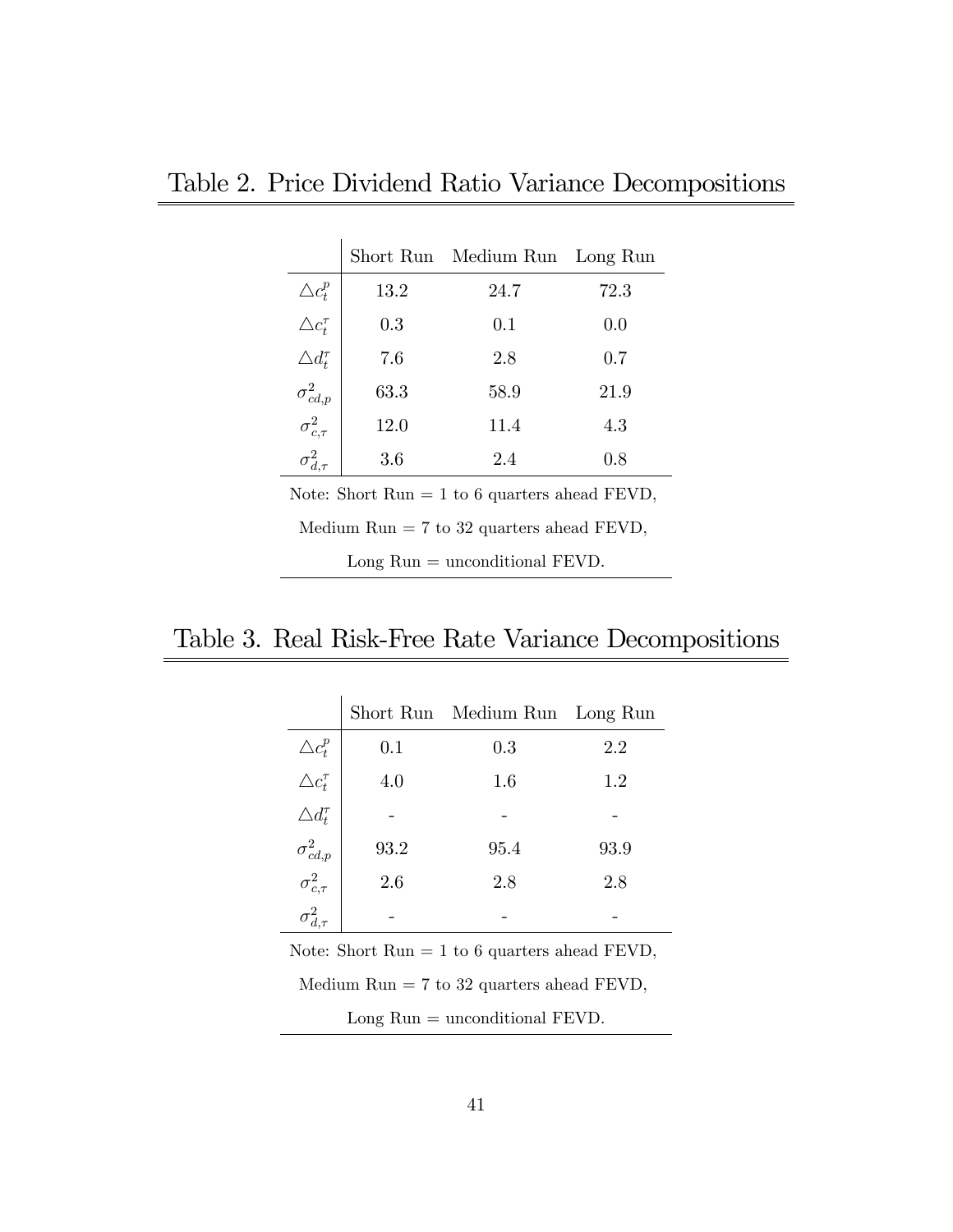| Table 2. Price Dividend Ratio Variance Decompositions |  |  |
|-------------------------------------------------------|--|--|
|-------------------------------------------------------|--|--|

|                        |         | Short Run Medium Run | Long Run |
|------------------------|---------|----------------------|----------|
| $\triangle c_{t}^{p}$  | 13.2    | 24.7                 | 72.3     |
| $\triangle c_t^{\tau}$ | $0.3\,$ | 0.1                  | 0.0      |
| $\triangle d_t^{\tau}$ | 7.6     | 2.8                  | 0.7      |
| $\sigma^2_{cd,p}$      | 63.3    | 58.9                 | 21.9     |
| $\sigma_{c,\tau}^2$    | 12.0    | 11.4                 | 4.3      |
| $\sigma^2_{d,\tau}$    | 3.6     | 2.4                  | 0.8      |

Note: Short  $Run = 1$  to 6 quarters ahead FEVD,

Medium Run = 7 to 32 quarters ahead FEVD,

Long Run = unconditional FEVD.

## Table 3. Real Risk-Free Rate Variance Decompositions

|                                             |      | Short Run Medium Run | Long Run |
|---------------------------------------------|------|----------------------|----------|
|                                             | 0.1  | $0.3\,$              | 2.2      |
| $\triangle c_t^p$<br>$\triangle c_t^{\tau}$ | 4.0  | 1.6                  | 1.2      |
| $\triangle d_t^{\tau}$                      |      |                      |          |
|                                             | 93.2 | 95.4                 | 93.9     |
| $\sigma_{cd,p}^2$<br>$\sigma_{c,\tau}^2$    | 2.6  | 2.8                  | 2.8      |
|                                             |      |                      |          |

Note: Short  $Run = 1$  to 6 quarters ahead  $FEND$ ,

Medium  $Run = 7$  to 32 quarters ahead  $FEND$ ,

Long Run = unconditional FEVD.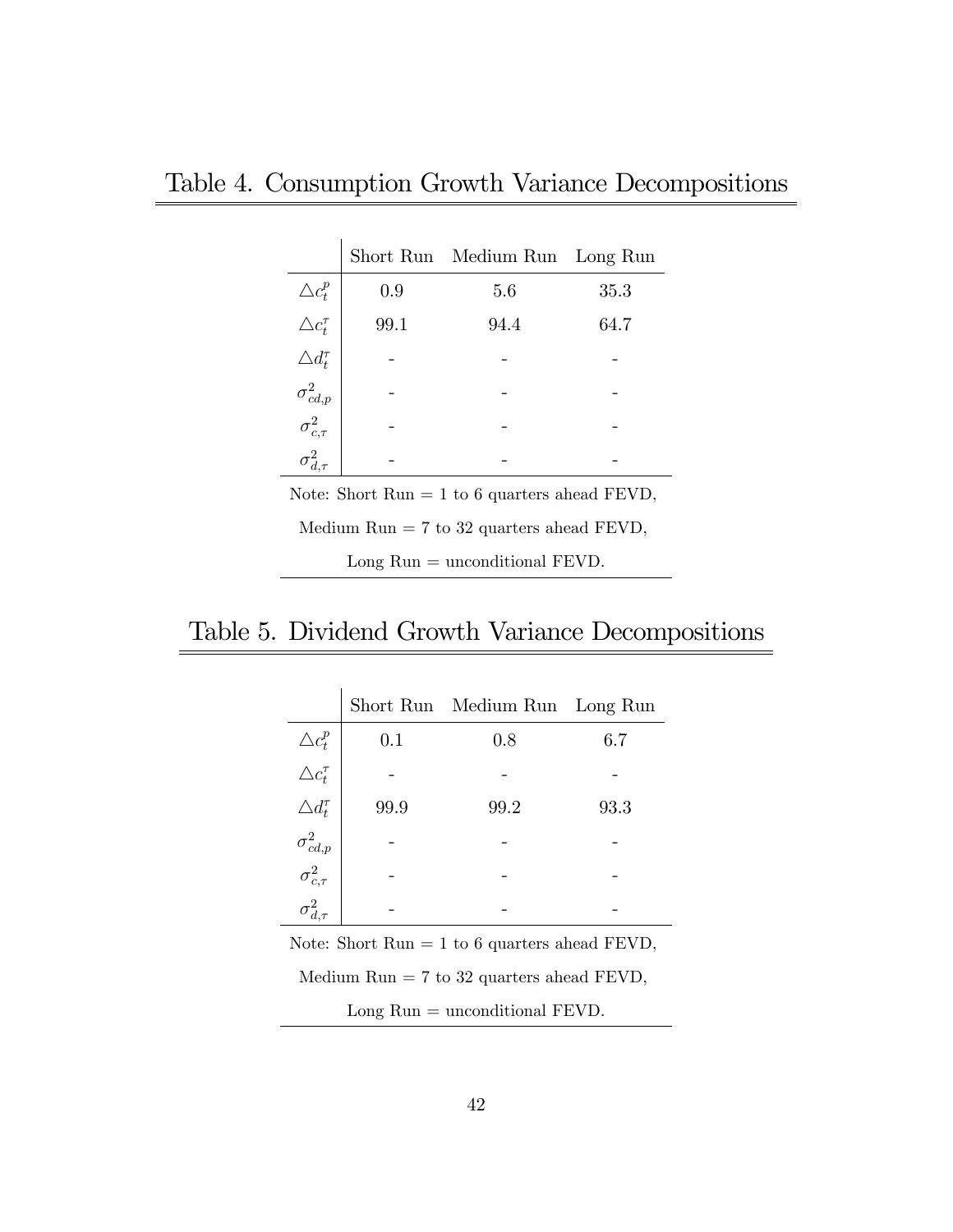|                                             |      | Short Run Medium Run | Long Run |
|---------------------------------------------|------|----------------------|----------|
|                                             | 0.9  | 5.6                  | 35.3     |
| $\triangle c_t^p$<br>$\triangle c_t^{\tau}$ | 99.1 | 94.4                 | 64.7     |
| $\triangle d_t^{\tau}$                      |      |                      |          |
| $\sigma^2_{cd,p}$                           |      |                      |          |
| $\sigma_{c,\tau}^2$                         |      |                      |          |
|                                             |      |                      |          |

Note: Short  $Run = 1$  to 6 quarters ahead FEVD,

Medium Run = 7 to 32 quarters ahead FEVD,

Long Run = unconditional FEVD.

## Table 5. Dividend Growth Variance Decompositions

|                                             |      | Short Run Medium Run Long Run |      |
|---------------------------------------------|------|-------------------------------|------|
|                                             | 0.1  | 0.8                           | 6.7  |
| $\triangle c_t^p$<br>$\triangle c_t^{\tau}$ |      |                               |      |
| $\triangle d_t^{\tau}$                      | 99.9 | 99.2                          | 93.3 |
|                                             |      |                               |      |
| $\sigma_{cd,p}^2$<br>$\sigma_{c,\tau}^2$    |      |                               |      |
|                                             |      |                               |      |

Note: Short  $Run = 1$  to 6 quarters ahead  $FEVD$ ,

Medium Run = 7 to 32 quarters ahead FEVD,

Long Run = unconditional FEVD.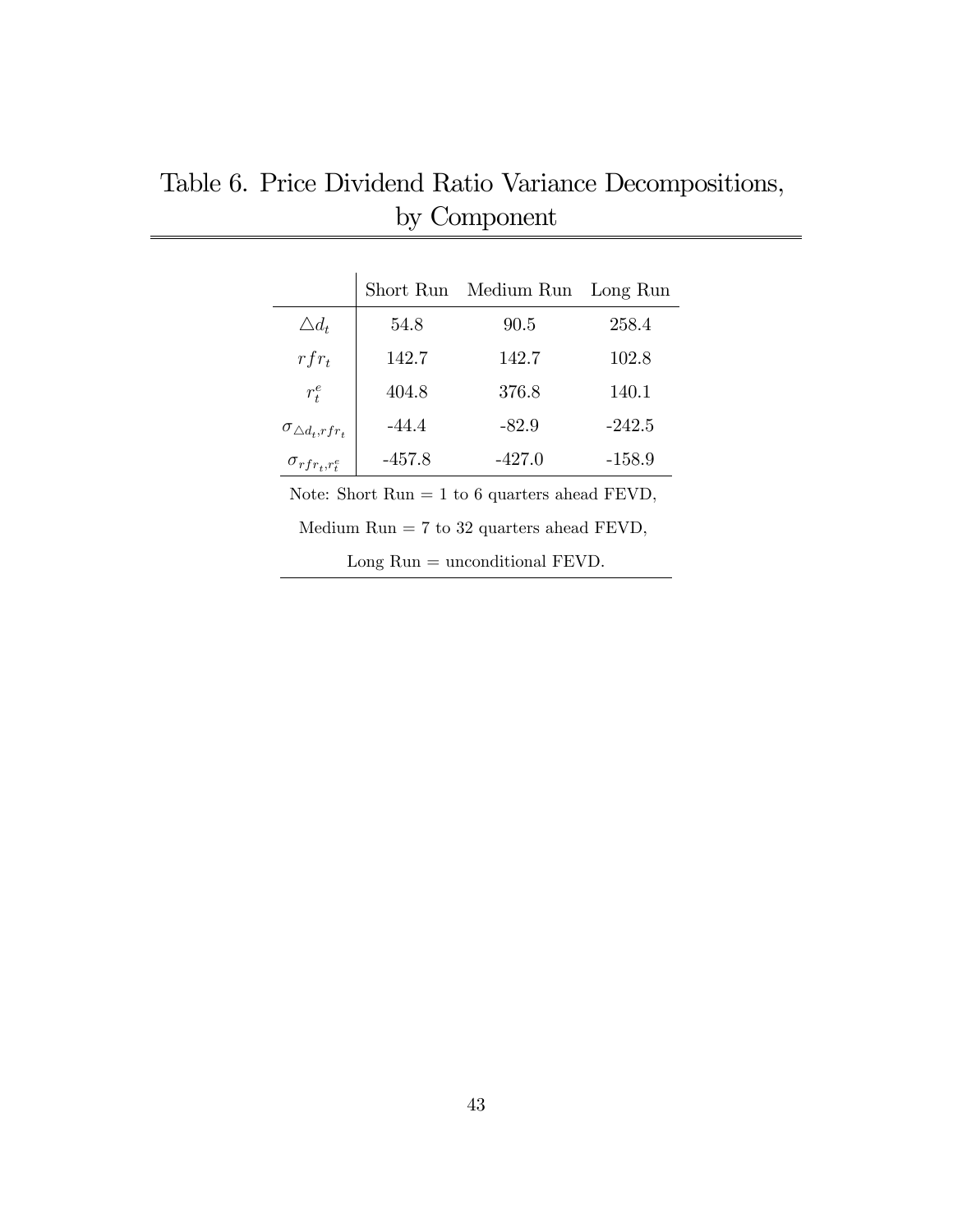|                              | Short Run | Medium Run | Long Run |
|------------------------------|-----------|------------|----------|
| $\triangle d_t$              | 54.8      | 90.5       | 258.4    |
| $rfr_t$                      | 142.7     | 142.7      | 102.8    |
| $r_t^e$                      | 404.8     | 376.8      | 140.1    |
| $\sigma_{\Delta d_t, rfr_t}$ | $-44.4$   | $-82.9$    | $-242.5$ |
| $\sigma_{rfr_{t},r_{t}^{e}}$ | -457.8    | $-427.0$   | $-158.9$ |

Table 6. Price Dividend Ratio Variance Decompositions, by Component

Note: Short Run  $= 1$  to 6 quarters ahead FEVD,

Medium Run = 7 to 32 quarters ahead FEVD,

Long Run = unconditional FEVD.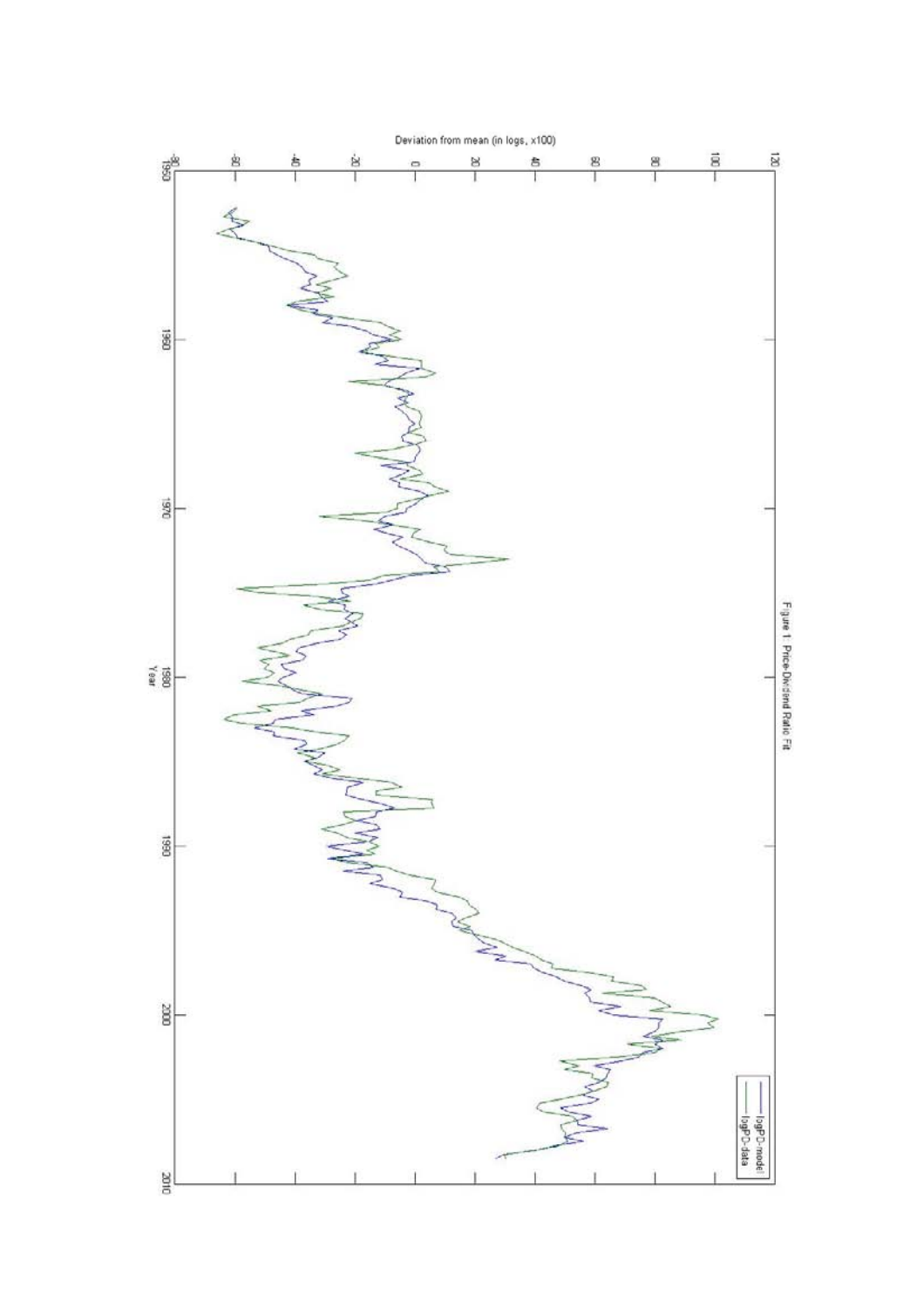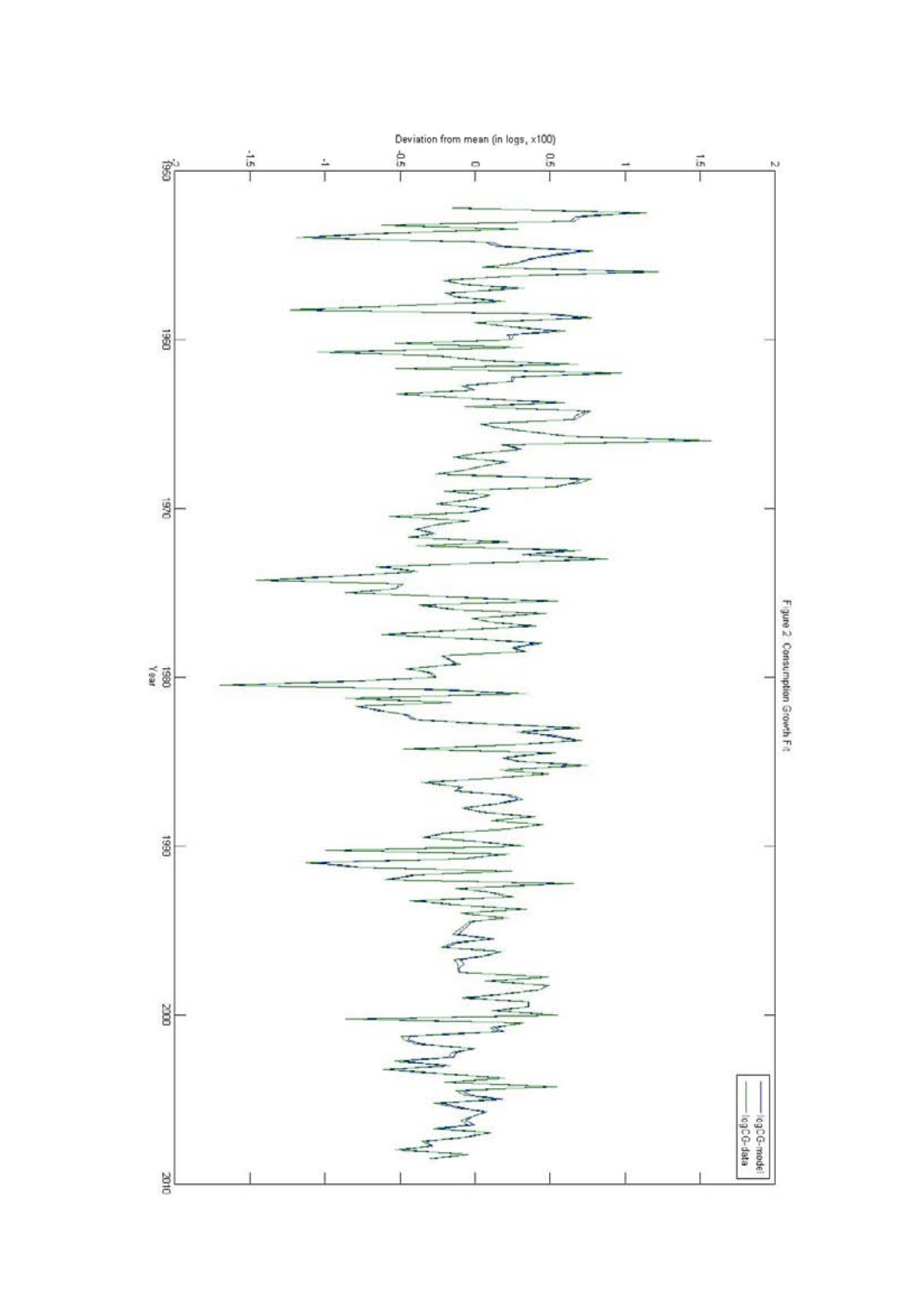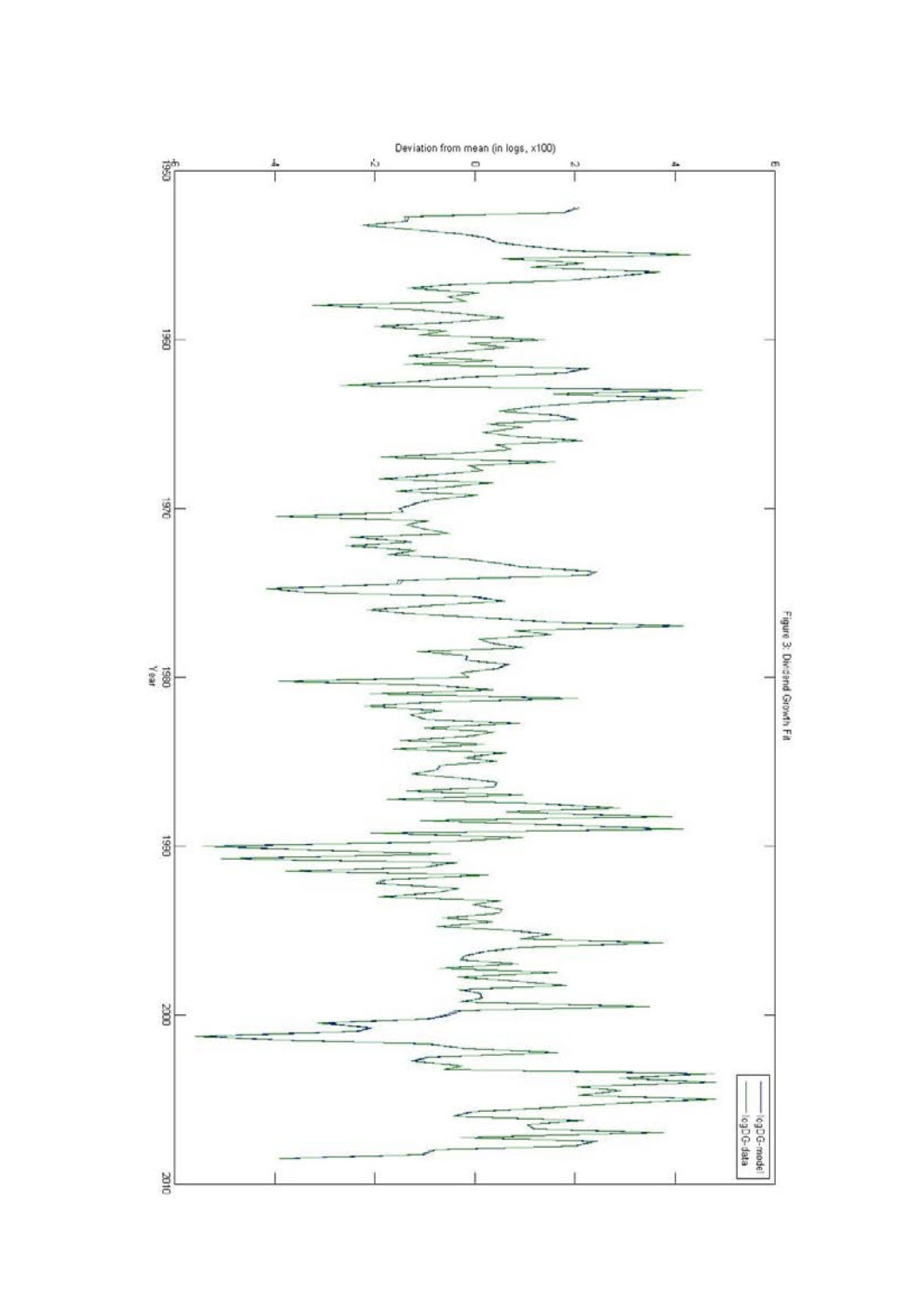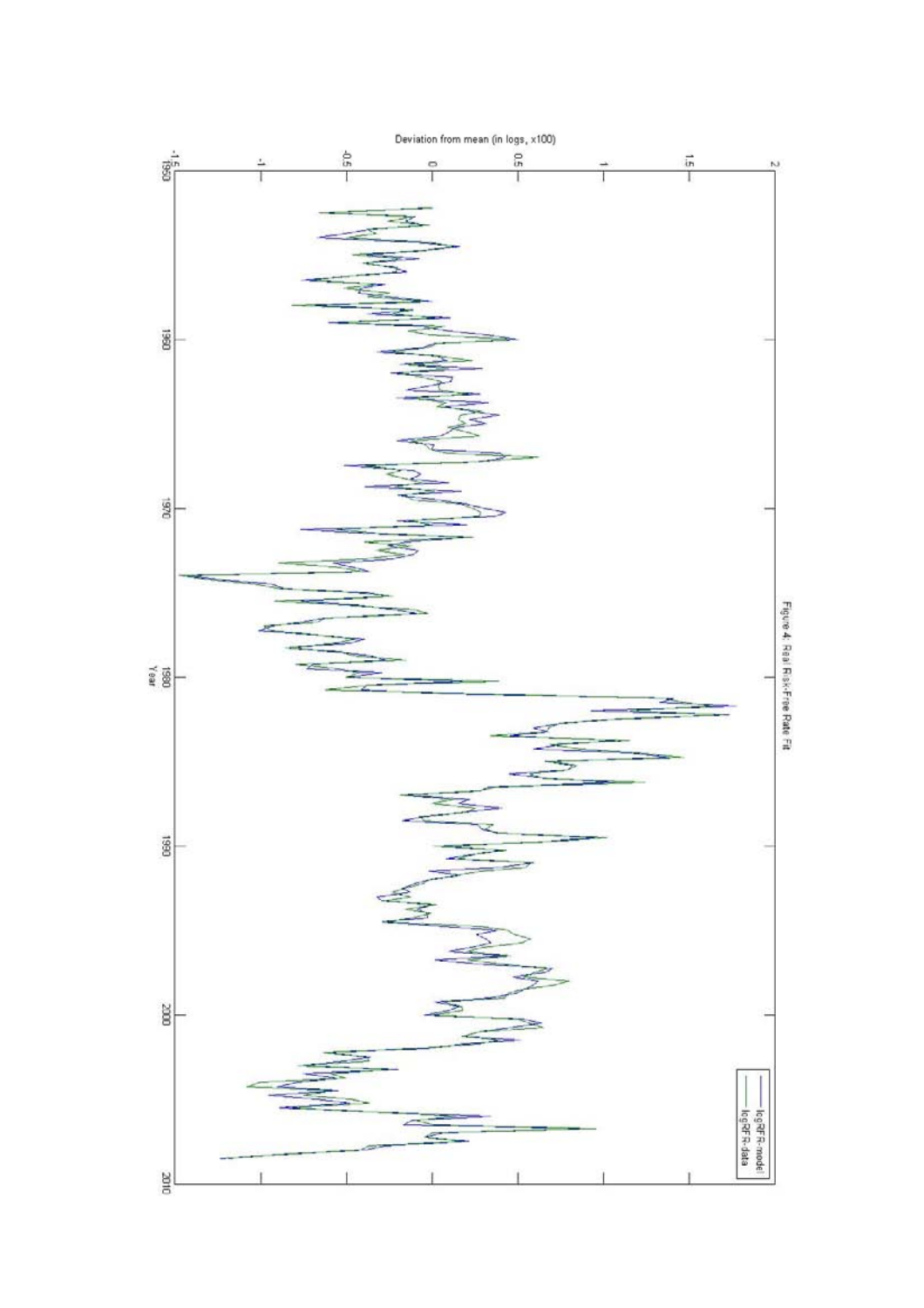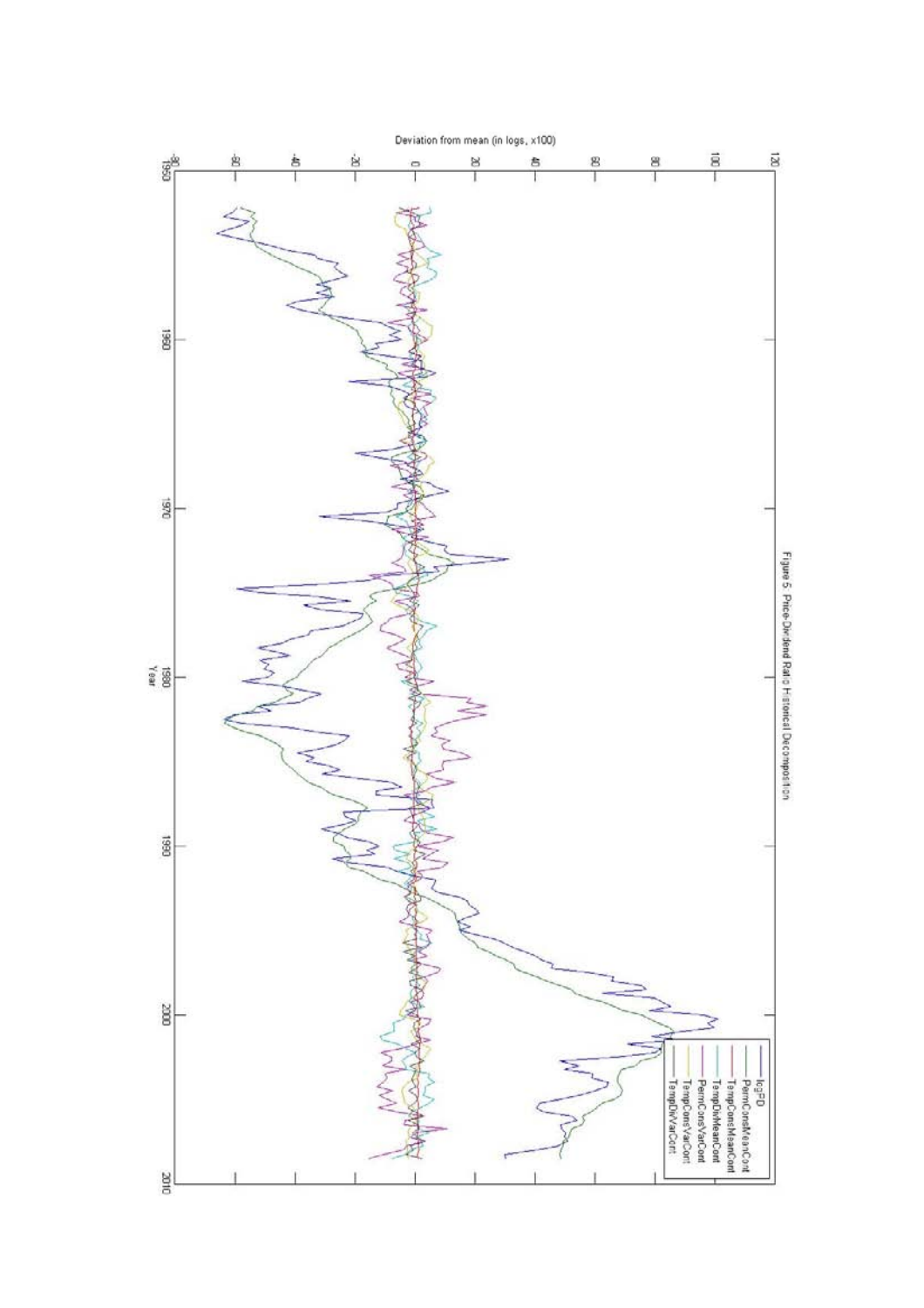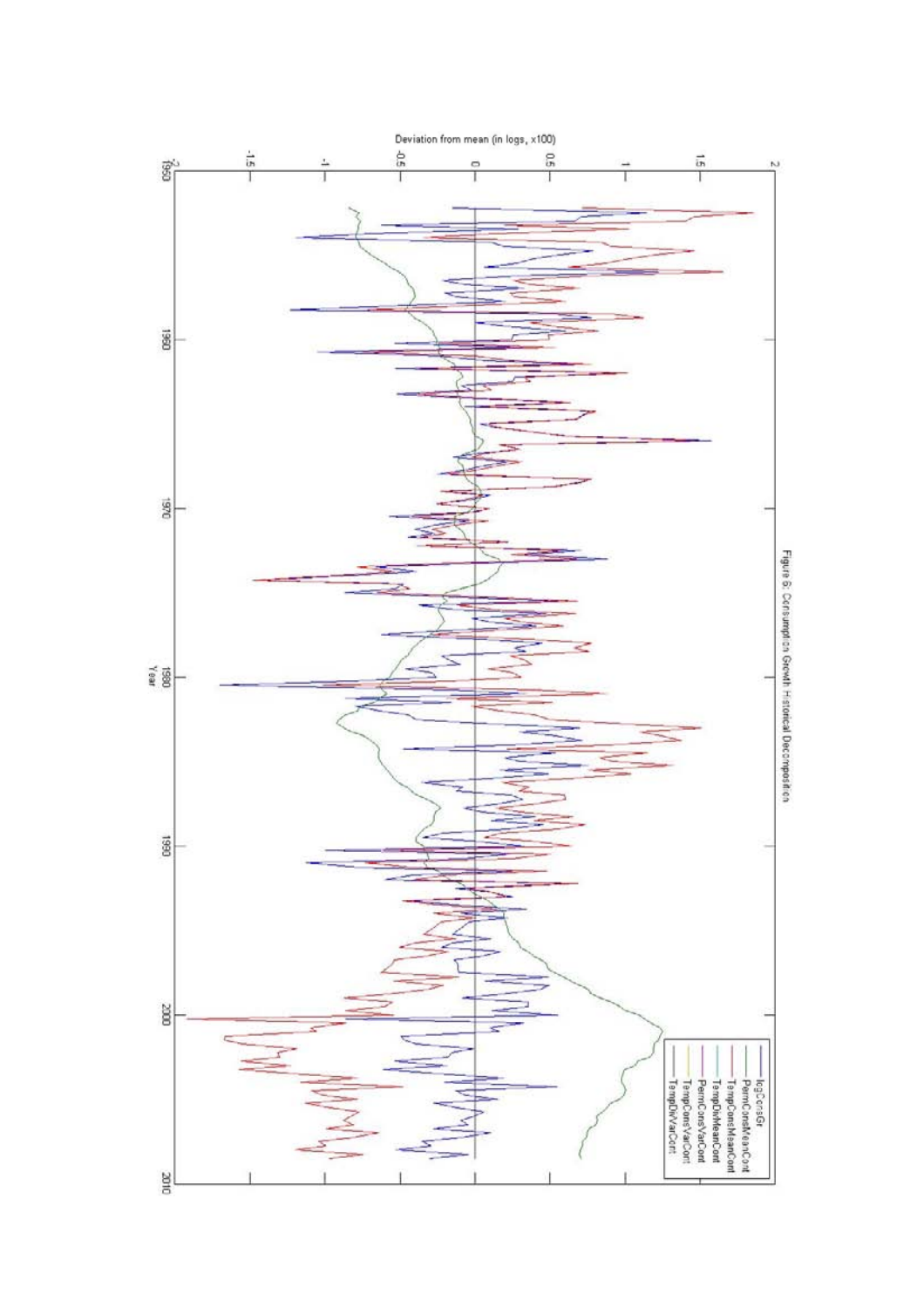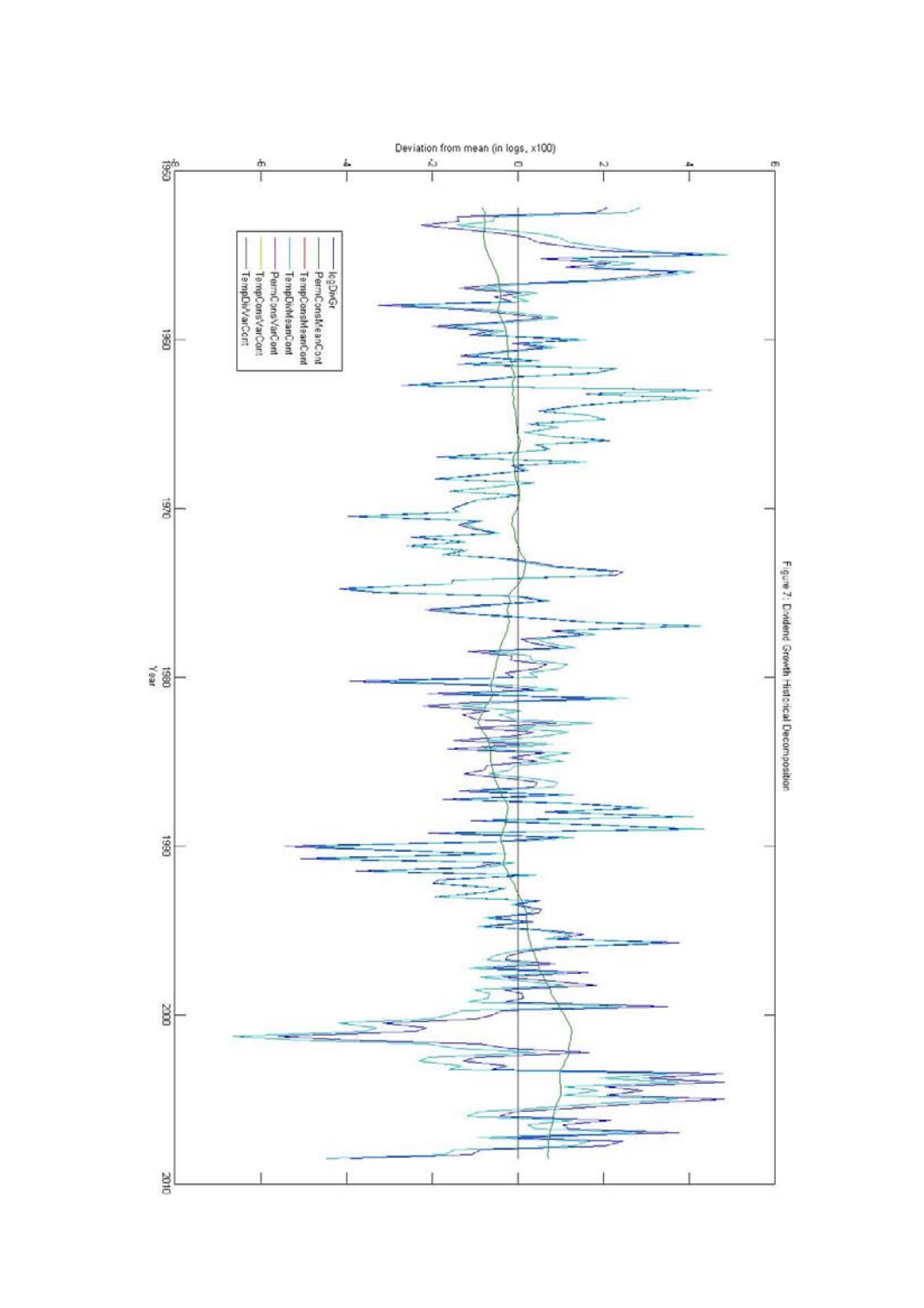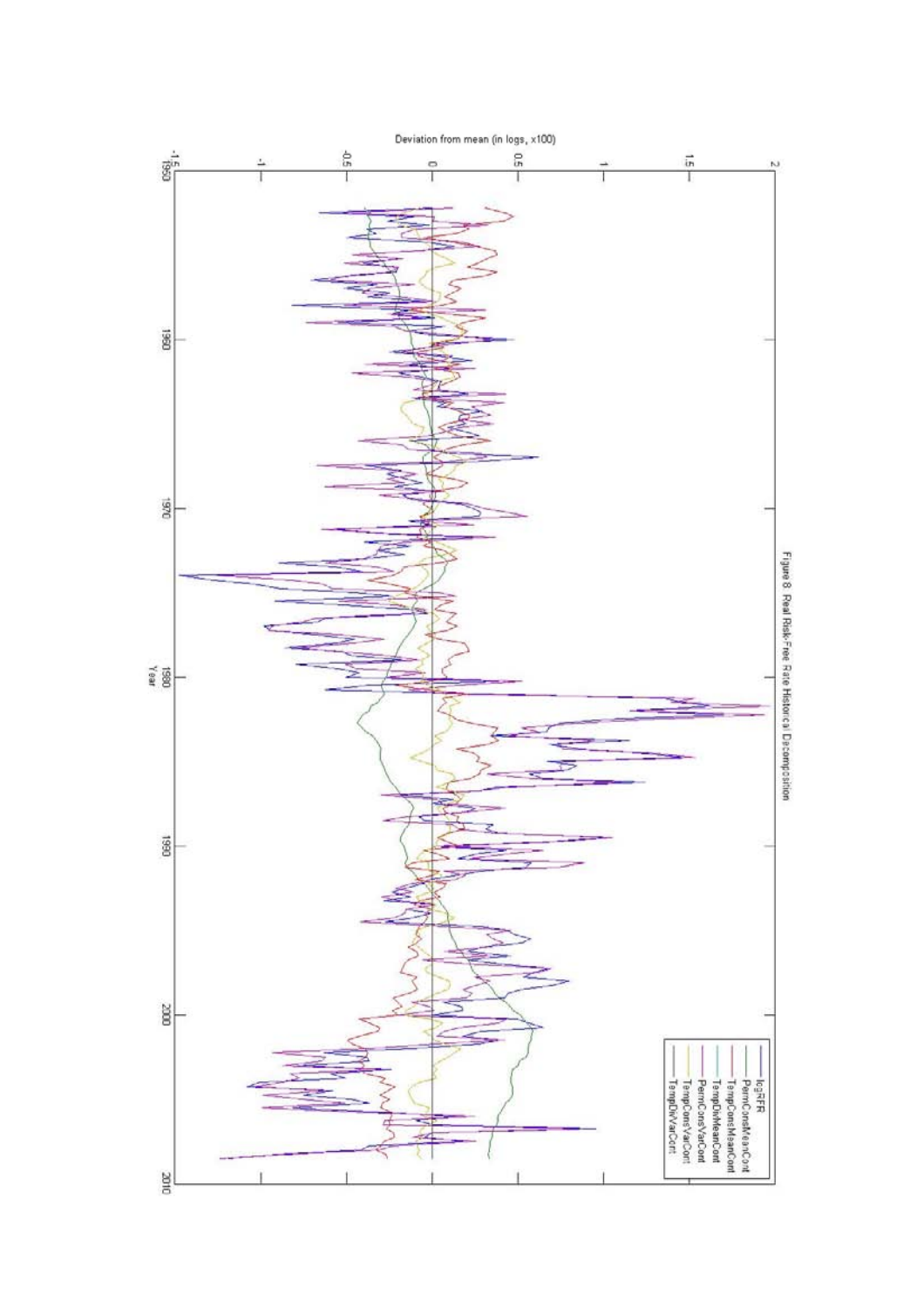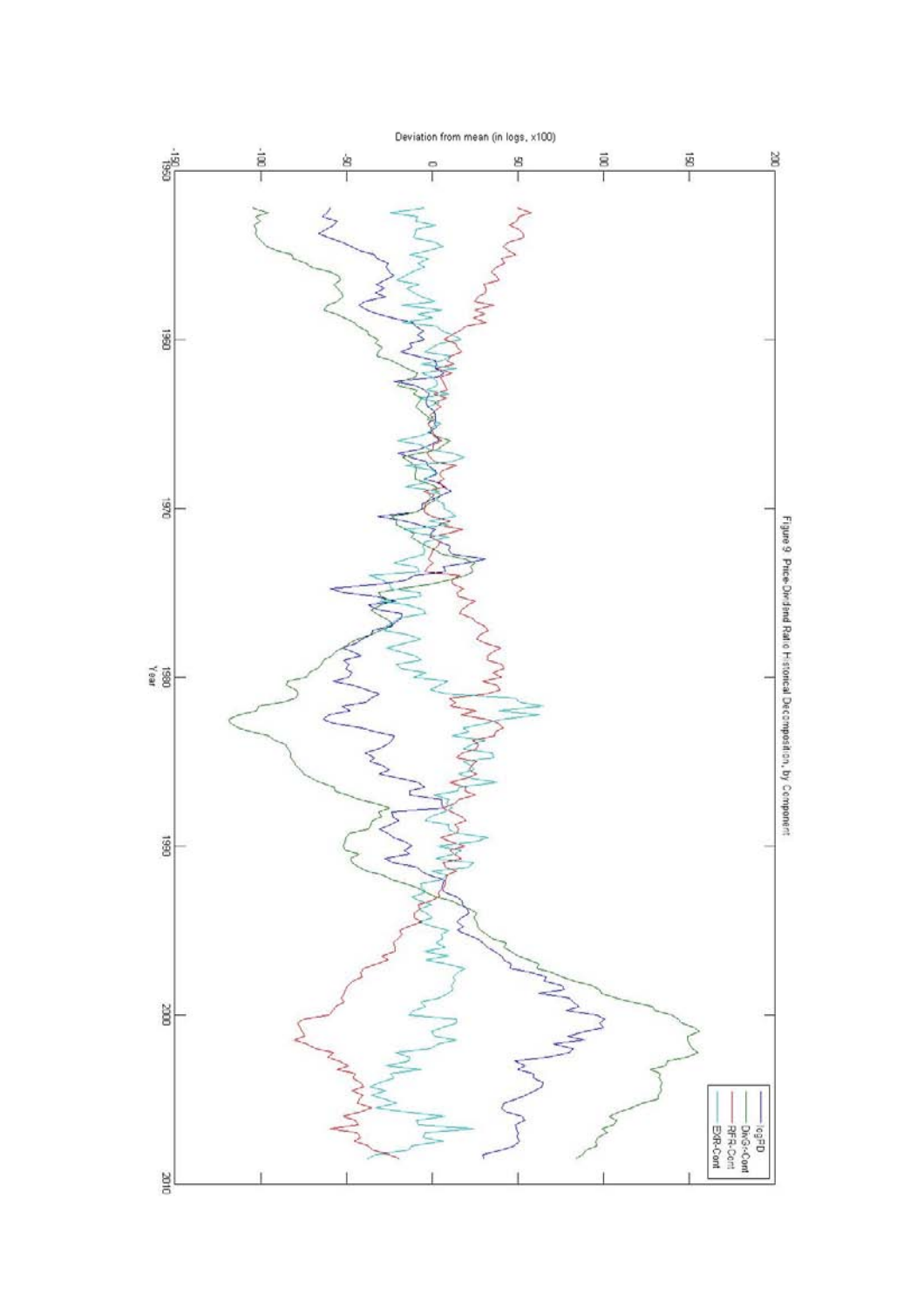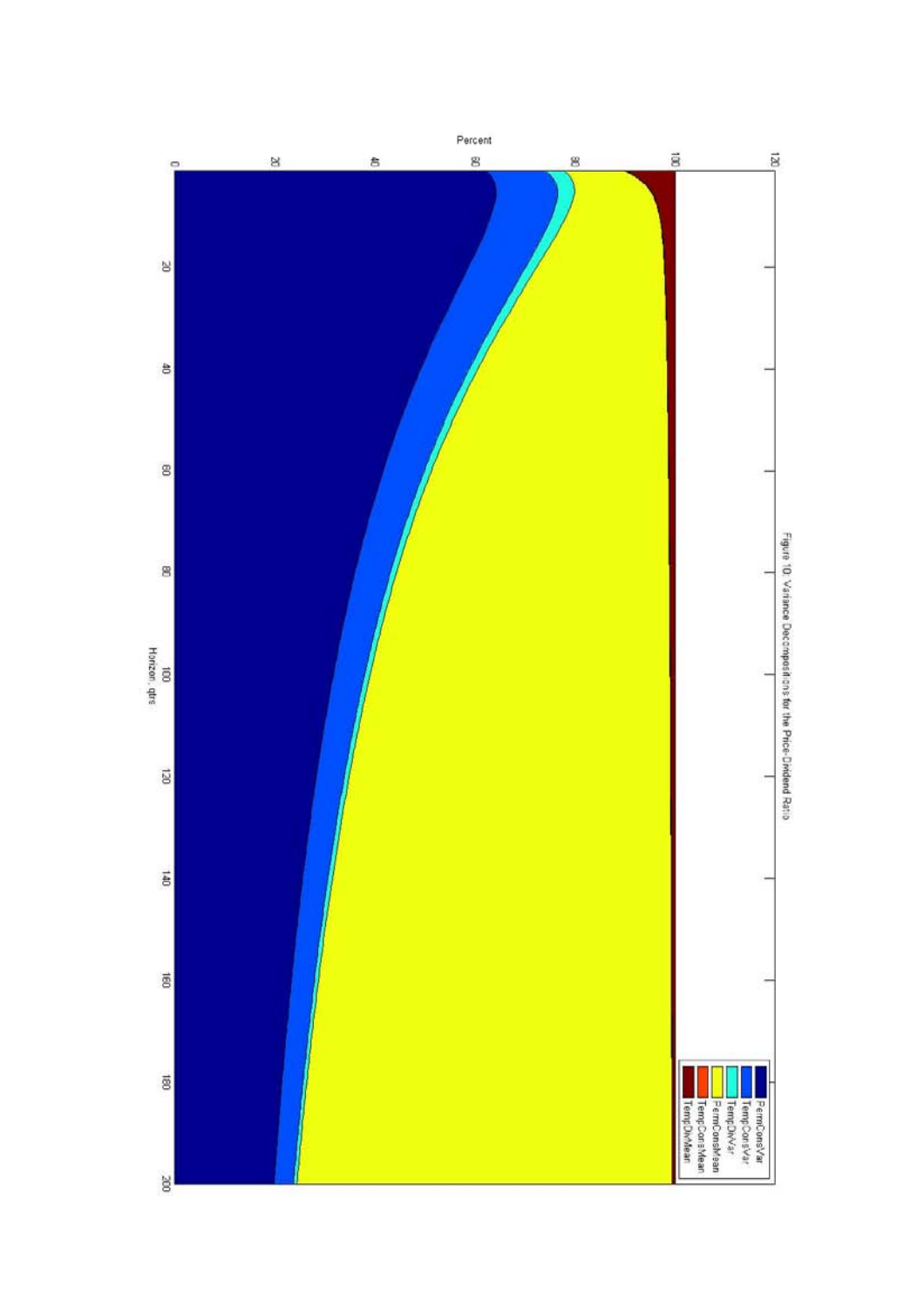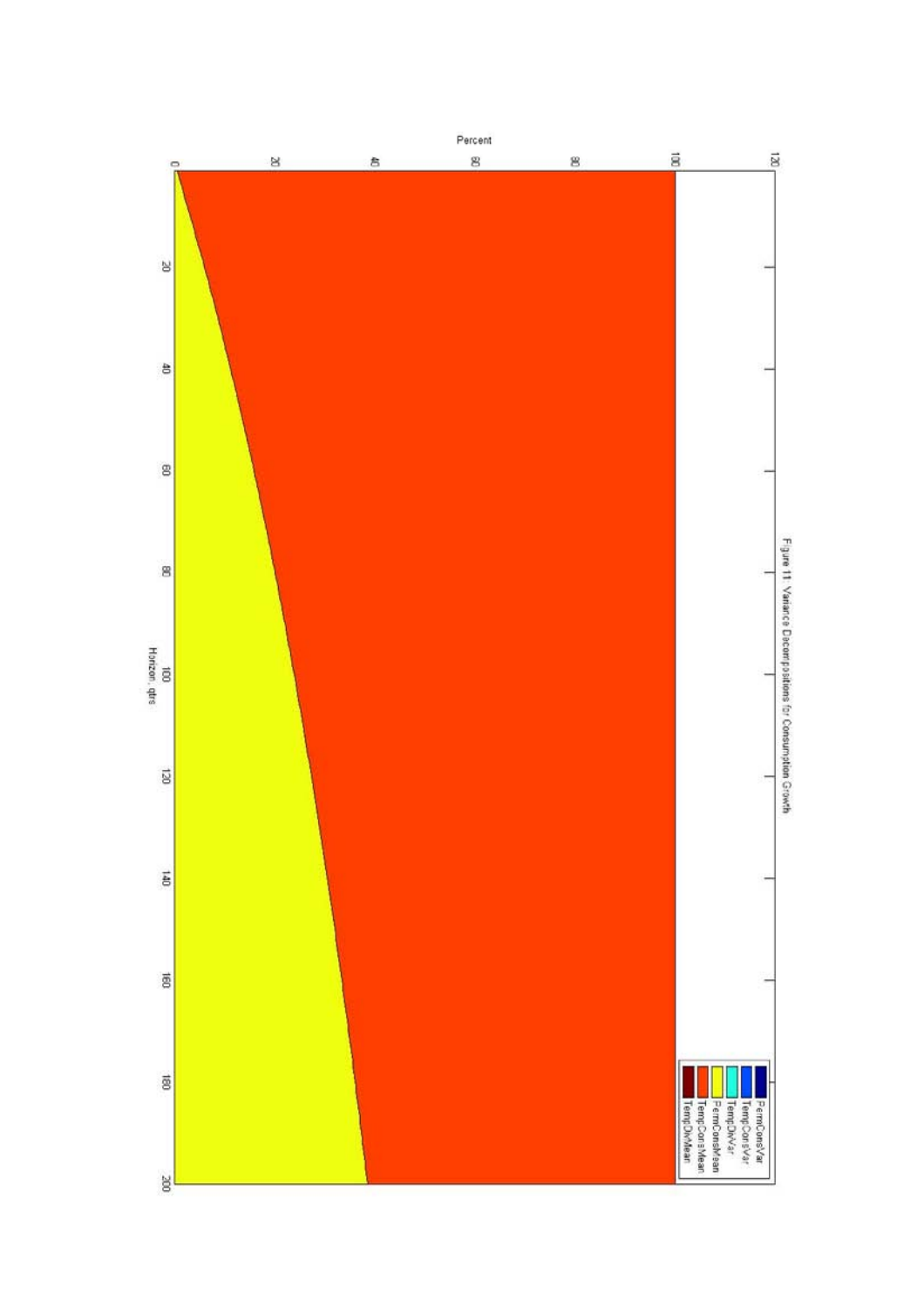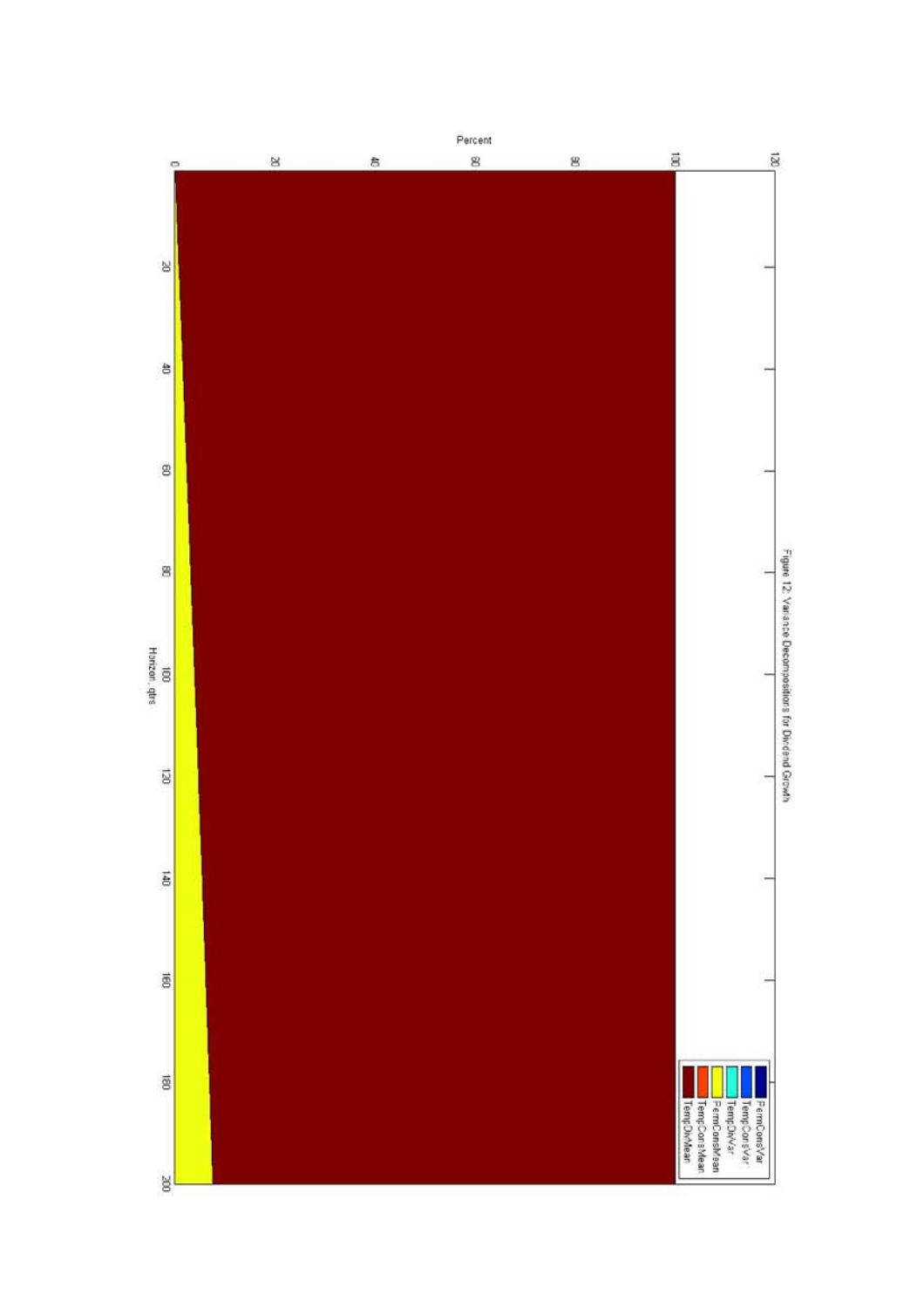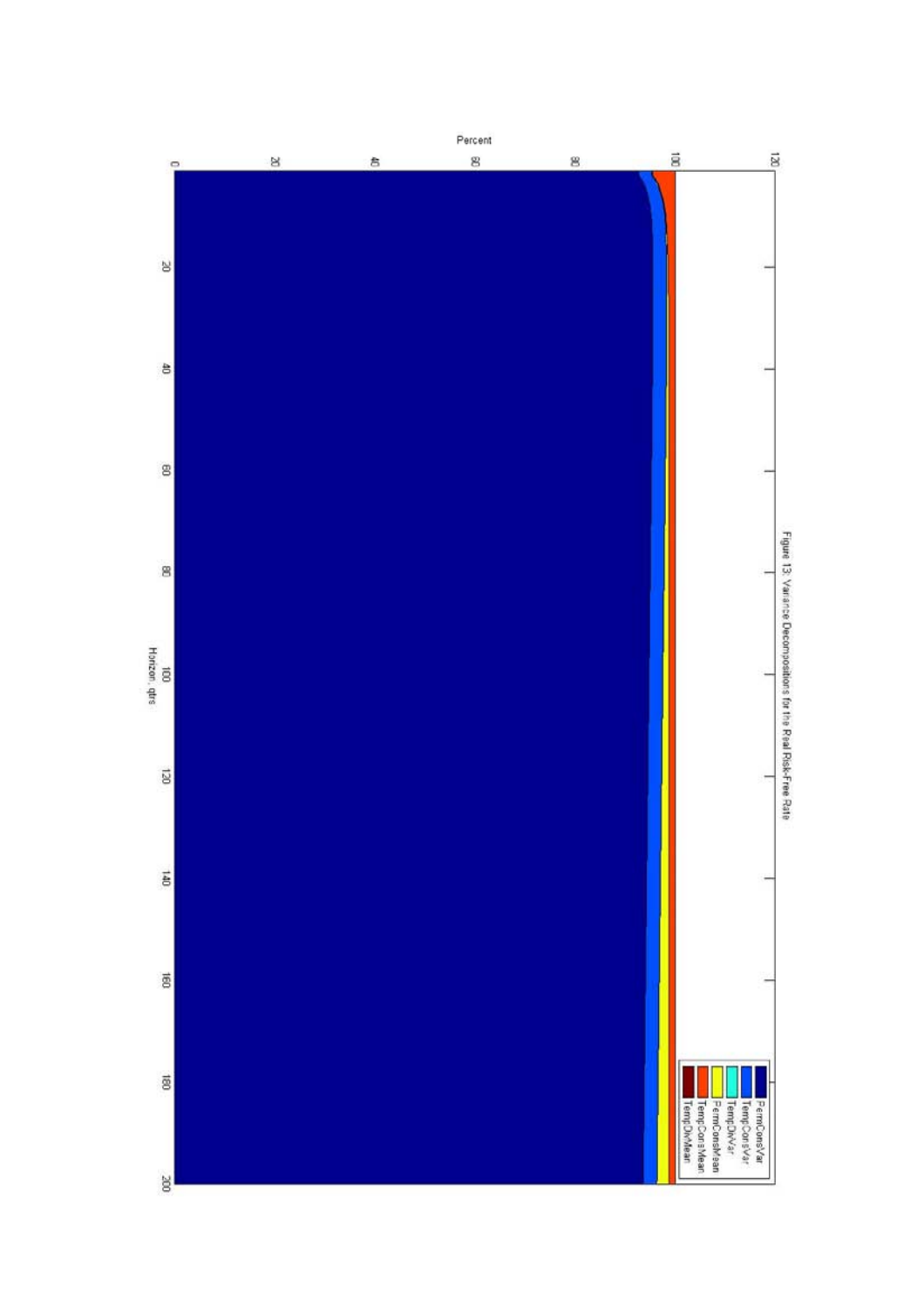